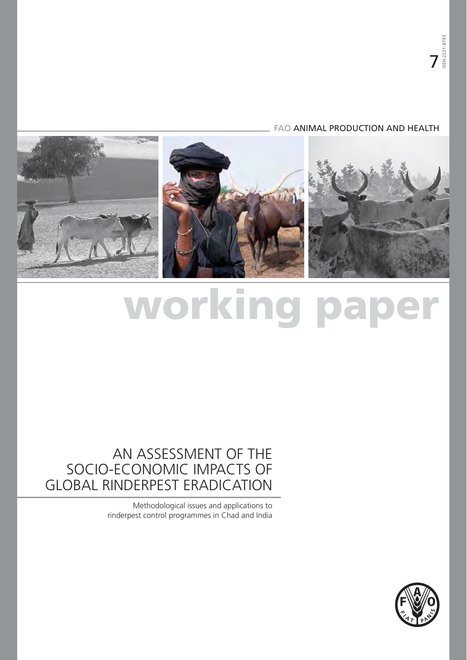## FAO ANIMAL PRODUCTION AND HEALTH



# **working paper**

# AN ASSESSMENT OF THE SOCIO-ECONOMIC IMPACTS OF GLOBAL RINDERPEST ERADICATION

Methodological issues and applications to rinderpest control programmes in Chad and India

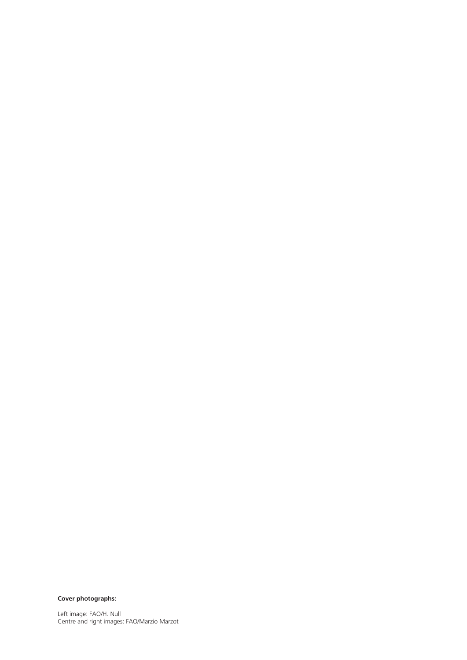**Cover photographs:**

Left image: FAO/H. Null Centre and right images: FAO/Marzio Marzot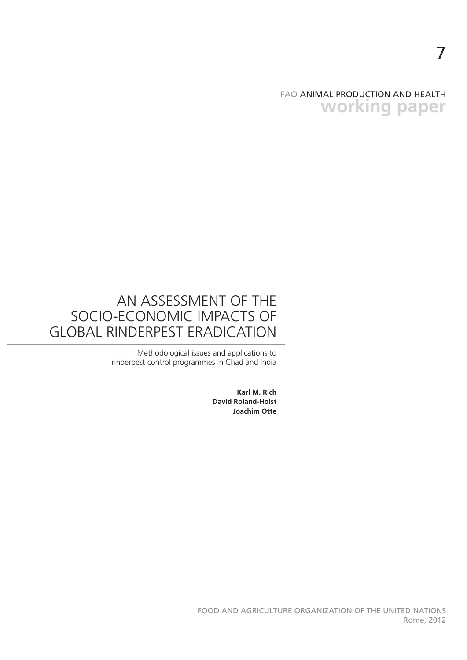FAO ANIMAL PRODUCTION AND HEALTH **working paper**

7

# AN ASSESSMENT OF THE SOCIO-ECONOMIC IMPACTS OF GLOBAL RINDERPEST ERADICATION

Methodological issues and applications to rinderpest control programmes in Chad and India

> **Karl M. Rich David Roland-Holst Joachim Otte**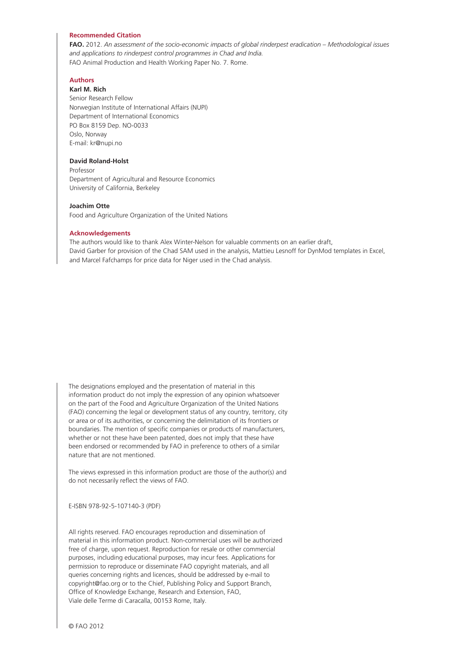#### **Recommended Citation**

**FAO.** 2012. *An assessment of the socio-economic impacts of global rinderpest eradication – Methodological issues and applications to rinderpest control programmes in Chad and India.*  FAO Animal Production and Health Working Paper No. 7. Rome.

#### **Authors**

**Karl M. Rich** Senior Research Fellow Norwegian Institute of International Affairs (NUPI) Department of International Economics PO Box 8159 Dep. NO-0033 Oslo, Norway E-mail: kr@nupi.no

#### **David Roland-Holst**

Professor Department of Agricultural and Resource Economics University of California, Berkeley

#### **Joachim Otte**

Food and Agriculture Organization of the United Nations

#### **Acknowledgements**

The authors would like to thank Alex Winter-Nelson for valuable comments on an earlier draft, David Garber for provision of the Chad SAM used in the analysis, Mattieu Lesnoff for DynMod templates in Excel, and Marcel Fafchamps for price data for Niger used in the Chad analysis.

The designations employed and the presentation of material in this information product do not imply the expression of any opinion whatsoever on the part of the Food and Agriculture Organization of the United Nations (FAO) concerning the legal or development status of any country, territory, city or area or of its authorities, or concerning the delimitation of its frontiers or boundaries. The mention of specific companies or products of manufacturers, whether or not these have been patented, does not imply that these have been endorsed or recommended by FAO in preference to others of a similar nature that are not mentioned.

The views expressed in this information product are those of the author(s) and do not necessarily reflect the views of FAO.

E-ISBN 978-92-5-107140-3 (PDF)

All rights reserved. FAO encourages reproduction and dissemination of material in this information product. Non-commercial uses will be authorized free of charge, upon request. Reproduction for resale or other commercial purposes, including educational purposes, may incur fees. Applications for permission to reproduce or disseminate FAO copyright materials, and all queries concerning rights and licences, should be addressed by e-mail to copyright@fao.org or to the Chief, Publishing Policy and Support Branch, Office of Knowledge Exchange, Research and Extension, FAO, Viale delle Terme di Caracalla, 00153 Rome, Italy.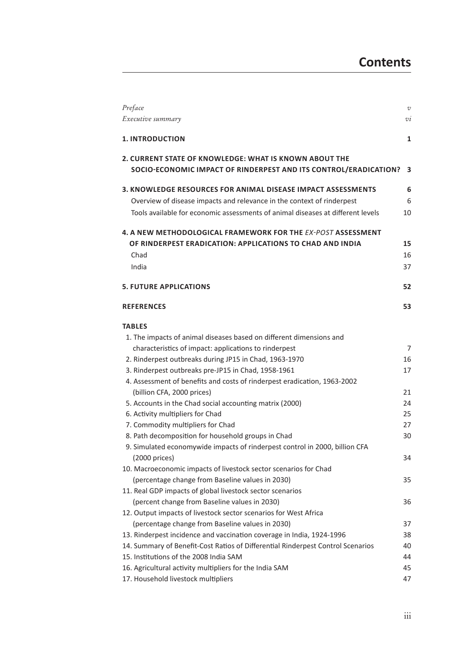| Preface                                                                         | $\cal{V}$     |
|---------------------------------------------------------------------------------|---------------|
| Executive summary                                                               | $\mathcal{V}$ |
| <b>1. INTRODUCTION</b>                                                          | 1             |
| 2. CURRENT STATE OF KNOWLEDGE: WHAT IS KNOWN ABOUT THE                          |               |
| SOCIO-ECONOMIC IMPACT OF RINDERPEST AND ITS CONTROL/ERADICATION?                | 3             |
| 3. KNOWLEDGE RESOURCES FOR ANIMAL DISEASE IMPACT ASSESSMENTS                    | 6             |
| Overview of disease impacts and relevance in the context of rinderpest          | 6             |
| Tools available for economic assessments of animal diseases at different levels | 10            |
| 4. A NEW METHODOLOGICAL FRAMEWORK FOR THE EX-POST ASSESSMENT                    |               |
| OF RINDERPEST ERADICATION: APPLICATIONS TO CHAD AND INDIA                       | 15            |
| Chad                                                                            | 16            |
| India                                                                           | 37            |
| <b>5. FUTURE APPLICATIONS</b>                                                   | 52            |
| <b>REFERENCES</b>                                                               | 53            |
| <b>TABLES</b>                                                                   |               |
| 1. The impacts of animal diseases based on different dimensions and             |               |
| characteristics of impact: applications to rinderpest                           | 7             |
| 2. Rinderpest outbreaks during JP15 in Chad, 1963-1970                          | 16            |
| 3. Rinderpest outbreaks pre-JP15 in Chad, 1958-1961                             | 17            |
| 4. Assessment of benefits and costs of rinderpest eradication, 1963-2002        |               |
| (billion CFA, 2000 prices)                                                      | 21            |
| 5. Accounts in the Chad social accounting matrix (2000)                         | 24            |
| 6. Activity multipliers for Chad                                                | 25            |
| 7. Commodity multipliers for Chad                                               | 27            |
| 8. Path decomposition for household groups in Chad                              | 30            |
| 9. Simulated economywide impacts of rinderpest control in 2000, billion CFA     |               |
| (2000 prices)                                                                   | 34            |
| 10. Macroeconomic impacts of livestock sector scenarios for Chad                |               |
| (percentage change from Baseline values in 2030)                                | 35            |
| 11. Real GDP impacts of global livestock sector scenarios                       |               |
| (percent change from Baseline values in 2030)                                   | 36            |
| 12. Output impacts of livestock sector scenarios for West Africa                |               |
| (percentage change from Baseline values in 2030)                                | 37            |
| 13. Rinderpest incidence and vaccination coverage in India, 1924-1996           | 38            |
| 14. Summary of Benefit-Cost Ratios of Differential Rinderpest Control Scenarios | 40            |
| 15. Institutions of the 2008 India SAM                                          | 44            |
| 16. Agricultural activity multipliers for the India SAM                         | 45            |
| 17. Household livestock multipliers                                             | 47            |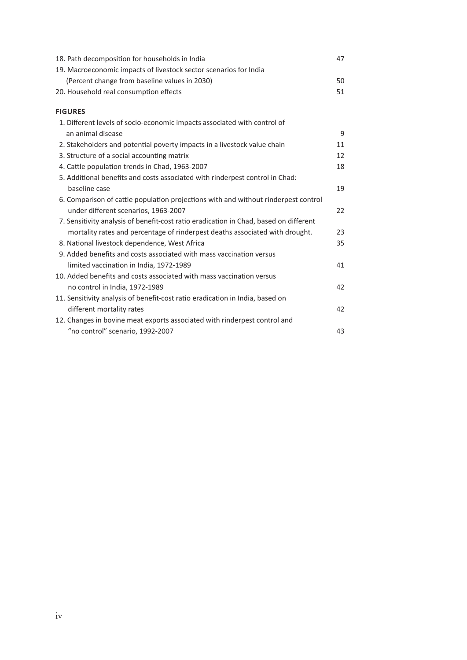| 18. Path decomposition for households in India                                        | 47 |
|---------------------------------------------------------------------------------------|----|
| 19. Macroeconomic impacts of livestock sector scenarios for India                     |    |
| (Percent change from baseline values in 2030)                                         | 50 |
| 20. Household real consumption effects                                                | 51 |
| <b>FIGURES</b>                                                                        |    |
| 1. Different levels of socio-economic impacts associated with control of              |    |
| an animal disease                                                                     | 9  |
| 2. Stakeholders and potential poverty impacts in a livestock value chain              | 11 |
| 3. Structure of a social accounting matrix                                            | 12 |
| 4. Cattle population trends in Chad, 1963-2007                                        | 18 |
| 5. Additional benefits and costs associated with rinderpest control in Chad:          |    |
| baseline case                                                                         | 19 |
| 6. Comparison of cattle population projections with and without rinderpest control    |    |
| under different scenarios, 1963-2007                                                  | 22 |
| 7. Sensitivity analysis of benefit-cost ratio eradication in Chad, based on different |    |
| mortality rates and percentage of rinderpest deaths associated with drought.          | 23 |
| 8. National livestock dependence, West Africa                                         | 35 |
| 9. Added benefits and costs associated with mass vaccination versus                   |    |
| limited vaccination in India, 1972-1989                                               | 41 |
| 10. Added benefits and costs associated with mass vaccination versus                  |    |
| no control in India, 1972-1989                                                        | 42 |
| 11. Sensitivity analysis of benefit-cost ratio eradication in India, based on         |    |
| different mortality rates                                                             | 42 |
| 12. Changes in bovine meat exports associated with rinderpest control and             |    |
| "no control" scenario, 1992-2007                                                      | 43 |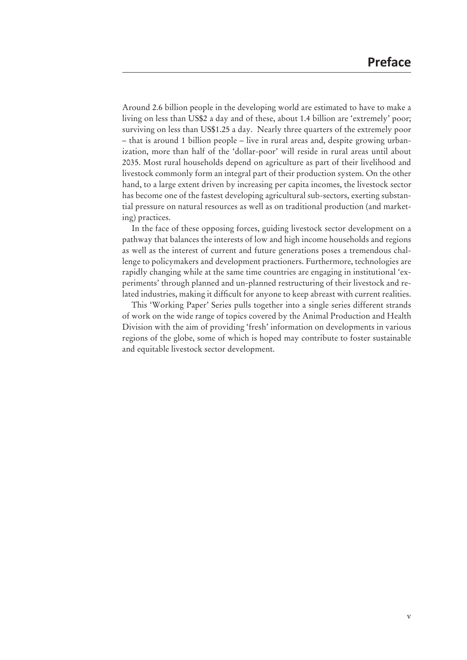Around 2.6 billion people in the developing world are estimated to have to make a living on less than US\$2 a day and of these, about 1.4 billion are 'extremely' poor; surviving on less than US\$1.25 a day. Nearly three quarters of the extremely poor – that is around 1 billion people – live in rural areas and, despite growing urbanization, more than half of the 'dollar-poor' will reside in rural areas until about 2035. Most rural households depend on agriculture as part of their livelihood and livestock commonly form an integral part of their production system. On the other hand, to a large extent driven by increasing per capita incomes, the livestock sector has become one of the fastest developing agricultural sub-sectors, exerting substantial pressure on natural resources as well as on traditional production (and marketing) practices.

In the face of these opposing forces, guiding livestock sector development on a pathway that balances the interests of low and high income households and regions as well as the interest of current and future generations poses a tremendous challenge to policymakers and development practioners. Furthermore, technologies are rapidly changing while at the same time countries are engaging in institutional 'experiments' through planned and un-planned restructuring of their livestock and related industries, making it difficult for anyone to keep abreast with current realities.

This 'Working Paper' Series pulls together into a single series different strands of work on the wide range of topics covered by the Animal Production and Health Division with the aim of providing 'fresh' information on developments in various regions of the globe, some of which is hoped may contribute to foster sustainable and equitable livestock sector development.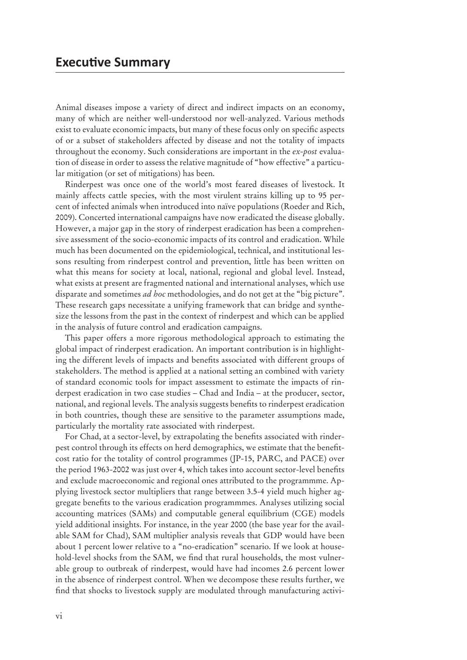Animal diseases impose a variety of direct and indirect impacts on an economy, many of which are neither well-understood nor well-analyzed. Various methods exist to evaluate economic impacts, but many of these focus only on specific aspects of or a subset of stakeholders affected by disease and not the totality of impacts throughout the economy. Such considerations are important in the *ex-post* evaluation of disease in order to assess the relative magnitude of "how effective" a particular mitigation (or set of mitigations) has been.

Rinderpest was once one of the world's most feared diseases of livestock. It mainly affects cattle species, with the most virulent strains killing up to 95 percent of infected animals when introduced into naïve populations (Roeder and Rich, 2009). Concerted international campaigns have now eradicated the disease globally. However, a major gap in the story of rinderpest eradication has been a comprehensive assessment of the socio-economic impacts of its control and eradication. While much has been documented on the epidemiological, technical, and institutional lessons resulting from rinderpest control and prevention, little has been written on what this means for society at local, national, regional and global level. Instead, what exists at present are fragmented national and international analyses, which use disparate and sometimes *ad hoc* methodologies, and do not get at the "big picture". These research gaps necessitate a unifying framework that can bridge and synthesize the lessons from the past in the context of rinderpest and which can be applied in the analysis of future control and eradication campaigns.

This paper offers a more rigorous methodological approach to estimating the global impact of rinderpest eradication. An important contribution is in highlighting the different levels of impacts and benefits associated with different groups of stakeholders. The method is applied at a national setting an combined with variety of standard economic tools for impact assessment to estimate the impacts of rinderpest eradication in two case studies – Chad and India – at the producer, sector, national, and regional levels. The analysis suggests benefits to rinderpest eradication in both countries, though these are sensitive to the parameter assumptions made, particularly the mortality rate associated with rinderpest.

For Chad, at a sector-level, by extrapolating the benefits associated with rinderpest control through its effects on herd demographics, we estimate that the benefitcost ratio for the totality of control programmes (JP-15, PARC, and PACE) over the period 1963-2002 was just over 4, which takes into account sector-level benefits and exclude macroeconomic and regional ones attributed to the programmme. Applying livestock sector multipliers that range between 3.5-4 yield much higher aggregate benefits to the various eradication programmmes. Analyses utilizing social accounting matrices (SAMs) and computable general equilibrium (CGE) models yield additional insights. For instance, in the year 2000 (the base year for the available SAM for Chad), SAM multiplier analysis reveals that GDP would have been about 1 percent lower relative to a "no-eradication" scenario. If we look at household-level shocks from the SAM, we find that rural households, the most vulnerable group to outbreak of rinderpest, would have had incomes 2.6 percent lower in the absence of rinderpest control. When we decompose these results further, we find that shocks to livestock supply are modulated through manufacturing activi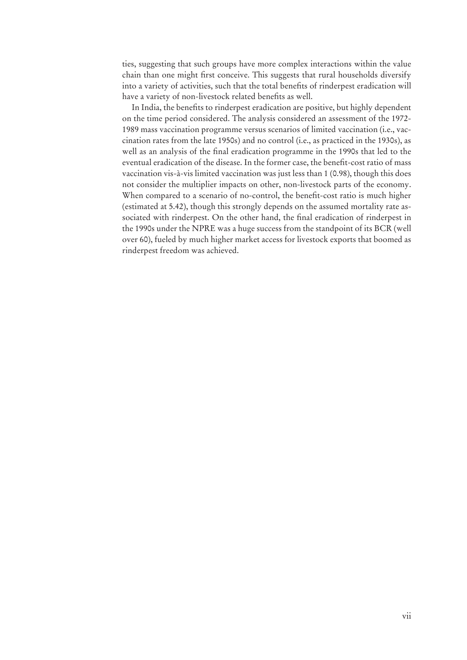ties, suggesting that such groups have more complex interactions within the value chain than one might first conceive. This suggests that rural households diversify into a variety of activities, such that the total benefits of rinderpest eradication will have a variety of non-livestock related benefits as well.

In India, the benefits to rinderpest eradication are positive, but highly dependent on the time period considered. The analysis considered an assessment of the 1972- 1989 mass vaccination programme versus scenarios of limited vaccination (i.e., vaccination rates from the late 1950s) and no control (i.e., as practiced in the 1930s), as well as an analysis of the final eradication programme in the 1990s that led to the eventual eradication of the disease. In the former case, the benefit-cost ratio of mass vaccination vis-à-vis limited vaccination was just less than 1 (0.98), though this does not consider the multiplier impacts on other, non-livestock parts of the economy. When compared to a scenario of no-control, the benefit-cost ratio is much higher (estimated at 5.42), though this strongly depends on the assumed mortality rate associated with rinderpest. On the other hand, the final eradication of rinderpest in the 1990s under the NPRE was a huge success from the standpoint of its BCR (well over 60), fueled by much higher market access for livestock exports that boomed as rinderpest freedom was achieved.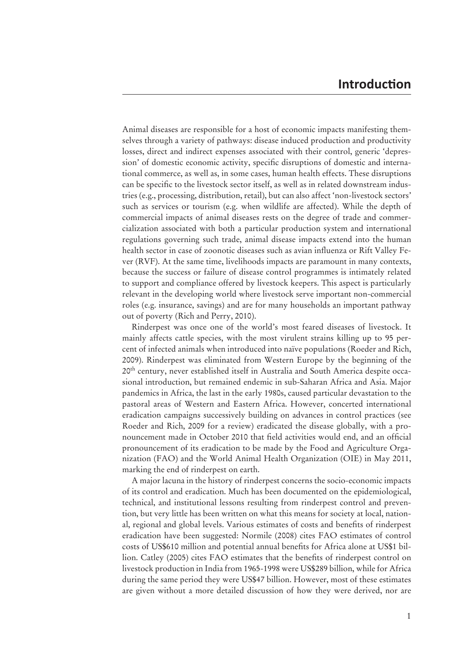Animal diseases are responsible for a host of economic impacts manifesting themselves through a variety of pathways: disease induced production and productivity losses, direct and indirect expenses associated with their control, generic 'depression' of domestic economic activity, specific disruptions of domestic and international commerce, as well as, in some cases, human health effects. These disruptions can be specific to the livestock sector itself, as well as in related downstream industries (e.g., processing, distribution, retail), but can also affect 'non-livestock sectors' such as services or tourism (e.g. when wildlife are affected). While the depth of commercial impacts of animal diseases rests on the degree of trade and commercialization associated with both a particular production system and international regulations governing such trade, animal disease impacts extend into the human health sector in case of zoonotic diseases such as avian influenza or Rift Valley Fever (RVF). At the same time, livelihoods impacts are paramount in many contexts, because the success or failure of disease control programmes is intimately related to support and compliance offered by livestock keepers. This aspect is particularly relevant in the developing world where livestock serve important non-commercial roles (e.g. insurance, savings) and are for many households an important pathway out of poverty (Rich and Perry, 2010).

Rinderpest was once one of the world's most feared diseases of livestock. It mainly affects cattle species, with the most virulent strains killing up to 95 percent of infected animals when introduced into naïve populations (Roeder and Rich, 2009). Rinderpest was eliminated from Western Europe by the beginning of the 20th century, never established itself in Australia and South America despite occasional introduction, but remained endemic in sub-Saharan Africa and Asia. Major pandemics in Africa, the last in the early 1980s, caused particular devastation to the pastoral areas of Western and Eastern Africa. However, concerted international eradication campaigns successively building on advances in control practices (see Roeder and Rich, 2009 for a review) eradicated the disease globally, with a pronouncement made in October 2010 that field activities would end, and an official pronouncement of its eradication to be made by the Food and Agriculture Organization (FAO) and the World Animal Health Organization (OIE) in May 2011, marking the end of rinderpest on earth.

A major lacuna in the history of rinderpest concerns the socio-economic impacts of its control and eradication. Much has been documented on the epidemiological, technical, and institutional lessons resulting from rinderpest control and prevention, but very little has been written on what this means for society at local, nation al, regional and global levels. Various estimates of costs and benefits of rinderpest eradication have been suggested: Normile (2008) cites FAO estimates of control costs of US\$610 million and potential annual benefits for Africa alone at US\$1 billion. Catley (2005) cites FAO estimates that the benefits of rinderpest control on livestock production in India from 1965-1998 were US\$289 billion, while for Africa during the same period they were US\$47 billion. However, most of these estimates are given without a more detailed discussion of how they were derived, nor are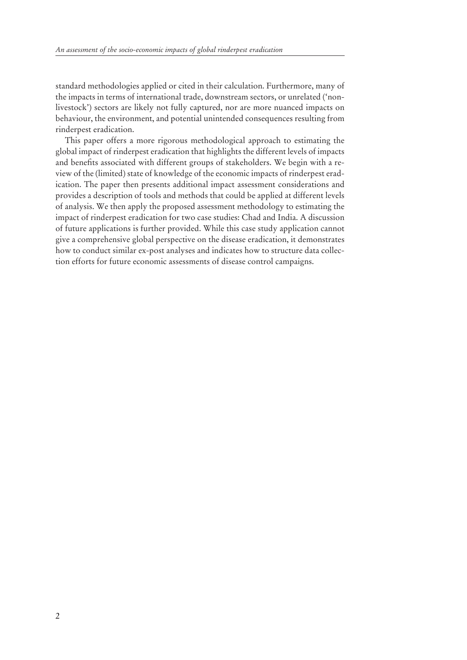standard methodologies applied or cited in their calculation. Furthermore, many of the impacts in terms of international trade, downstream sectors, or unrelated ('nonlivestock') sectors are likely not fully captured, nor are more nuanced impacts on behaviour, the environment, and potential unintended consequences resulting from rinderpest eradication.

This paper offers a more rigorous methodological approach to estimating the global impact of rinderpest eradication that highlights the different levels of impacts and benefits associated with different groups of stakeholders. We begin with a review of the (limited) state of knowledge of the economic impacts of rinderpest eradication. The paper then presents additional impact assessment considerations and provides a description of tools and methods that could be applied at different levels of analysis. We then apply the proposed assessment methodology to estimating the impact of rinderpest eradication for two case studies: Chad and India. A discussion of future applications is further provided. While this case study application cannot give a comprehensive global perspective on the disease eradication, it demonstrates how to conduct similar ex-post analyses and indicates how to structure data collection efforts for future economic assessments of disease control campaigns.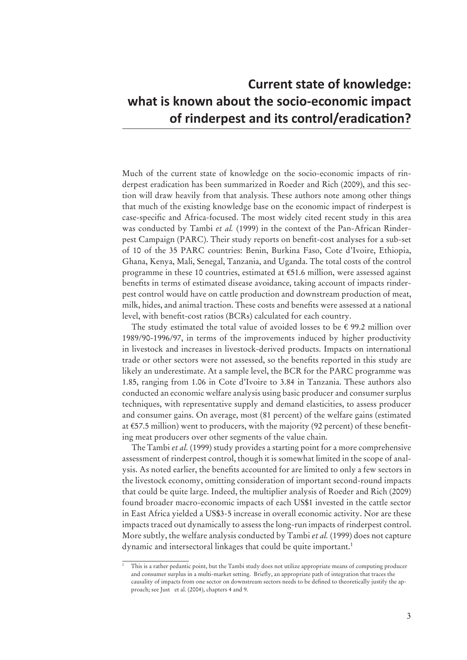## **Current state of knowledge:** what is known about the socio-economic impact  $\delta$  finderpest and its control/eradication?

Much of the current state of knowledge on the socio-economic impacts of rinderpest eradication has been summarized in Roeder and Rich (2009), and this section will draw heavily from that analysis. These authors note among other things that much of the existing knowledge base on the economic impact of rinderpest is case-specific and Africa-focused. The most widely cited recent study in this area was conducted by Tambi *et al.* (1999) in the context of the Pan-African Rinderpest Campaign (PARC). Their study reports on benefit-cost analyses for a sub-set of 10 of the 35 PARC countries: Benin, Burkina Faso, Cote d'Ivoire, Ethiopia, Ghana, Kenya, Mali, Senegal, Tanzania, and Uganda. The total costs of the control programme in these 10 countries, estimated at €51.6 million, were assessed against benefits in terms of estimated disease avoidance, taking account of impacts rinderpest control would have on cattle production and downstream production of meat, milk, hides, and animal traction. These costs and benefits were assessed at a national level, with benefit-cost ratios (BCRs) calculated for each country.

The study estimated the total value of avoided losses to be  $\epsilon$  99.2 million over 1989/90-1996/97, in terms of the improvements induced by higher productivity in livestock and increases in livestock-derived products. Impacts on international trade or other sectors were not assessed, so the benefits reported in this study are likely an underestimate. At a sample level, the BCR for the PARC programme was 1.85, ranging from 1.06 in Cote d'Ivoire to 3.84 in Tanzania. These authors also conducted an economic welfare analysis using basic producer and consumer surplus techniques, with representative supply and demand elasticities, to assess producer and consumer gains. On average, most (81 percent) of the welfare gains (estimated at €57.5 million) went to producers, with the majority (92 percent) of these benefiting meat producers over other segments of the value chain.

The Tambi *et al.* (1999) study provides a starting point for a more comprehensive assessment of rinderpest control, though it is somewhat limited in the scope of analysis. As noted earlier, the benefits accounted for are limited to only a few sectors in the livestock economy, omitting consideration of important second-round impacts that could be quite large. Indeed, the multiplier analysis of Roeder and Rich (2009) found broader macro-economic impacts of each US\$1 invested in the cattle sector in East Africa yielded a US\$3-5 increase in overall economic activity. Nor are these impacts traced out dynamically to assess the long-run impacts of rinderpest control. More subtly, the welfare analysis conducted by Tambi *et al.* (1999) does not capture dynamic and intersectoral linkages that could be quite important.<sup>1</sup>

<sup>1</sup> This is a rather pedantic point, but the Tambi study does not utilize appropriate means of computing producer and consumer surplus in a multi-market setting. Briefly, an appropriate path of integration that traces the causality of impacts from one sector on downstream sectors needs to be defined to theoretically justify the approach; see Just et al. (2004), chapters 4 and 9.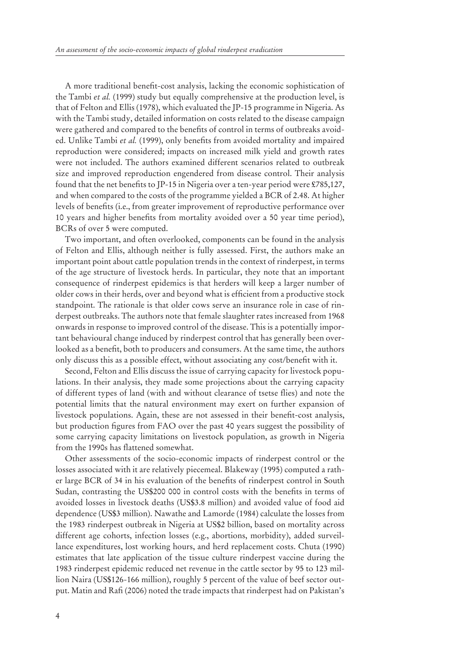A more traditional benefit-cost analysis, lacking the economic sophistication of the Tambi *et al.* (1999) study but equally comprehensive at the production level, is that of Felton and Ellis (1978), which evaluated the JP-15 programme in Nigeria. As with the Tambi study, detailed information on costs related to the disease campaign were gathered and compared to the benefits of control in terms of outbreaks avoided. Unlike Tambi et al. (1999), only benefits from avoided mortality and impaired reproduction were considered; impacts on increased milk yield and growth rates were not included. The authors examined different scenarios related to outbreak size and improved reproduction engendered from disease control. Their analysis found that the net benefits to  $[P-15]$  in Nigeria over a ten-year period were £785,127, and when compared to the costs of the programme yielded a BCR of 2.48. At higher levels of benefits (i.e., from greater improvement of reproductive performance over 10 years and higher benefits from mortality avoided over a 50 year time period), BCRs of over 5 were computed.

Two important, and often overlooked, components can be found in the analysis of Felton and Ellis, although neither is fully assessed. First, the authors make an important point about cattle population trends in the context of rinderpest, in terms of the age structure of livestock herds. In particular, they note that an important consequence of rinderpest epidemics is that herders will keep a larger number of older cows in their herds, over and beyond what is efficient from a productive stock standpoint. The rationale is that older cows serve an insurance role in case of rinderpest outbreaks. The authors note that female slaughter rates increased from 1968 onwards in response to improved control of the disease. This is a potentially important behavioural change induced by rinderpest control that has generally been overlooked as a benefit, both to producers and consumers. At the same time, the authors only discuss this as a possible effect, without associating any cost/benefit with it.

Second, Felton and Ellis discuss the issue of carrying capacity for livestock populations. In their analysis, they made some projections about the carrying capacity of different types of land (with and without clearance of tsetse flies) and note the potential limits that the natural environment may exert on further expansion of livestock populations. Again, these are not assessed in their benefit-cost analysis, but production figures from FAO over the past 40 years suggest the possibility of some carrying capacity limitations on livestock population, as growth in Nigeria from the 1990s has flattened somewhat.

Other assessments of the socio-economic impacts of rinderpest control or the losses associated with it are relatively piecemeal. Blakeway (1995) computed a rather large BCR of 34 in his evaluation of the benefits of rinderpest control in South Sudan, contrasting the US\$200 000 in control costs with the benefits in terms of avoided losses in livestock deaths (US\$3.8 million) and avoided value of food aid dependence (US\$3 million). Nawathe and Lamorde (1984) calculate the losses from the 1983 rinderpest outbreak in Nigeria at US\$2 billion, based on mortality across different age cohorts, infection losses (e.g., abortions, morbidity), added surveillance expenditures, lost working hours, and herd replacement costs. Chuta (1990) estimates that late application of the tissue culture rinderpest vaccine during the 1983 rinderpest epidemic reduced net revenue in the cattle sector by 95 to 123 million Naira (US\$126-166 million), roughly 5 percent of the value of beef sector output. Matin and Rafi (2006) noted the trade impacts that rinderpest had on Pakistan's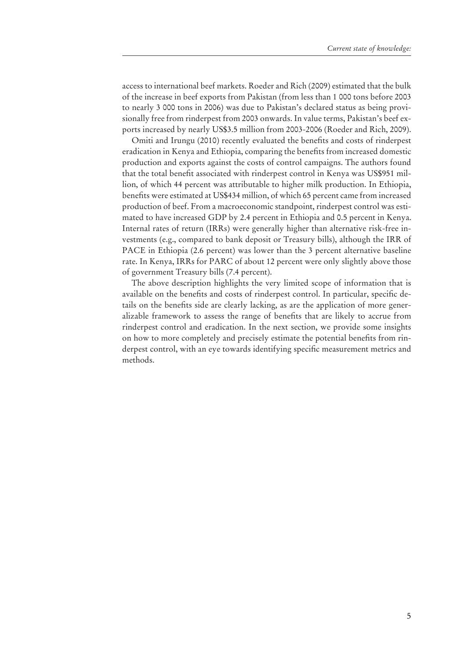access to international beef markets. Roeder and Rich (2009) estimated that the bulk of the increase in beef exports from Pakistan (from less than 1 000 tons before 2003 to nearly 3 000 tons in 2006) was due to Pakistan's declared status as being provisionally free from rinderpest from 2003 onwards. In value terms, Pakistan's beef exports increased by nearly US\$3.5 million from 2003-2006 (Roeder and Rich, 2009).

Omiti and Irungu (2010) recently evaluated the benefits and costs of rinderpest eradication in Kenya and Ethiopia, comparing the benefits from increased domestic production and exports against the costs of control campaigns. The authors found that the total benefit associated with rinderpest control in Kenya was US\$951 million, of which 44 percent was attributable to higher milk production. In Ethiopia, benefits were estimated at US\$434 million, of which 65 percent came from increased production of beef. From a macroeconomic standpoint, rinderpest control was estimated to have increased GDP by 2.4 percent in Ethiopia and 0.5 percent in Kenya. Internal rates of return (IRRs) were generally higher than alternative risk-free investments (e.g., compared to bank deposit or Treasury bills), although the IRR of PACE in Ethiopia (2.6 percent) was lower than the 3 percent alternative baseline rate. In Kenya, IRRs for PARC of about 12 percent were only slightly above those of government Treasury bills (7.4 percent).

The above description highlights the very limited scope of information that is available on the benefits and costs of rinderpest control. In particular, specific details on the benefits side are clearly lacking, as are the application of more generalizable framework to assess the range of benefits that are likely to accrue from rinderpest control and eradication. In the next section, we provide some insights on how to more completely and precisely estimate the potential benefits from rinderpest control, with an eye towards identifying specific measurement metrics and methods.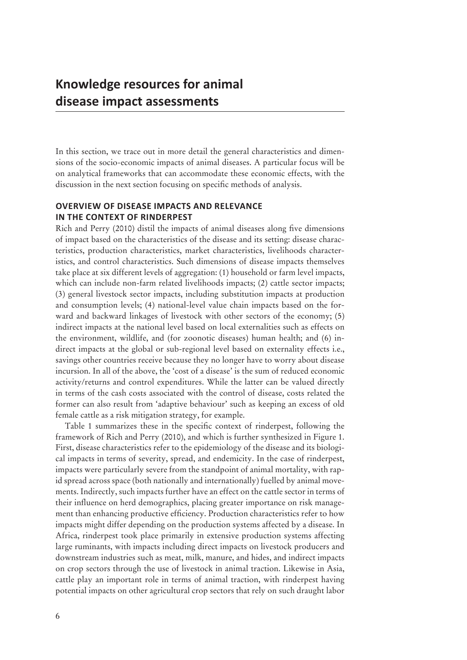## Knowledge resources for animal disease impact assessments

In this section, we trace out in more detail the general characteristics and dimensions of the socio-economic impacts of animal diseases. A particular focus will be on analytical frameworks that can accommodate these economic effects, with the discussion in the next section focusing on specific methods of analysis.

## **OVERVIEW OF DISEASE IMPACTS AND RELEVANCE IN THE CONTEXT OF RINDERPEST**

Rich and Perry (2010) distil the impacts of animal diseases along five dimensions of impact based on the characteristics of the disease and its setting: disease characteristics, production characteristics, market characteristics, livelihoods characteristics, and control characteristics. Such dimensions of disease impacts themselves take place at six different levels of aggregation: (1) household or farm level impacts, which can include non-farm related livelihoods impacts; (2) cattle sector impacts; (3) general livestock sector impacts, including substitution impacts at production and consumption levels; (4) national-level value chain impacts based on the forward and backward linkages of livestock with other sectors of the economy; (5) indirect impacts at the national level based on local externalities such as effects on the environment, wildlife, and (for zoonotic diseases) human health; and (6) indirect impacts at the global or sub-regional level based on externality effects i.e., savings other countries receive because they no longer have to worry about disease incursion. In all of the above, the 'cost of a disease' is the sum of reduced economic activity/returns and control expenditures. While the latter can be valued directly in terms of the cash costs associated with the control of disease, costs related the former can also result from 'adaptive behaviour' such as keeping an excess of old female cattle as a risk mitigation strategy, for example.

Table 1 summarizes these in the specific context of rinderpest, following the framework of Rich and Perry (2010), and which is further synthesized in Figure 1. First, disease characteristics refer to the epidemiology of the disease and its biological impacts in terms of severity, spread, and endemicity. In the case of rinderpest, impacts were particularly severe from the standpoint of animal mortality, with rapid spread across space (both nationally and internationally) fuelled by animal movements. Indirectly, such impacts further have an effect on the cattle sector in terms of their influence on herd demographics, placing greater importance on risk management than enhancing productive efficiency. Production characteristics refer to how impacts might differ depending on the production systems affected by a disease. In Africa, rinderpest took place primarily in extensive production systems affecting large ruminants, with impacts including direct impacts on livestock producers and downstream industries such as meat, milk, manure, and hides, and indirect impacts on crop sectors through the use of livestock in animal traction. Likewise in Asia, cattle play an important role in terms of animal traction, with rinderpest having potential impacts on other agricultural crop sectors that rely on such draught labor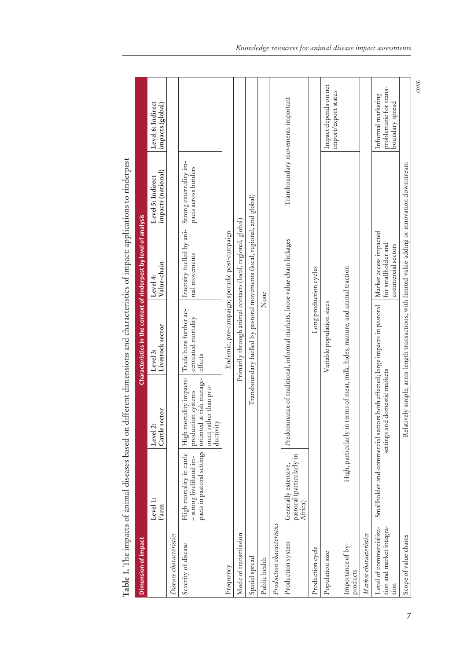| Dimension of impact                                         |                                                                                  |                                                                                                                      |                                                                           | Characteristics in the context of rinderpest by level of analysis                               |                                                |                                                                 |
|-------------------------------------------------------------|----------------------------------------------------------------------------------|----------------------------------------------------------------------------------------------------------------------|---------------------------------------------------------------------------|-------------------------------------------------------------------------------------------------|------------------------------------------------|-----------------------------------------------------------------|
|                                                             | Level 1:<br>${\rm Farm}$                                                         | Cattle sector<br>$\ddot{\sim}$<br>Level                                                                              | Livestock sector<br>Level 3:                                              | Value-chain<br>Level 4:                                                                         | Level 5: Indirect<br>impacts (national)        | Level 6: Indirect<br>impacts (global)                           |
| Disease characteristics                                     |                                                                                  |                                                                                                                      |                                                                           |                                                                                                 |                                                |                                                                 |
| Severity of disease                                         | pacts in pastoral settings<br>High mortality in cattle<br>-strong livelihood im- | mortality impacts:<br>oriented at risk manage-<br>ment rather than pro-<br>production systems<br>ductivity<br>High i | Trade bans further ac-<br>centuated mortality<br>effects                  | Intensity fuelled by ani-<br>mal movements                                                      | Strong externality im-<br>pacts across borders |                                                                 |
| Frequency                                                   |                                                                                  |                                                                                                                      |                                                                           | Endemic, pre-campaign; sporadic post-campaign                                                   |                                                |                                                                 |
| Mode of transmission                                        |                                                                                  |                                                                                                                      |                                                                           | Primarily through animal contacts (local, regional, global)                                     |                                                |                                                                 |
| Spatial spread                                              |                                                                                  |                                                                                                                      |                                                                           | Transboundary fuelled by pastoral movements (local, regional, and global)                       |                                                |                                                                 |
| Public health                                               |                                                                                  |                                                                                                                      |                                                                           | None                                                                                            |                                                |                                                                 |
| Production characteristics                                  |                                                                                  |                                                                                                                      |                                                                           |                                                                                                 |                                                |                                                                 |
| Production system                                           | pastoral (particularly in<br>Africa)<br>Generally extensive,                     |                                                                                                                      | Predominance of traditional, informal markets, loose value chain linkages |                                                                                                 |                                                | Transboundary movements important                               |
| Production cycle                                            |                                                                                  |                                                                                                                      |                                                                           | Long production cycles                                                                          |                                                |                                                                 |
| Population size                                             |                                                                                  |                                                                                                                      | Variable population sizes                                                 |                                                                                                 |                                                | Impact depends on net<br>import/export status                   |
| Importance of by-<br>products                               | High, particularly                                                               |                                                                                                                      | in terms of meat, milk, hides, manure, and animal traction                |                                                                                                 |                                                |                                                                 |
| Market characteristics                                      |                                                                                  |                                                                                                                      |                                                                           |                                                                                                 |                                                |                                                                 |
| Level of commercializa-<br>tion and market integra-<br>tion |                                                                                  | Smallholder and commercial sectors both affected; large impacts in pastoral<br>settings and domestic markets         |                                                                           | Market access impacted<br>for smallholder and<br>commercial sectors                             |                                                | problematic for trans-<br>Informal marketing<br>boundary spread |
| Scope of value chains                                       |                                                                                  |                                                                                                                      |                                                                           | Relatively simple, arms-length transactions, with limited value-adding or innovation downstream |                                                |                                                                 |

Table 1. The impacts of animal diseases based on different dimensions and characteristics of impact: applications to rinderpest **Table 1.** The impacts of animal diseases based on different dimensions and characteristics of impact: applications to rinderpest *cont.*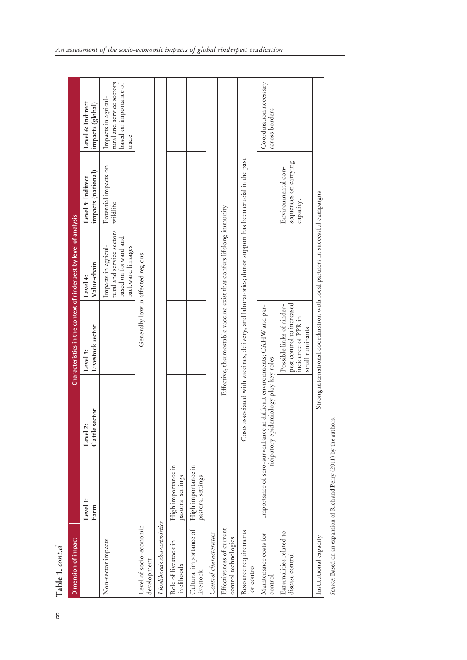| t      |
|--------|
| п.     |
| S<br>Ĺ |

8

| Dimension of impact                              |                                         |                                        | Characteristics in the context of rinderpest by level of analysis                                      |                                                                                               |                                                          |                                                                                     |
|--------------------------------------------------|-----------------------------------------|----------------------------------------|--------------------------------------------------------------------------------------------------------|-----------------------------------------------------------------------------------------------|----------------------------------------------------------|-------------------------------------------------------------------------------------|
|                                                  | Level 1:<br>Farm                        | sector<br>ä<br>Cattle<br>Level         | Livestock sector<br>Level 3:                                                                           | Value-chain<br>Level 4:                                                                       | impacts (national)<br>Level 5: Indirect                  | Level 6: Indirect<br>impacts (global)                                               |
| Non-sector impacts                               |                                         |                                        |                                                                                                        | tural and service sectors<br>based on forward and<br>Impacts in agricul-<br>backward linkages | Potential impacts on<br>wildlife                         | tural and service sectors<br>based on importance of<br>Impacts in agricul-<br>trade |
| Level of socio-economic<br>development           |                                         |                                        | Generally low in affected regions                                                                      |                                                                                               |                                                          |                                                                                     |
| Livelihoods characteristics                      |                                         |                                        |                                                                                                        |                                                                                               |                                                          |                                                                                     |
| Role of livestock in<br>livelihoods              | High importance in<br>pastoral settings |                                        |                                                                                                        |                                                                                               |                                                          |                                                                                     |
| Cultural importance of<br>livestock              | High importance in<br>pastoral settings |                                        |                                                                                                        |                                                                                               |                                                          |                                                                                     |
| Control characteristics                          |                                         |                                        |                                                                                                        |                                                                                               |                                                          |                                                                                     |
| Effectiveness of current<br>control technologies |                                         |                                        | Effective, thermostable vaccine exist that confers lifelong immunity                                   |                                                                                               |                                                          |                                                                                     |
| Resource requirements<br>for control             |                                         |                                        | Costs associated with vaccines, delivery, and laboratories; donor support has been crucial in the past |                                                                                               |                                                          |                                                                                     |
| Maintenance costs for<br>control                 | Importance of sero-surveillance         | ticipatory epidemiology play key roles | in difficult environments; CAHW and par-                                                               |                                                                                               |                                                          | Coordination necessary<br>across borders                                            |
| Externalities related to<br>disease control      |                                         |                                        | pest control to increased<br>Possible links of rinder-<br>incidence of PPR in<br>small ruminants       |                                                                                               | sequences on carrying<br>Environmental con-<br>capacity. |                                                                                     |
| Institutional capacity                           |                                         |                                        | Strong international coordination with local partners in successful campaigns                          |                                                                                               |                                                          |                                                                                     |

Source: Based on an expansion of Rich and Perry (2011) by the authors. *Source:* Based on an expansion of Rich and Perry (2011) by the authors.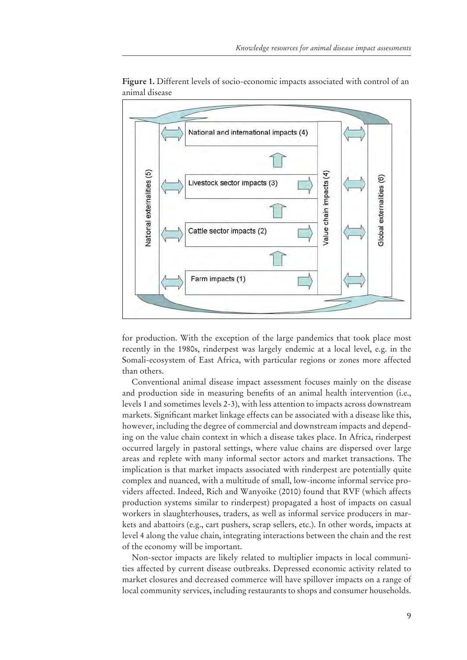

**Figure 1.** Different levels of socio-economic impacts associated with control of an animal disease

for production. With the exception of the large pandemics that took place most recently in the 1980s, rinderpest was largely endemic at a local level, e.g. in the Somali-ecosystem of East Africa, with particular regions or zones more affected than others.

Conventional animal disease impact assessment focuses mainly on the disease and production side in measuring benefits of an animal health intervention (i.e., levels 1 and sometimes levels 2-3), with less attention to impacts across downstream markets. Significant market linkage effects can be associated with a disease like this, however, including the degree of commercial and downstream impacts and depending on the value chain context in which a disease takes place. In Africa, rinderpest occurred largely in pastoral settings, where value chains are dispersed over large areas and replete with many informal sector actors and market transactions. The implication is that market impacts associated with rinderpest are potentially quite complex and nuanced, with a multitude of small, low-income informal service providers affected. Indeed, Rich and Wanyoike (2010) found that RVF (which affects production systems similar to rinderpest) propagated a host of impacts on casual workers in slaughterhouses, traders, as well as informal service producers in markets and abattoirs (e.g., cart pushers, scrap sellers, etc.). In other words, impacts at level 4 along the value chain, integrating interactions between the chain and the rest of the economy will be important.

Non-sector impacts are likely related to multiplier impacts in local communities affected by current disease outbreaks. Depressed economic activity related to market closures and decreased commerce will have spillover impacts on a range of local community services, including restaurants to shops and consumer households.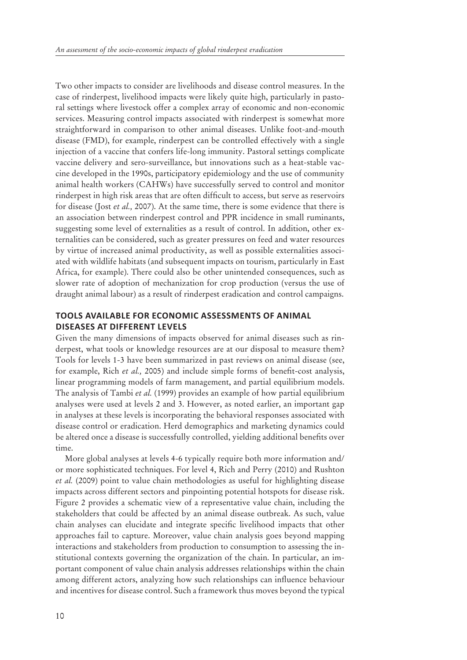Two other impacts to consider are livelihoods and disease control measures. In the case of rinderpest, livelihood impacts were likely quite high, particularly in pastoral settings where livestock offer a complex array of economic and non-economic services. Measuring control impacts associated with rinderpest is somewhat more straightforward in comparison to other animal diseases. Unlike foot-and-mouth disease (FMD), for example, rinderpest can be controlled effectively with a single injection of a vaccine that confers life-long immunity. Pastoral settings complicate vaccine delivery and sero-surveillance, but innovations such as a heat-stable vaccine developed in the 1990s, participatory epidemiology and the use of community animal health workers (CAHWs) have successfully served to control and monitor rinderpest in high risk areas that are often difficult to access, but serve as reservoirs for disease (Jost *et al.,* 2007). At the same time, there is some evidence that there is an association between rinderpest control and PPR incidence in small ruminants, suggesting some level of externalities as a result of control. In addition, other externalities can be considered, such as greater pressures on feed and water resources by virtue of increased animal productivity, as well as possible externalities associated with wildlife habitats (and subsequent impacts on tourism, particularly in East Africa, for example). There could also be other unintended consequences, such as slower rate of adoption of mechanization for crop production (versus the use of draught animal labour) as a result of rinderpest eradication and control campaigns.

## **TOOLS AVAILABLE FOR ECONOMIC ASSESSMENTS OF ANIMAL DISEASES AT DIFFERENT LEVELS**

Given the many dimensions of impacts observed for animal diseases such as rinderpest, what tools or knowledge resources are at our disposal to measure them? Tools for levels 1-3 have been summarized in past reviews on animal disease (see, for example, Rich *et al.*, 2005) and include simple forms of benefit-cost analysis, linear programming models of farm management, and partial equilibrium models. The analysis of Tambi *et al.* (1999) provides an example of how partial equilibrium analyses were used at levels 2 and 3. However, as noted earlier, an important gap in analyses at these levels is incorporating the behavioral responses associated with disease control or eradication. Herd demographics and marketing dynamics could be altered once a disease is successfully controlled, yielding additional benefits over time.

More global analyses at levels 4-6 typically require both more information and/ or more sophisticated techniques. For level 4, Rich and Perry (2010) and Rushton *et al.* (2009) point to value chain methodologies as useful for highlighting disease impacts across different sectors and pinpointing potential hotspots for disease risk. Figure 2 provides a schematic view of a representative value chain, including the stakeholders that could be affected by an animal disease outbreak. As such, value chain analyses can elucidate and integrate specific livelihood impacts that other approaches fail to capture. Moreover, value chain analysis goes beyond mapping interactions and stakeholders from production to consumption to assessing the institutional contexts governing the organization of the chain. In particular, an important component of value chain analysis addresses relationships within the chain among different actors, analyzing how such relationships can influence behaviour and incentives for disease control. Such a framework thus moves beyond the typical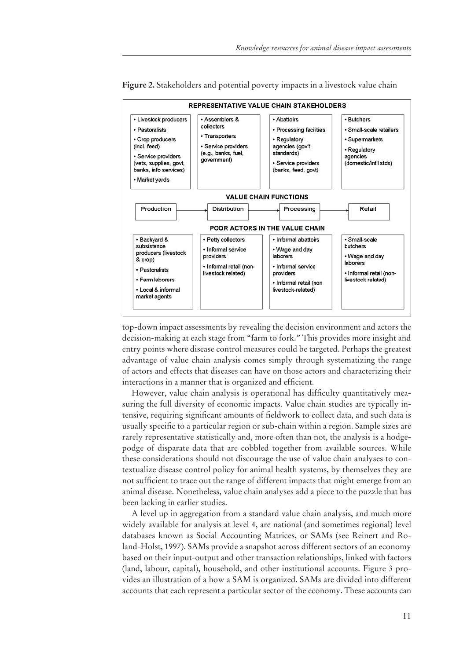

Figure 2. Stakeholders and potential poverty impacts in a livestock value chain

top-down impact assessments by revealing the decision environment and actors the decision-making at each stage from "farm to fork." This provides more insight and entry points where disease control measures could be targeted. Perhaps the greatest advantage of value chain analysis comes simply through systematizing the range of actors and effects that diseases can have on those actors and characterizing their interactions in a manner that is organized and efficient.

However, value chain analysis is operational has difficulty quantitatively measuring the full diversity of economic impacts. Value chain studies are typically intensive, requiring significant amounts of fieldwork to collect data, and such data is usually specific to a particular region or sub-chain within a region. Sample sizes are rarely representative statistically and, more often than not, the analysis is a hodgepodge of disparate data that are cobbled together from available sources. While these considerations should not discourage the use of value chain analyses to contextualize disease control policy for animal health systems, by themselves they are not sufficient to trace out the range of different impacts that might emerge from an animal disease. Nonetheless, value chain analyses add a piece to the puzzle that has been lacking in earlier studies.

A level up in aggregation from a standard value chain analysis, and much more widely available for analysis at level 4, are national (and sometimes regional) level databases known as Social Accounting Matrices, or SAMs (see Reinert and Roland-Holst, 1997). SAMs provide a snapshot across different sectors of an economy based on their input-output and other transaction relationships, linked with factors (land, labour, capital), household, and other institutional accounts. Figure 3 provides an illustration of a how a SAM is organized. SAMs are divided into different accounts that each represent a particular sector of the economy. These accounts can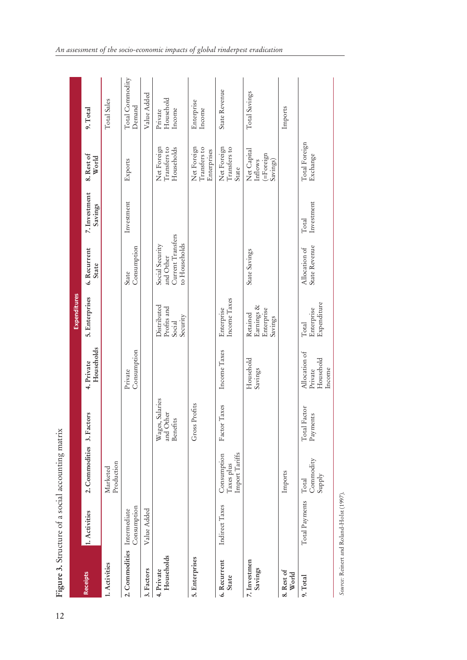|                              |                             | Figure 3. Structure of a social accounting matrix |                                             |                                                 |                                                  |                                                                    |                          |                                                 |                                            |
|------------------------------|-----------------------------|---------------------------------------------------|---------------------------------------------|-------------------------------------------------|--------------------------------------------------|--------------------------------------------------------------------|--------------------------|-------------------------------------------------|--------------------------------------------|
|                              |                             |                                                   |                                             |                                                 | Expenditures                                     |                                                                    |                          |                                                 |                                            |
| <b>Receipts</b>              | 1. Activities               | 2. Commodities 3. Factors                         |                                             | Households<br>4. Private                        | 5. Enterprises                                   | 6. Recurrent<br><b>State</b>                                       | 7. Investment<br>Savings | 8. Rest of<br>World                             | 9. Total                                   |
| 1. Activities                |                             | Production<br>Marketed                            |                                             |                                                 |                                                  |                                                                    |                          |                                                 | Total Sales                                |
| 2. Commodities               | Consumption<br>Intermediate |                                                   |                                             | Consumption<br>Private                          |                                                  | Consumption<br>State                                               | Investment               | Exports                                         | Total Commodity<br>Demand                  |
| 3. Factors                   | Value Added                 |                                                   |                                             |                                                 |                                                  |                                                                    |                          |                                                 | Value Added                                |
| Households<br>4. Private     |                             |                                                   | Salaries<br>and Other<br>Benefits<br>Wages, |                                                 | Distributed<br>Profits and<br>Security<br>Social | Current Transfers<br>to Households<br>Social Security<br>and Other |                          | Net Foreign<br>Households<br>Transfers to       | Household<br>$In \mathbf{come}$<br>Private |
| 5. Enterprises               |                             |                                                   | Profits<br>Gross <sub>1</sub>               |                                                 |                                                  |                                                                    |                          | Net Foreign<br>Transfers to<br>Enterprises      | Enterprise<br>Income                       |
| 6. Recurrent<br><b>State</b> | Indirect Taxes              | Import Tariffs<br>Consumption<br>Taxes plus       | $\rm{Taxes}$<br>${\rm Factor}$              | Income Taxes                                    | Income Taxes<br>Enterprise                       |                                                                    |                          | Net Foreign<br>Transfers to<br>State            | State Revenue                              |
| 7. Investmen<br>Savings      |                             |                                                   |                                             | Household<br>Savings                            | Earnings &<br>Enterprise<br>Retained<br>Savings  | State Savings                                                      |                          | Net Capital<br>(=Foreign<br>Inflows<br>Savings) | Total Savings                              |
| 8. Rest of<br>World          |                             | Imports                                           |                                             |                                                 |                                                  |                                                                    |                          |                                                 | Imports                                    |
| 9. Total                     | Total Payments              | Commodity<br>Supply<br>Total                      | Total Factor<br>${\rm P}$ ayments           | Allocation of<br>Household<br>Income<br>Private | Expenditure<br>Enterprise<br>Total               | State Revenue<br>Allocation of                                     | Investment<br>Total      | Total Foreign<br>Exchange                       |                                            |
|                              |                             |                                                   |                                             |                                                 |                                                  |                                                                    |                          |                                                 |                                            |

Source: Reinert and Roland-Holst (1997). *Source:* Reinert and Roland-Holst (1997).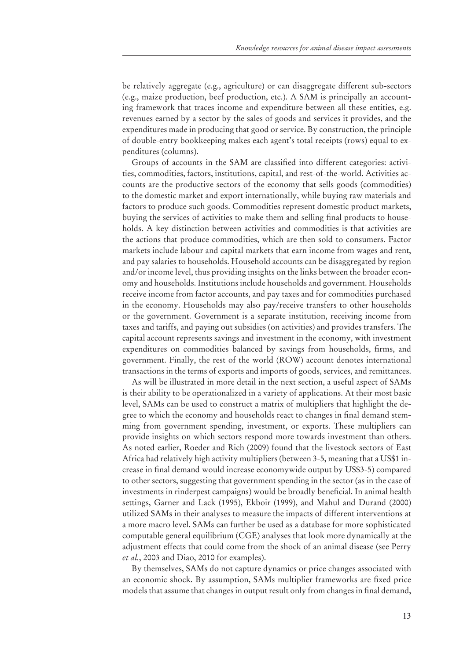be relatively aggregate (e.g., agriculture) or can disaggregate different sub-sectors (e.g., maize production, beef production, etc.). A SAM is principally an accounting framework that traces income and expenditure between all these entities, e.g. revenues earned by a sector by the sales of goods and services it provides, and the expenditures made in producing that good or service. By construction, the principle of double-entry bookkeeping makes each agent's total receipts (rows) equal to expenditures (columns).

Groups of accounts in the SAM are classified into different categories: activities, commodities, factors, institutions, capital, and rest-of-the-world. Activities accounts are the productive sectors of the economy that sells goods (commodities) to the domestic market and export internationally, while buying raw materials and factors to produce such goods. Commodities represent domestic product markets, buying the services of activities to make them and selling final products to households. A key distinction between activities and commodities is that activities are the actions that produce commodities, which are then sold to consumers. Factor markets include labour and capital markets that earn income from wages and rent, and pay salaries to households. Household accounts can be disaggregated by region and/or income level, thus providing insights on the links between the broader economy and households. Institutions include households and government. Households receive income from factor accounts, and pay taxes and for commodities purchased in the economy. Households may also pay/receive transfers to other households or the government. Government is a separate institution, receiving income from taxes and tariffs, and paying out subsidies (on activities) and provides transfers. The capital account represents savings and investment in the economy, with investment expenditures on commodities balanced by savings from households, firms, and government. Finally, the rest of the world (ROW) account denotes international transactions in the terms of exports and imports of goods, services, and remittances.

As will be illustrated in more detail in the next section, a useful aspect of SAMs is their ability to be operationalized in a variety of applications. At their most basic level, SAMs can be used to construct a matrix of multipliers that highlight the degree to which the economy and households react to changes in final demand stemming from government spending, investment, or exports. These multipliers can provide insights on which sectors respond more towards investment than others. As noted earlier, Roeder and Rich (2009) found that the livestock sectors of East Africa had relatively high activity multipliers (between 3-5, meaning that a US\$1 in crease in final demand would increase economywide output by US\$3-5) compared to other sectors, suggesting that government spending in the sector (as in the case of investments in rinderpest campaigns) would be broadly beneficial. In animal health settings, Garner and Lack (1995), Ekboir (1999), and Mahul and Durand (2000) utilized SAMs in their analyses to measure the impacts of different interventions at a more macro level. SAMs can further be used as a database for more sophisticated computable general equilibrium (CGE) analyses that look more dynamically at the adjustment effects that could come from the shock of an animal disease (see Perry *et al.*, 2003 and Diao, 2010 for examples).

By themselves, SAMs do not capture dynamics or price changes associated with an economic shock. By assumption, SAMs multiplier frameworks are fixed price models that assume that changes in output result only from changes in final demand,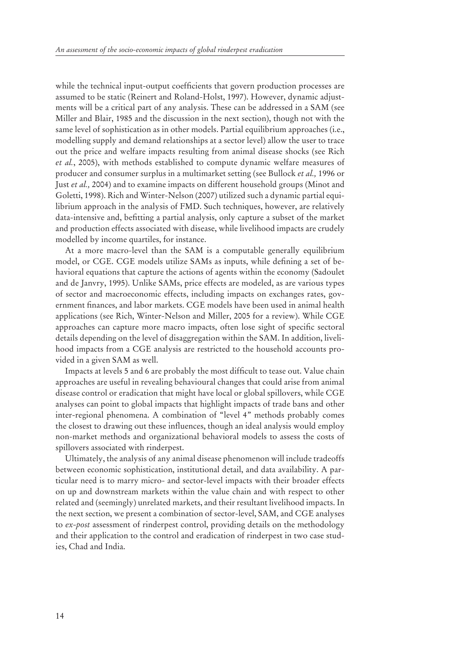while the technical input-output coefficients that govern production processes are assumed to be static (Reinert and Roland-Holst, 1997). However, dynamic adjustments will be a critical part of any analysis. These can be addressed in a SAM (see Miller and Blair, 1985 and the discussion in the next section), though not with the same level of sophistication as in other models. Partial equilibrium approaches (i.e., modelling supply and demand relationships at a sector level) allow the user to trace out the price and welfare impacts resulting from animal disease shocks (see Rich *et al.*, 2005), with methods established to compute dynamic welfare measures of producer and consumer surplus in a multimarket setting (see Bullock *et al.,* 1996 or Just *et al.,* 2004) and to examine impacts on different household groups (Minot and Goletti, 1998). Rich and Winter-Nelson (2007) utilized such a dynamic partial equilibrium approach in the analysis of FMD. Such techniques, however, are relatively data-intensive and, befitting a partial analysis, only capture a subset of the market and production effects associated with disease, while livelihood impacts are crudely modelled by income quartiles, for instance.

At a more macro-level than the SAM is a computable generally equilibrium model, or CGE. CGE models utilize SAMs as inputs, while defining a set of behavioral equations that capture the actions of agents within the economy (Sadoulet and de Janvry, 1995). Unlike SAMs, price effects are modeled, as are various types of sector and macroeconomic effects, including impacts on exchanges rates, government finances, and labor markets. CGE models have been used in animal health applications (see Rich, Winter-Nelson and Miller, 2005 for a review). While CGE approaches can capture more macro impacts, often lose sight of specific sectoral details depending on the level of disaggregation within the SAM. In addition, livelihood impacts from a CGE analysis are restricted to the household accounts provided in a given SAM as well.

Impacts at levels 5 and 6 are probably the most difficult to tease out. Value chain approaches are useful in revealing behavioural changes that could arise from animal disease control or eradication that might have local or global spillovers, while CGE analyses can point to global impacts that highlight impacts of trade bans and other inter-regional phenomena. A combination of "level 4" methods probably comes the closest to drawing out these influences, though an ideal analysis would employ non-market methods and organizational behavioral models to assess the costs of spillovers associated with rinderpest.

Ultimately, the analysis of any animal disease phenomenon will include tradeoffs between economic sophistication, institutional detail, and data availability. A particular need is to marry micro- and sector-level impacts with their broader effects on up and downstream markets within the value chain and with respect to other related and (seemingly) unrelated markets, and their resultant livelihood impacts. In the next section, we present a combination of sector-level, SAM, and CGE analyses to *ex-post* assessment of rinderpest control, providing details on the methodology and their application to the control and eradication of rinderpest in two case studies, Chad and India.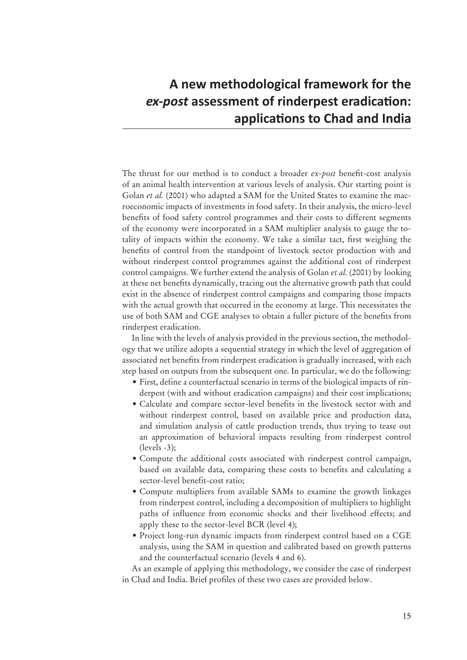# A new methodological framework for the *ex-post* assessment of rinderpest eradication: applications to Chad and India

The thrust for our method is to conduct a broader *ex-post* benefit-cost analysis of an animal health intervention at various levels of analysis. Our starting point is Golan *et al.* (2001) who adapted a SAM for the United States to examine the macroeconomic impacts of investments in food safety. In their analysis, the micro-level benefits of food safety control programmes and their costs to different segments of the economy were incorporated in a SAM multiplier analysis to gauge the totality of impacts within the economy. We take a similar tact, first weighing the benefits of control from the standpoint of livestock sector production with and without rinderpest control programmes against the additional cost of rinderpest control campaigns. We further extend the analysis of Golan *et al.* (2001) by looking at these net benefits dynamically, tracing out the alternative growth path that could exist in the absence of rinderpest control campaigns and comparing those impacts with the actual growth that occurred in the economy at large. This necessitates the use of both SAM and CGE analyses to obtain a fuller picture of the benefits from rinderpest eradication.

In line with the levels of analysis provided in the previous section, the methodology that we utilize adopts a sequential strategy in which the level of aggregation of associated net benefits from rinderpest eradication is gradually increased, with each step based on outputs from the subsequent one. In particular, we do the following:

- First, define a counterfactual scenario in terms of the biological impacts of rinderpest (with and without eradication campaigns) and their cost implications;
- Calculate and compare sector-level benefits in the livestock sector with and without rinderpest control, based on available price and production data, and simulation analysis of cattle production trends, thus trying to tease out an approximation of behavioral impacts resulting from rinderpest control  $(\text{levels} -3);$
- Compute the additional costs associated with rinderpest control campaign, based on available data, comparing these costs to benefits and calculating a sector-level benefit-cost ratio;
- Compute multipliers from available SAMs to examine the growth linkages from rinderpest control, including a decomposition of multipliers to highlight paths of influence from economic shocks and their livelihood effects; and apply these to the sector-level BCR (level 4);
- Project long-run dynamic impacts from rinderpest control based on a CGE analysis, using the SAM in question and calibrated based on growth patterns and the counterfactual scenario (levels 4 and 6).

As an example of applying this methodology, we consider the case of rinderpest in Chad and India. Brief profiles of these two cases are provided below.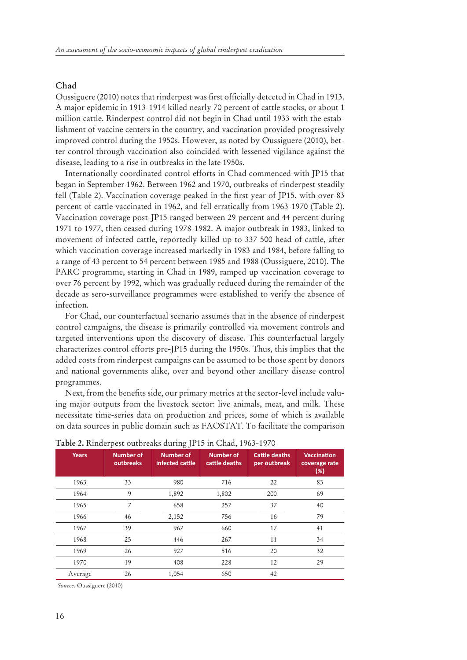#### **Chad**

Oussiguere (2010) notes that rinderpest was first officially detected in Chad in 1913. A major epidemic in 1913-1914 killed nearly 70 percent of cattle stocks, or about 1 million cattle. Rinderpest control did not begin in Chad until 1933 with the establishment of vaccine centers in the country, and vaccination provided progressively improved control during the 1950s. However, as noted by Oussiguere (2010), better control through vaccination also coincided with lessened vigilance against the disease, leading to a rise in outbreaks in the late 1950s.

Internationally coordinated control efforts in Chad commenced with JP15 that began in September 1962. Between 1962 and 1970, outbreaks of rinderpest steadily fell (Table 2). Vaccination coverage peaked in the first year of JP15, with over 83 percent of cattle vaccinated in 1962, and fell erratically from 1963-1970 (Table 2). Vaccination coverage post-JP15 ranged between 29 percent and 44 percent during 1971 to 1977, then ceased during 1978-1982. A major outbreak in 1983, linked to movement of infected cattle, reportedly killed up to 337 500 head of cattle, after which vaccination coverage increased markedly in 1983 and 1984, before falling to a range of 43 percent to 54 percent between 1985 and 1988 (Oussiguere, 2010). The PARC programme, starting in Chad in 1989, ramped up vaccination coverage to over 76 percent by 1992, which was gradually reduced during the remainder of the decade as sero-surveillance programmes were established to verify the absence of infection.

For Chad, our counterfactual scenario assumes that in the absence of rinderpest control campaigns, the disease is primarily controlled via movement controls and targeted interventions upon the discovery of disease. This counterfactual largely characterizes control efforts pre-JP15 during the 1950s. Thus, this implies that the added costs from rinderpest campaigns can be assumed to be those spent by donors and national governments alike, over and beyond other ancillary disease control programmes.

Next, from the benefits side, our primary metrics at the sector-level include valuing major outputs from the livestock sector: live animals, meat, and milk. These necessitate time-series data on production and prices, some of which is available on data sources in public domain such as FAOSTAT. To facilitate the comparison

| <b>Years</b> | <b>Number of</b><br>outbreaks | $\sim$ $\sim$<br><b>Number of</b><br>infected cattle | <b>Number of</b><br>cattle deaths | <b>Cattle deaths</b><br>per outbreak | <b>Vaccination</b><br>coverage rate<br>(%) |
|--------------|-------------------------------|------------------------------------------------------|-----------------------------------|--------------------------------------|--------------------------------------------|
| 1963         | 33                            | 980                                                  | 716                               | 22                                   | 83                                         |
| 1964         | 9                             | 1,892                                                | 1,802                             | 200                                  | 69                                         |
| 1965         | 7                             | 658                                                  | 257                               | 37                                   | 40                                         |
| 1966         | 46                            | 2,152                                                | 756                               | 16                                   | 79                                         |
| 1967         | 39                            | 967                                                  | 660                               | 17                                   | 41                                         |
| 1968         | 25                            | 446                                                  | 267                               | 11                                   | 34                                         |
| 1969         | 26                            | 927                                                  | 516                               | 20                                   | 32                                         |
| 1970         | 19                            | 408                                                  | 228                               | 12                                   | 29                                         |
| Average      | 26                            | 1,054                                                | 650                               | 42                                   |                                            |

**Table 2.** Rinderpest outbreaks during JP15 in Chad, 1963-1970

*Source:* Oussiguere (2010)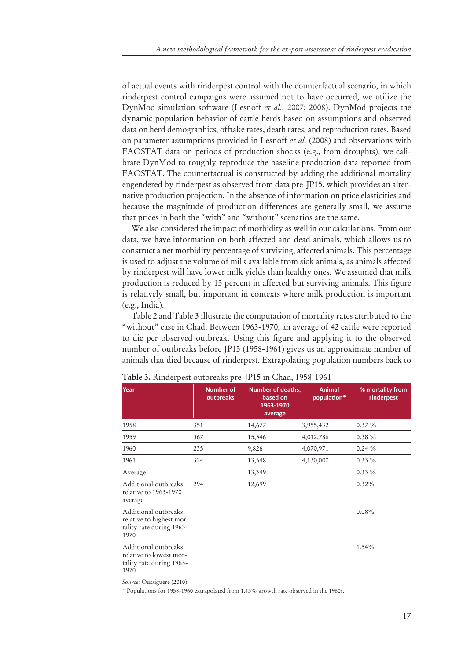of actual events with rinderpest control with the counterfactual scenario, in which rinderpest control campaigns were assumed not to have occurred, we utilize the DynMod simulation software (Lesnoff *et al.,* 2007; 2008). DynMod projects the dynamic population behavior of cattle herds based on assumptions and observed data on herd demographics, offtake rates, death rates, and reproduction rates. Based on parameter assumptions provided in Lesnoff *et al.* (2008) and observations with FAOSTAT data on periods of production shocks (e.g., from droughts), we calibrate DynMod to roughly reproduce the baseline production data reported from FAOSTAT. The counterfactual is constructed by adding the additional mortality engendered by rinderpest as observed from data pre-JP15, which provides an alternative production projection. In the absence of information on price elasticities and because the magnitude of production differences are generally small, we assume that prices in both the "with" and "without" scenarios are the same.

We also considered the impact of morbidity as well in our calculations. From our data, we have information on both affected and dead animals, which allows us to construct a net morbidity percentage of surviving, affected animals. This percentage is used to adjust the volume of milk available from sick animals, as animals affected by rinderpest will have lower milk yields than healthy ones. We assumed that milk production is reduced by 15 percent in affected but surviving animals. This figure is relatively small, but important in contexts where milk production is important (e.g., India).

Table 2 and Table 3 illustrate the computation of mortality rates attributed to the "without" case in Chad. Between 1963-1970, an average of 42 cattle were reported to die per observed outbreak. Using this figure and applying it to the observed number of outbreaks before JP15 (1958-1961) gives us an approximate number of animals that died because of rinderpest. Extrapolating population numbers back to

| Year                                                                                 | <b>Number of</b><br>outbreaks | <b>Number of deaths,</b><br>based on<br>1963-1970<br>average | <b>Animal</b><br>population* | % mortality from<br>rinderpest |
|--------------------------------------------------------------------------------------|-------------------------------|--------------------------------------------------------------|------------------------------|--------------------------------|
| 1958                                                                                 | 351                           | 14,677                                                       | 3,955,432                    | 0.37%                          |
| 1959                                                                                 | 367                           | 15,346                                                       | 4,012,786                    | 0.38%                          |
| 1960                                                                                 | 235                           | 9,826                                                        | 4,070,971                    | 0.24%                          |
| 1961                                                                                 | 324                           | 13,548                                                       | 4,130,000                    | $0.33\%$                       |
| Average                                                                              |                               | 13,349                                                       |                              | $0.33\%$                       |
| Additional outbreaks<br>relative to 1963-1970<br>average                             | 294                           | 12,699                                                       |                              | 0.32%                          |
| Additional outbreaks<br>relative to highest mor-<br>tality rate during 1963-<br>1970 |                               |                                                              |                              | 0.08%                          |
| Additional outbreaks<br>relative to lowest mor-<br>tality rate during 1963-<br>1970  |                               |                                                              |                              | 1.54%                          |
|                                                                                      |                               |                                                              |                              |                                |

**Table 3.** Rinderpest outbreaks pre-JP15 in Chad, 1958-1961

*Source:* Oussiguere (2010).

\* Populations for 1958-1960 extrapolated from 1.45% growth rate observed in the 1960s.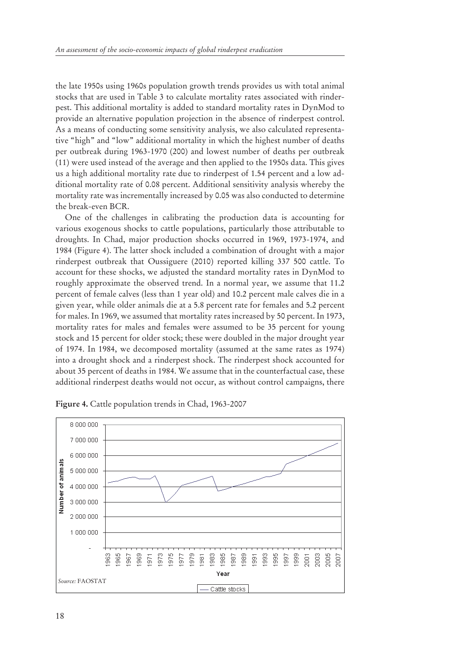the late 1950s using 1960s population growth trends provides us with total animal stocks that are used in Table 3 to calculate mortality rates associated with rinderpest. This additional mortality is added to standard mortality rates in DynMod to provide an alternative population projection in the absence of rinderpest control. As a means of conducting some sensitivity analysis, we also calculated representative "high" and "low" additional mortality in which the highest number of deaths per outbreak during 1963-1970 (200) and lowest number of deaths per outbreak (11) were used instead of the average and then applied to the 1950s data. This gives us a high additional mortality rate due to rinderpest of 1.54 percent and a low additional mortality rate of 0.08 percent. Additional sensitivity analysis whereby the mortality rate was incrementally increased by 0.05 was also conducted to determine the break-even BCR.

One of the challenges in calibrating the production data is accounting for various exogenous shocks to cattle populations, particularly those attributable to droughts. In Chad, major production shocks occurred in 1969, 1973-1974, and 1984 (Figure 4). The latter shock included a combination of drought with a major rinderpest outbreak that Oussiguere (2010) reported killing 337 500 cattle. To account for these shocks, we adjusted the standard mortality rates in DynMod to roughly approximate the observed trend. In a normal year, we assume that 11.2 percent of female calves (less than 1 year old) and 10.2 percent male calves die in a given year, while older animals die at a 5.8 percent rate for females and 5.2 percent for males. In 1969, we assumed that mortality rates increased by 50 percent. In 1973, mortality rates for males and females were assumed to be 35 percent for young stock and 15 percent for older stock; these were doubled in the major drought year of 1974. In 1984, we decomposed mortality (assumed at the same rates as 1974) into a drought shock and a rinderpest shock. The rinderpest shock accounted for about 35 percent of deaths in 1984. We assume that in the counterfactual case, these additional rinderpest deaths would not occur, as without control campaigns, there



**Figure 4.** Cattle population trends in Chad, 1963-2007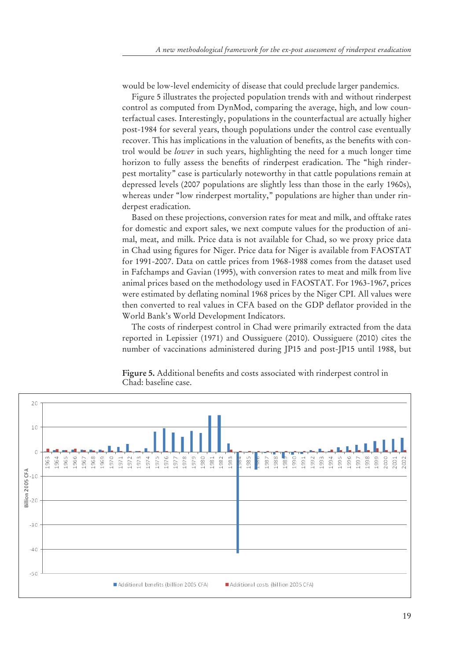would be low-level endemicity of disease that could preclude larger pandemics.

Figure 5 illustrates the projected population trends with and without rinderpest control as computed from DynMod, comparing the average, high, and low counterfactual cases. Interestingly, populations in the counterfactual are actually higher post-1984 for several years, though populations under the control case eventually recover. This has implications in the valuation of benefits, as the benefits with control would be *lower* in such years, highlighting the need for a much longer time horizon to fully assess the benefits of rinderpest eradication. The "high rinderpest mortality" case is particularly noteworthy in that cattle populations remain at depressed levels (2007 populations are slightly less than those in the early 1960s), whereas under "low rinderpest mortality," populations are higher than under rinderpest eradication.

Based on these projections, conversion rates for meat and milk, and offtake rates for domestic and export sales, we next compute values for the production of animal, meat, and milk. Price data is not available for Chad, so we proxy price data in Chad using figures for Niger. Price data for Niger is available from FAOSTAT for 1991-2007. Data on cattle prices from 1968-1988 comes from the dataset used in Fafchamps and Gavian (1995), with conversion rates to meat and milk from live animal prices based on the methodology used in FAOSTAT. For 1963-1967, prices were estimated by deflating nominal 1968 prices by the Niger CPI. All values were then converted to real values in CFA based on the GDP deflator provided in the World Bank's World Development Indicators.

The costs of rinderpest control in Chad were primarily extracted from the data reported in Lepissier (1971) and Oussiguere (2010). Oussiguere (2010) cites the number of vaccinations administered during JP15 and post-JP15 until 1988, but



Figure 5. Additional benefits and costs associated with rinderpest control in Chad: baseline case.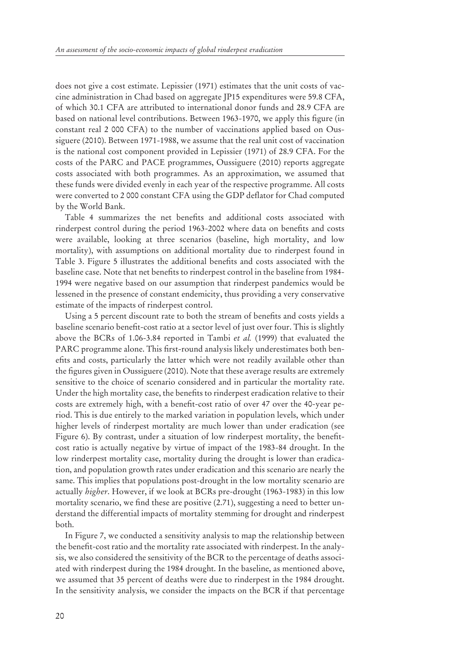does not give a cost estimate. Lepissier (1971) estimates that the unit costs of vaccine administration in Chad based on aggregate JP15 expenditures were 59.8 CFA, of which 30.1 CFA are attributed to international donor funds and 28.9 CFA are based on national level contributions. Between 1963-1970, we apply this figure (in constant real 2 000 CFA) to the number of vaccinations applied based on Oussiguere (2010). Between 1971-1988, we assume that the real unit cost of vaccination is the national cost component provided in Lepissier (1971) of 28.9 CFA. For the costs of the PARC and PACE programmes, Oussiguere (2010) reports aggregate costs associated with both programmes. As an approximation, we assumed that these funds were divided evenly in each year of the respective programme. All costs were converted to 2 000 constant CFA using the GDP deflator for Chad computed by the World Bank.

Table 4 summarizes the net benefits and additional costs associated with rinderpest control during the period 1963-2002 where data on benefits and costs were available, looking at three scenarios (baseline, high mortality, and low mortality), with assumptions on additional mortality due to rinderpest found in Table 3. Figure 5 illustrates the additional benefits and costs associated with the baseline case. Note that net benefits to rinderpest control in the baseline from 1984-1994 were negative based on our assumption that rinderpest pandemics would be lessened in the presence of constant endemicity, thus providing a very conservative estimate of the impacts of rinderpest control.

Using a 5 percent discount rate to both the stream of benefits and costs yields a baseline scenario benefit-cost ratio at a sector level of just over four. This is slightly above the BCRs of 1.06-3.84 reported in Tambi *et al.* (1999) that evaluated the PARC programme alone. This first-round analysis likely underestimates both benefits and costs, particularly the latter which were not readily available other than the figures given in Oussiguere (2010). Note that these average results are extremely sensitive to the choice of scenario considered and in particular the mortality rate. Under the high mortality case, the benefits to rinderpest eradication relative to their costs are extremely high, with a benefit-cost ratio of over 47 over the 40-year period. This is due entirely to the marked variation in population levels, which under higher levels of rinderpest mortality are much lower than under eradication (see Figure 6). By contrast, under a situation of low rinderpest mortality, the benefitcost ratio is actually negative by virtue of impact of the 1983-84 drought. In the low rinderpest mortality case, mortality during the drought is lower than eradication, and population growth rates under eradication and this scenario are nearly the same. This implies that populations post-drought in the low mortality scenario are actually *higher*. However, if we look at BCRs pre-drought (1963-1983) in this low mortality scenario, we find these are positive (2.71), suggesting a need to better understand the differential impacts of mortality stemming for drought and rinderpest both.

In Figure 7, we conducted a sensitivity analysis to map the relationship between the benefit-cost ratio and the mortality rate associated with rinderpest. In the analysis, we also considered the sensitivity of the BCR to the percentage of deaths associated with rinderpest during the 1984 drought. In the baseline, as mentioned above, we assumed that 35 percent of deaths were due to rinderpest in the 1984 drought. In the sensitivity analysis, we consider the impacts on the BCR if that percentage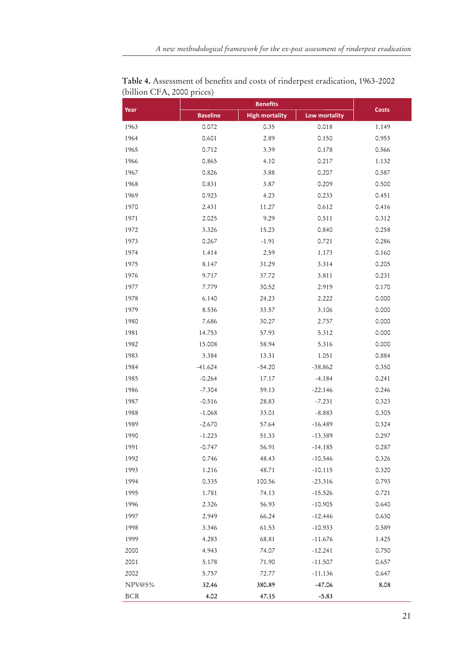| Year       |                 | <b>Benefits</b>       |               | <b>Costs</b> |
|------------|-----------------|-----------------------|---------------|--------------|
|            | <b>Baseline</b> | <b>High mortality</b> | Low mortality |              |
| 1963       | 0.072           | 0.35                  | 0.018         | 1.149        |
| 1964       | 0.601           | 2.89                  | 0.150         | 0.953        |
| 1965       | 0.712           | 3.39                  | 0.178         | 0.566        |
| 1966       | 0.865           | 4.10                  | 0.217         | 1.132        |
| 1967       | 0.826           | 3.88                  | 0.207         | 0.587        |
| 1968       | 0.831           | 3.87                  | 0.209         | 0.500        |
| 1969       | 0.923           | 4.23                  | 0.233         | 0.451        |
| 1970       | 2.431           | 11.27                 | 0.612         | 0.416        |
| 1971       | 2.025           | 9.29                  | 0.511         | 0.312        |
| 1972       | 3.326           | 15.23                 | 0.840         | 0.258        |
| 1973       | 0.267           | $-1.91$               | 0.721         | 0.286        |
| 1974       | 1.414           | 2.59                  | 1.173         | 0.160        |
| 1975       | 8.147           | 31.29                 | 3.314         | 0.205        |
| 1976       | 9.717           | 37.72                 | 3.811         | 0.231        |
| 1977       | 7.779           | 30.52                 | 2.919         | 0.170        |
| 1978       | 6.140           | 24.23                 | 2.222         | 0.000        |
| 1979       | 8.536           | 33.57                 | 3.106         | 0.000        |
| 1980       | 7.686           | 30.27                 | 2.737         | 0.000        |
| 1981       | 14.753          | 57.93                 | 5.312         | 0.000        |
| 1982       | 15.008          | 58.94                 | 5.316         | 0.000        |
| 1983       | 3.384           | 13.31                 | 1.051         | 0.884        |
| 1984       | $-41.624$       | $-54.20$              | $-38.862$     | 0.350        |
| 1985       | $-0.264$        | 17.17                 | $-4.184$      | 0.241        |
| 1986       | $-7.304$        | 59.13                 | $-22.146$     | 0.246        |
| 1987       | $-0.516$        | 28.83                 | $-7.231$      | 0.323        |
| 1988       | $-1.068$        | 33.01                 | $-8.883$      | 0.305        |
| 1989       | $-2.670$        | 57.64                 | $-16.489$     | 0.324        |
| 1990       | $-1.223$        | 51.33                 | $-13.389$     | 0.297        |
| 1991       | $-0.747$        | 56.91                 | $-14.185$     | 0.287        |
| 1992       | 0.746           | 48.43                 | $-10.546$     | 0.326        |
| 1993       | 1.216           | 48.71                 | $-10.115$     | 0.320        |
| 1994       | 0.335           | 100.56                | $-23.316$     | 0.793        |
| 1995       | 1.781           | 74.13                 | $-15.526$     | 0.721        |
| 1996       | 2.326           | 56.93                 | $-10.905$     | 0.640        |
| 1997       | 2.949           | 66.24                 | $-12.446$     | 0.630        |
| 1998       | 3.346           | 61.53                 | $-10.933$     | 0.589        |
| 1999       | 4.283           | 68.81                 | $-11.676$     | 1.425        |
| 2000       | 4.943           | 74.07                 | $-12.241$     | 0.750        |
| 2001       | 5.178           | 71.90                 | $-11.507$     | 0.657        |
| 2002       | 5.757           | 72.77                 | $-11.136$     | 0.647        |
| NPV@5%     | 32.46           | 380.89                | $-47.06$      | 8.08         |
| <b>BCR</b> | 4.02            | 47.15                 | $-5.83$       |              |

Table 4. Assessment of benefits and costs of rinderpest eradication, 1963-2002 (billion CFA, 2000 prices)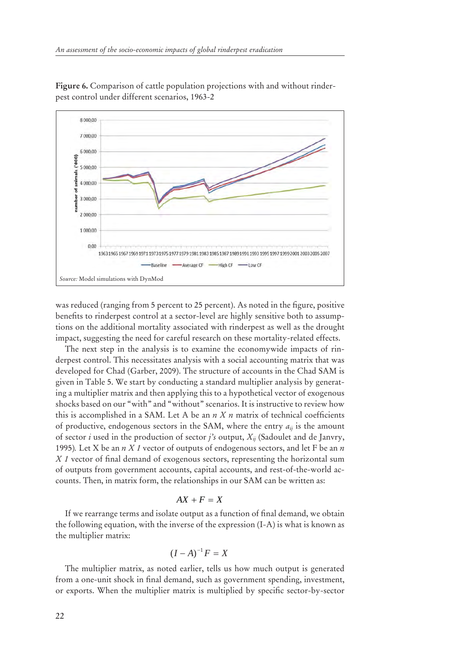

**Figure 6.** Comparison of cattle population projections with and without rinderpest control under different scenarios, 1963-2

was reduced (ranging from 5 percent to 25 percent). As noted in the figure, positive benefits to rinderpest control at a sector-level are highly sensitive both to assumptions on the additional mortality associated with rinderpest as well as the drought impact, suggesting the need for careful research on these mortality-related effects.

The next step in the analysis is to examine the economywide impacts of rinderpest control. This necessitates analysis with a social accounting matrix that was developed for Chad (Garber, 2009). The structure of accounts in the Chad SAM is given in Table 5. We start by conducting a standard multiplier analysis by generating a multiplier matrix and then applying this to a hypothetical vector of exogenous shocks based on our "with" and "without" scenarios. It is instructive to review how this is accomplished in a SAM. Let A be an  $n X n$  matrix of technical coefficients of productive, endogenous sectors in the SAM, where the entry  $a_{ii}$  is the amount of sector *i* used in the production of sector *j's* output, *Xij* (Sadoulet and de Janvry, 1995)*.* Let X be an *n X 1* vector of outputs of endogenous sectors, and let F be an *n X 1* vector of final demand of exogenous sectors, representing the horizontal sum of outputs from government accounts, capital accounts, and rest-of-the-world accounts. Then, in matrix form, the relationships in our SAM can be written as:

## $AX + F = X$

If we rearrange terms and isolate output as a function of final demand, we obtain the following equation, with the inverse of the expression (I-A) is what is known as the multiplier matrix:

$$
(I-A)^{-1}F=X
$$

The multiplier matrix, as noted earlier, tells us how much output is generated from a one-unit shock in final demand, such as government spending, investment, or exports. When the multiplier matrix is multiplied by specific sector-by-sector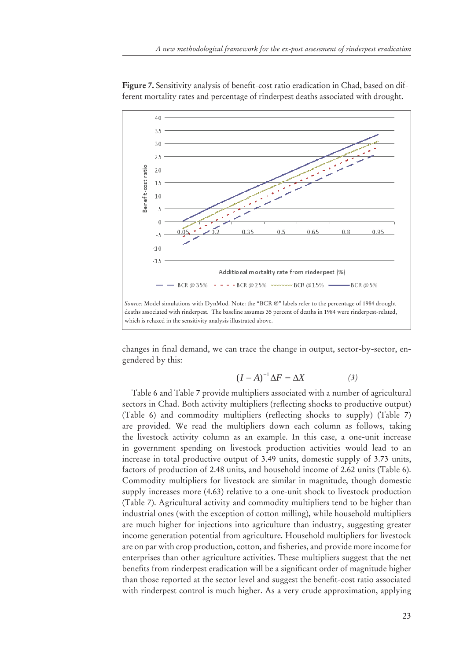

Figure 7. Sensitivity analysis of benefit-cost ratio eradication in Chad, based on different mortality rates and percentage of rinderpest deaths associated with drought.

changes in final demand, we can trace the change in output, sector-by-sector, engendered by this:

$$
(I - A)^{-1} \Delta F = \Delta X \tag{3}
$$

Table 6 and Table 7 provide multipliers associated with a number of agricultural sectors in Chad. Both activity multipliers (reflecting shocks to productive output) (Table 6) and commodity multipliers (reflecting shocks to supply) (Table 7) are provided. We read the multipliers down each column as follows, taking the livestock activity column as an example. In this case, a one-unit increase in government spending on livestock production activities would lead to an increase in total productive output of 3.49 units, domestic supply of 3.73 units, factors of production of 2.48 units, and household income of 2.62 units (Table 6). Commodity multipliers for livestock are similar in magnitude, though domestic supply increases more (4.63) relative to a one-unit shock to livestock production (Table 7). Agricultural activity and commodity multipliers tend to be higher than industrial ones (with the exception of cotton milling), while household multipliers are much higher for injections into agriculture than industry, suggesting greater income generation potential from agriculture. Household multipliers for livestock are on par with crop production, cotton, and fisheries, and provide more income for enterprises than other agriculture activities. These multipliers suggest that the net benefits from rinderpest eradication will be a significant order of magnitude higher than those reported at the sector level and suggest the benefit-cost ratio associated with rinderpest control is much higher. As a very crude approximation, applying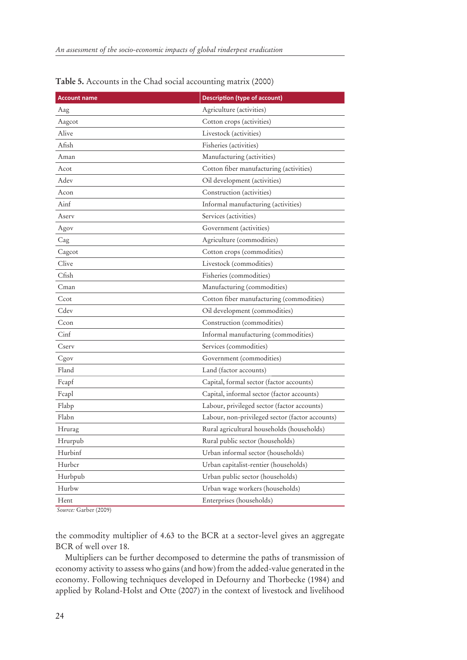| <b>Account name</b> | <b>Description (type of account)</b>            |
|---------------------|-------------------------------------------------|
| Aag                 | Agriculture (activities)                        |
| Aagcot              | Cotton crops (activities)                       |
| Alive               | Livestock (activities)                          |
| Afish               | Fisheries (activities)                          |
| Aman                | Manufacturing (activities)                      |
| Acot                | Cotton fiber manufacturing (activities)         |
| Adev                | Oil development (activities)                    |
| Acon                | Construction (activities)                       |
| Ainf                | Informal manufacturing (activities)             |
| Aserv               | Services (activities)                           |
| Agov                | Government (activities)                         |
| Cag                 | Agriculture (commodities)                       |
| Cagcot              | Cotton crops (commodities)                      |
| Clive               | Livestock (commodities)                         |
| Cfish               | Fisheries (commodities)                         |
| Cman                | Manufacturing (commodities)                     |
| Ccot                | Cotton fiber manufacturing (commodities)        |
| Cdev                | Oil development (commodities)                   |
| Ccon                | Construction (commodities)                      |
| Cinf                | Informal manufacturing (commodities)            |
| Cserv               | Services (commodities)                          |
| Cgov                | Government (commodities)                        |
| Fland               | Land (factor accounts)                          |
| Fcapf               | Capital, formal sector (factor accounts)        |
| Fcapl               | Capital, informal sector (factor accounts)      |
| Flabp               | Labour, privileged sector (factor accounts)     |
| Flabn               | Labour, non-privileged sector (factor accounts) |
| Hrurag              | Rural agricultural households (households)      |
| Hrurpub             | Rural public sector (households)                |
| Hurbinf             | Urban informal sector (households)              |
| Hurbcr              | Urban capitalist-rentier (households)           |
| Hurbpub             | Urban public sector (households)                |
| Hurbw               | Urban wage workers (households)                 |
| Hent                | Enterprises (households)                        |

**Table 5.** Accounts in the Chad social accounting matrix (2000)

*Source:* Garber (2009)

the commodity multiplier of 4.63 to the BCR at a sector-level gives an aggregate BCR of well over 18.

Multipliers can be further decomposed to determine the paths of transmission of economy activity to assess who gains (and how) from the added-value generated in the economy. Following techniques developed in Defourny and Thorbecke (1984) and applied by Roland-Holst and Otte (2007) in the context of livestock and livelihood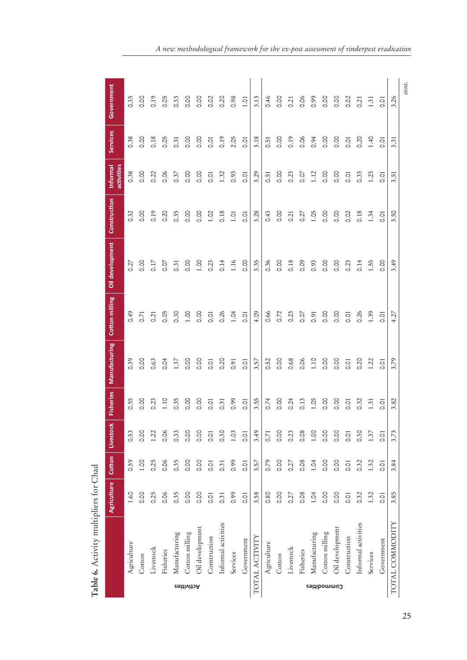|                   |                     |      |      |      |                |      |                | Agriculture Cotton Livestock Fisheries Manufacturing Cotton milling Oil development Construction |                   | activities<br>Informal | <b>Services</b>  | Government |
|-------------------|---------------------|------|------|------|----------------|------|----------------|--------------------------------------------------------------------------------------------------|-------------------|------------------------|------------------|------------|
|                   | Agriculture         | 1.60 | 0.59 | 0.53 | 0.55           | 0.39 | 0.49           | 0.27                                                                                             | 0.32              | 0.38                   | 0.38             | 0.35       |
|                   | Cotton              | 0.00 | 1.00 | 0.00 | <b>O.O</b>     | 0.00 | 0.71           | 0.00                                                                                             | 0.00              | oo.o                   | 0.00             | 0.00       |
|                   | Livestock           | 0.25 | 0.25 | 1.22 | 0.23           | 0.63 | 0.21           | 0.17                                                                                             | 0.19              | 0.22                   | 0.18             | 0.19       |
|                   | Fisheries           | 0.06 | 0.06 | 0.06 | 1.10           | 0.04 | 0.05           | $\frac{5}{2}$                                                                                    | 0.20              | 0.06                   | 0.05             | 0.05       |
|                   | Manufacturing       | 0.35 | 0.35 | 0.33 | 0.35           | 1.37 | 0.30           | 0.31                                                                                             | 0.35              | 0.37                   | 0.31             | 0.33       |
| <b>Rctivities</b> | Cotton milling      | 0.00 | 0.00 | 0.00 | 0.00           | 0.00 | 1.00           | 0.00                                                                                             | 0.00              | 0.00                   | 0.00             | 0.00       |
|                   | Oil development     | 0.00 | 0.00 | 8.00 | 0.00           | O.OO | 0.00           | 1.00                                                                                             | 0.00              | 0.00                   | 0.00             | 0.00       |
|                   | Construction        | 0.01 | 0.01 | 0.01 | 0.01           | 0.01 | 0.01           | 0.23                                                                                             | 1.02              | 0.01                   | $\overline{0}$ . | 0.02       |
|                   | Informal activities | 0.31 | 0.31 | 0.30 | 0.31           | 0.20 | 0.26           | 0.14                                                                                             | 0.18              | 1.32                   | 0.19             | 0.20       |
|                   | Services            | 0.99 | 0.99 | 1.03 | 0.99           | 0.91 | 1.04           | 1.16                                                                                             | 1.01              | 0.93                   | 2.05             | 0.98       |
|                   | Government          | 0.01 | 0.01 | 0.01 | 0.01           | 0.01 | 0.01           | 0.00                                                                                             | 0.01              | 0.01                   | 0.01             | 1.01       |
|                   | TOTAL ACTIVITY      | 3.58 | 3.57 | 3.49 | 3.55           | 3.57 | 4.09           | 3.35                                                                                             | 3.28              | 3.29                   | 3.18             | 3.13       |
|                   | Agriculture         | 0.80 | 0.79 | 0.71 | 0.74           | 0.52 | 0.66           | 0.36                                                                                             | 0.43              | 0.51                   | 0.51             | 0.46       |
|                   | Cotton              | 0.00 | 0.00 | 0.00 | <b>0.00</b>    | 0.00 | 0.72           | 0.00                                                                                             | <b>0.00</b>       | <b>0.00</b>            | 0.00             | 0.00       |
|                   | Livestock           | 0.27 | 0.27 | 0.23 | 0.24           | 0.68 | 0.23           | 0.18                                                                                             | $\overline{0.21}$ | 0.23                   | 0.19             | 0.21       |
|                   | Fisheries           | 0.08 | 0.08 | 0.08 | 0.13           | 0.06 | 0.07           | 0.09                                                                                             | 0.27              | 0.07                   | 0.06             | 0.06       |
|                   | Manufacturing       | 1.04 | 1.04 | 1.00 | 1.05           | 1.10 | 0.91           | 0.93                                                                                             | 1.05              | 1.12                   | 0.94             | 0.99       |
|                   | Cotton milling      | 0.00 | 0.00 | 0.00 | $\frac{8}{2}$  | 0.00 | 0.00           | 0.00                                                                                             | 0.00              | 0.00                   | 0.00             | 0.00       |
| Commodities       | Oil development     | 0.00 | 0.00 | 0.00 | $\frac{8}{10}$ | 0.00 | 0.00           | 0.00                                                                                             | 0.00              | 0.00                   | 0.00             | 0.00       |
|                   | Construction        | 0.01 | 0.01 | 0.01 | $\overline{5}$ | 0.01 | 0.01           | 0.23                                                                                             | 0.02              | 0.01                   | 0.01             | 0.02       |
|                   | Informal activities | 0.32 | 0.32 | 0.30 | 0.32           | 0.20 | 0.26           | 0.14                                                                                             | 0.18              | 0.33                   | 0.20             | 0.21       |
|                   | Services            | 1.32 | 1.32 | 1.37 | 1.31           | 1.22 | 1.39           | 1.55                                                                                             | 1.34              | 1.23                   | 1.40             | 1.31       |
|                   | Government          | 0.01 | 0.01 | 0.01 | 5<br>o         | 0.01 | $\overline{0}$ | 0.00                                                                                             | $\overline{O}$    | co                     | $\overline{O}$   | ō.o        |
|                   | TOTAL COMMODITY     | 3.85 | 3.84 | 3.73 | 3.82           | 3.79 | 4.27           | 3.49                                                                                             | 3.50              | 3.51                   | 3.31             | 3.26       |
|                   |                     |      |      |      |                |      |                |                                                                                                  |                   |                        |                  | cont       |

Table 6. Activity multipliers for Chad **Table 6.** Activity multipliers for Chad

*A new methodological framework for the ex-post assessment of rinderpest eradication*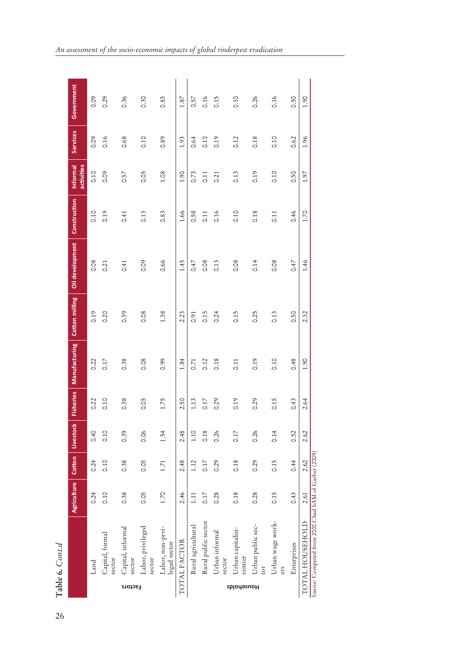|            | Table 6. Cont.d                                      |                    |      |                    |                  |               |                       |                 |              |                        |                 |            |
|------------|------------------------------------------------------|--------------------|------|--------------------|------------------|---------------|-----------------------|-----------------|--------------|------------------------|-----------------|------------|
|            |                                                      | <b>Agriculture</b> |      | Cotton   Livestock | <b>Fisheries</b> | Manufacturing | <b>Cotton milling</b> | Oil development | Construction | activities<br>Informal | <b>Services</b> | Government |
|            | Land                                                 | 0.24               | 0.24 | 0.40               | 0.22             | 0.22          | 0.19                  | 0.08            | 0.10         | 0.10                   | 0.09            | 0.09       |
|            | Capital, formal<br>sector                            | 0.10               | 0.10 | 0.10               | 0.10             | 0.17          | 0.20                  | 0.21            | 0.19         | 0.09                   | 0.16            | 0.29       |
| Factors    | Capital, informal<br>sector                          | 0.38               | 0.38 | 0.39               | 0.38             | 0.38          | 0.39                  | 0.41            | 0.41         | 0.57                   | 0.68            | 0.36       |
|            | Labor, privileged<br>sector                          | 0.05               | 0.05 | 0.06               | 0.05             | 0.08          | 0.08                  | <b>eco</b>      | 0.13         | 0.05                   | 0.10            | 0.30       |
|            | Labor, non-prvi-<br>leged sector                     | 1.70               | 1.71 | 1.54               | 1.75             | 0.99          | 1.38                  | 0.66            | 0.83         | 1.08                   | 0.89            | 0.83       |
|            | TOTAL FACTOR                                         | 2.46               | 2.48 | 2.48               | 2.50             | 1.84          | 2.23                  | 1.45            | 1.66         | 1.90                   | 1.93            | 1.87       |
|            | Rural agricultural                                   | 1.11               | 1.12 | 1.10               | 1.13             | 0.71          | 0.91                  | 0.47            | 0.58         | 0.73                   | 0.64            | 0.57       |
|            | Rural public sector                                  | 0.17               | 0.17 | 0.18               | 0.17             | 0.12          | 0.15                  | 0.08            | 0.11         | $\overline{0.11}$      | 0.10            | 0.16       |
|            | Urban informal<br>sector                             | 0.28               | 0.29 | 0.26               | 0.29             | 0.18          | 0.24                  | 0.13            | 0.16         | 0.21                   | 0.19            | 0.15       |
| splodesuoH | Urban capitalist-<br>rentier                         | 0.18               | 0.18 | 0.17               | 0.19             | 0.11          | 0.15                  | 0.08            | 0.10         | 0.13                   | 0.12            | 0.10       |
|            | Urban public sec-<br>tor                             | 0.28               | 0.29 | 0.26               | 0.29             | 0.19          | 0.25                  | 0.14            | 0.18         | 0.19                   | 0.18            | 0.26       |
|            | Urban wage work-<br>ers                              | 0.15               | 0.15 | 0.14               | 0.15             | 0.10          | 0.13                  | 0.08            | 0.11         | 0.10                   | $\frac{10}{10}$ | 0.16       |
|            | Enterprises                                          | 0.43               | 0.44 | 0.52               | 0.43             | 0.48          | 0.50                  | 0.47            | 0.46         | 0.50                   | 0.62            | 0.50       |
|            | TOTAL HOUSEHOLD                                      | 2.61               | 2.62 | 2.62               | 2.64             | 1.90          | 2.32                  | 1.46            | 1.70         | 1.97                   | 1.96            | 1.90       |
|            | Source: Computed from 2000 Chad SAM of Garber (2009) |                    |      |                    |                  |               |                       |                 |              |                        |                 |            |

*An assessment of the socio-economic impacts of global rinderpest eradication*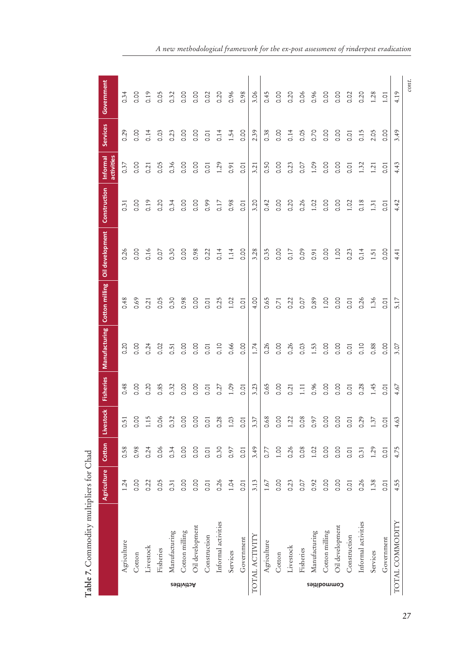|                   |                     | Agriculture Cotton |      | Livestock                 |      |            |      | Fisheries   Manufacturing   Cotton milling   Oil development | Construction | Informal<br>activities | <b>Services</b> | Government |
|-------------------|---------------------|--------------------|------|---------------------------|------|------------|------|--------------------------------------------------------------|--------------|------------------------|-----------------|------------|
|                   | Agriculture         | 1.24               | 0.58 | 51<br>O                   | 0.48 | 0.20       | 0.48 | 0.26                                                         | 0.31         | 0.37                   | 0.29            | 0.34       |
|                   | Cotton              | 0.00               | 0.98 | S.<br>$\circ$             | 0.00 | 0.00       | 0.69 | 0.00                                                         | 0.00         | 0.00                   | oo.oo           | 0.00       |
|                   | Livestock           | 0.22               | 0.24 | $\ddot{.}15$              | 0.20 | 0.24       | 0.21 | 0.16                                                         | 0.19         | 0.21                   | 0.14            | 0.19       |
|                   | Fisheries           | 0.05               | 0.06 | $\infty$<br>$\circ$       | 0.85 | 0.02       | 0.05 | 0.07                                                         | 0.20         | 0.05                   | 0.03            | 0.05       |
|                   | Manufacturing       | 0.31               | 0.34 | 32<br>$\circ$             | 0.32 | 0.51       | 0.30 | 0.30                                                         | 0.34         | 0.36                   | 0.23            | 0.32       |
| <b>Rctivities</b> | Cotton milling      | 0.00               | 0.00 | S.<br>$\circ$             | O.OO | 0.00       | 0.98 | 0.00                                                         | 0.00         | 0.00                   | 0.00            | 0.00       |
|                   | Oil development     | 0.00               | 0.00 | S.<br>$\circ$             | 0.00 | <b>O.O</b> | 0.00 | 0.98                                                         | 0.00         | 0.00                   | 0.00            | 0.00       |
|                   | Construction        | 0.01               | 0.01 | $\overline{Q}$<br>$\circ$ | 0.01 | 0.01       | 0.01 | 0.22                                                         | 0.99         | 0.01                   | 0.01            | 0.02       |
|                   | Informal activities | 0.26               | 0.30 | 28<br>$\circ$             | 0.27 | 0.10       | 0.25 | 0.14                                                         | 0.17         | 1.29                   | 0.14            | 0.20       |
|                   | Services            | 1.04               | 0.97 | C <sub>2</sub>            | 1.09 | 0.66       | 1.02 | 1.14                                                         | 0.98         | 0.91                   | 1.54            | 0.96       |
|                   | Government          | 0.01               | 0.01 | $\overline{Q}$<br>O       | 0.01 | 0.00       | 0.01 | 0.00                                                         | <b>C.O1</b>  | 0.01                   | 0.00            | 0.98       |
|                   | TOTAL ACTIVITY      | 3.13               | 3.49 | 37<br>š.                  | 3.23 | 1.74       | 4.00 | 3.28                                                         | 3.20         | 3.21                   | 2.39            | 3.06       |
|                   | Agriculture         | 1.67               | 0.77 | 68<br>O                   | 0.65 | 0.26       | 0.65 | 0.35                                                         | 0.42         | 0.50                   | 0.38            | 0.45       |
|                   | Cotton              | 0.00               | 1.00 | S.<br>$\circ$             | O.OO | oo.oo      | 0.71 | 0.00                                                         | 0.00         | 0.00                   | oo.oo           | oo.oo      |
|                   | Livestock           | 0.23               | 0.26 | 22                        | 0.21 | 0.26       | 0.22 | 0.17                                                         | 0.20         | 0.23                   | 0.14            | 0.20       |
|                   | Fisheries           | 0.07               | 0.08 | $\frac{8}{2}$<br>$\circ$  | 1.11 | 0.03       | 0.07 | 0.09                                                         | 0.26         | 0.07                   | 0.05            | 0.06       |
|                   | Manufacturing       | 0.92               | 1.02 | 57<br>$\circ$             | 0.96 | 1.53       | 0.89 | 0.91                                                         | 1.02         | 1.09                   | 0.70            | 0.96       |
|                   | Cotton milling      | 0.00               | 0.00 | S.<br>$\circ$             | 0.00 | 0.00       | 1.00 | 0.00                                                         | 0.00         | <b>O.O</b>             | 0.00            | <b>SC</b>  |
| Commodities       | Oil development     | 0.00               | 0.00 | S.<br>$\circ$             | 0.00 | 0.00       | 0.00 | 1.00                                                         | 0.00         | 0.00                   | oo.oo           | oo.oo      |
|                   | Construction        | 0.01               | 0.01 | $\overline{Q}$<br>O       | 0.01 | 0.01       | 0.01 | 0.23                                                         | 1.02         | 0.01                   | 0.01            | 0.02       |
|                   | Informal activities | 0.26               | 0.31 | 29<br>$\circ$             | 0.28 | 0.10       | 0.26 | 0.14                                                         | 0.18         | 1.32                   | 0.15            | 0.20       |
|                   | Services            | 1.38               | 1.29 | 37                        | 1.45 | 0.88       | 1.36 | 1.51                                                         | 1.31         | 1.21                   | 2.05            | 1.28       |
|                   | Government          | 0.01               | 0.01 | $\overline{O}$<br>O       | 0.01 | 0.00       | 0.01 | 0.00                                                         | 0.01         | 0.01                   | 0.00            | 1.01       |
|                   | TOTAL COMMODITY     | 4.55               | 4.75 | 63<br>4.                  | 4.67 | 3.07       | 5.17 | 4.41                                                         | 4.42         | 4.43                   | 3.49            | 4.19       |
|                   |                     |                    |      |                           |      |            |      |                                                              |              |                        |                 | $_{cont.}$ |

| ζ              |
|----------------|
| Ì              |
| $\ddot{\zeta}$ |
|                |
| ij<br>i        |
|                |
|                |
|                |
| ζ              |
|                |
|                |
|                |
|                |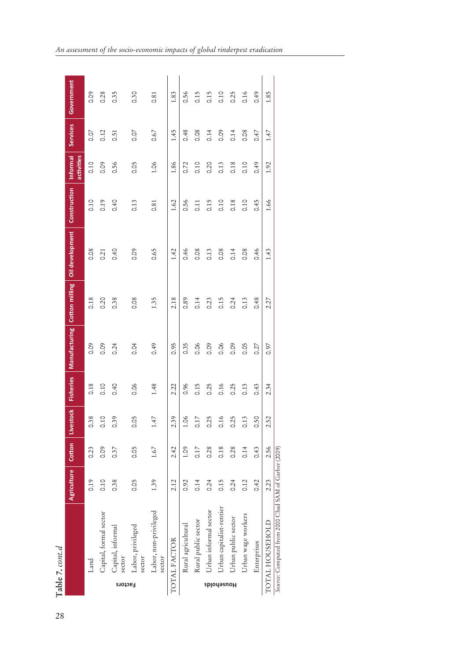|            | Table 7. cont.d                                      |                    |        |                           |                  |                              |      |                 |                     |                        |              |             |
|------------|------------------------------------------------------|--------------------|--------|---------------------------|------------------|------------------------------|------|-----------------|---------------------|------------------------|--------------|-------------|
|            |                                                      | <b>Agriculture</b> | Cotton | Livestock                 | <b>Fisheries</b> | Manufacturing Cotton milling |      | Oil development | <b>Construction</b> | activities<br>Informal | Services     | Government  |
|            | Land                                                 | 0.19               | 0.23   | 0.38                      | 0.18             | <b>eo:0</b>                  | 0.18 | 0.08            | 0.10                | 0.10                   | 0.07         | <b>eo:0</b> |
|            | Capital, formal sector                               | 0.10               | 0.09   | 0.10                      | 0.10             | 0.09                         | 0.20 | 0.21            | 0.19                | 0.09                   | 0.12         | 0.28        |
| Factors    | Capital, informal<br>sector                          | 0.38               | 0.37   | 39<br>O                   | 0.40             | 0.24                         | 0.38 | 0.40            | 0.40                | 0.56                   | 0.51         | 0.35        |
|            | Labor, privileged<br>sector                          | 0.05               | 0.05   | C <sub>5</sub><br>$\circ$ | 0.06             | 0.04                         | 0.08 | 0.09            | 0.13                | 0.05                   | 0.07         | 0.30        |
|            | Labor, non-privileged<br>sector                      | 1.39               | 1.67   | 47                        | 1.48             | 0.49                         | 1.35 | 0.65            | 0.81                | 1.06                   | 0.67         | 0.81        |
|            | TOTAL FACTOR                                         | 2.12               | 2.42   | $\ddot{3}9$               | 2.22             | 0.95                         | 2.18 | 1.42            | 1.62                | 1.86                   | 1.45         | 1.83        |
|            | Rural agricultural                                   | 0.92               | 1.09   | 9Ö.                       | 0.96             | 0.35                         | 0.89 | 0.46            | 0.56                | 0.72                   | 0.48         | 0.56        |
|            | Rural public sector                                  | 0.14               | 0.17   | $\ddot{1}$                | 0.15             | 0.06                         | 0.14 | 0.08            | 0.11                | 0.10                   | 0.08         | 0.15        |
|            | Urban informal sector                                | 0.24               | 0.28   | 25                        | 0.25             | 0.09                         | 0.23 | 0.13            | 0.15                | 0.20                   | 0.14         | 0.15        |
| spjouesnoH | Jrban capitalist-rentier                             | 0.15               | 0.18   | 0.16                      | 0.16             | 0.06                         | 0.15 | 0.08            | 0.10                | 0.13                   | <b>60.09</b> | 0.10        |
|            | Urban public sector                                  | 0.24               | 0.28   | 25                        | 0.25             | 0.09                         | 0.24 | 0.14            | 0.18                | 0.18                   | 0.14         | 0.25        |
|            | Urban wage workers                                   | 0.12               | 0.14   | $\cdot$ 13<br>ö           | 0.13             | 0.05                         | 0.13 | 0.08            | 0.10                | 0.10                   | 0.08         | 0.16        |
|            | Enterprises                                          | 0.42               | 0.43   | SQ.<br>O                  | 0.43             | 0.27                         | 0.48 | 0.46            | 0.45                | $6+0$                  | 0.47         | $6+0$       |
|            | TOTAL HOUSEHOLD                                      | 2.23               | 2.56   | 52                        | 2.34             | 0.97                         | 2.27 | 1.43            | 1.66                | 1.92                   | 1.47         | 1.85        |
|            | Source: Computed from 2000 Chad SAM of Garber (2009) |                    |        |                           |                  |                              |      |                 |                     |                        |              |             |

*An assessment of the socio-economic impacts of global rinderpest eradication*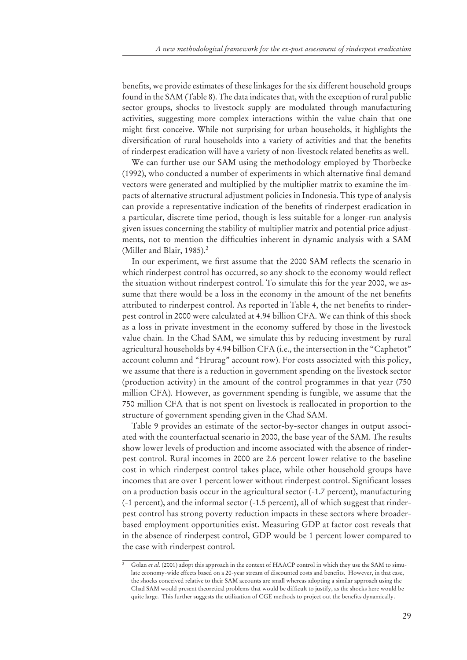benefits, we provide estimates of these linkages for the six different household groups found in the SAM (Table 8). The data indicates that, with the exception of rural public sector groups, shocks to livestock supply are modulated through manufacturing activities, suggesting more complex interactions within the value chain that one might first conceive. While not surprising for urban households, it highlights the diversification of rural households into a variety of activities and that the benefits of rinderpest eradication will have a variety of non-livestock related benefits as well.

We can further use our SAM using the methodology employed by Thorbecke (1992), who conducted a number of experiments in which alternative final demand vectors were generated and multiplied by the multiplier matrix to examine the impacts of alternative structural adjustment policies in Indonesia. This type of analysis can provide a representative indication of the benefits of rinderpest eradication in a particular, discrete time period, though is less suitable for a longer-run analysis given issues concerning the stability of multiplier matrix and potential price adjustments, not to mention the difficulties inherent in dynamic analysis with a SAM (Miller and Blair, 1985).<sup>2</sup>

In our experiment, we first assume that the 2000 SAM reflects the scenario in which rinderpest control has occurred, so any shock to the economy would reflect the situation without rinderpest control. To simulate this for the year 2000, we assume that there would be a loss in the economy in the amount of the net benefits attributed to rinderpest control. As reported in Table 4, the net benefits to rinderpest control in 2000 were calculated at 4.94 billion CFA. We can think of this shock as a loss in private investment in the economy suffered by those in the livestock value chain. In the Chad SAM, we simulate this by reducing investment by rural agricultural households by 4.94 billion CFA (i.e., the intersection in the "Caphetot" account column and "Hrurag" account row). For costs associated with this policy, we assume that there is a reduction in government spending on the livestock sector (production activity) in the amount of the control programmes in that year (750 million CFA). However, as government spending is fungible, we assume that the 750 million CFA that is not spent on livestock is reallocated in proportion to the structure of government spending given in the Chad SAM.

Table 9 provides an estimate of the sector-by-sector changes in output associated with the counterfactual scenario in 2000, the base year of the SAM. The results show lower levels of production and income associated with the absence of rinderpest control. Rural incomes in 2000 are 2.6 percent lower relative to the baseline cost in which rinderpest control takes place, while other household groups have incomes that are over 1 percent lower without rinderpest control. Significant losses on a production basis occur in the agricultural sector (-1.7 percent), manufacturing (-1 percent), and the informal sector (-1.5 percent), all of which suggest that rinderpest control has strong poverty reduction impacts in these sectors where broaderbased employment opportunities exist. Measuring GDP at factor cost reveals that in the absence of rinderpest control, GDP would be 1 percent lower compared to the case with rinderpest control.

Golan *et al.* (2001) adopt this approach in the context of HAACP control in which they use the SAM to simulate economy-wide effects based on a 20-year stream of discounted costs and benefits. However, in that case, the shocks conceived relative to their SAM accounts are small whereas adopting a similar approach using the Chad SAM would present theoretical problems that would be difficult to justify, as the shocks here would be quite large. This further suggests the utilization of CGE methods to project out the benefits dynamically.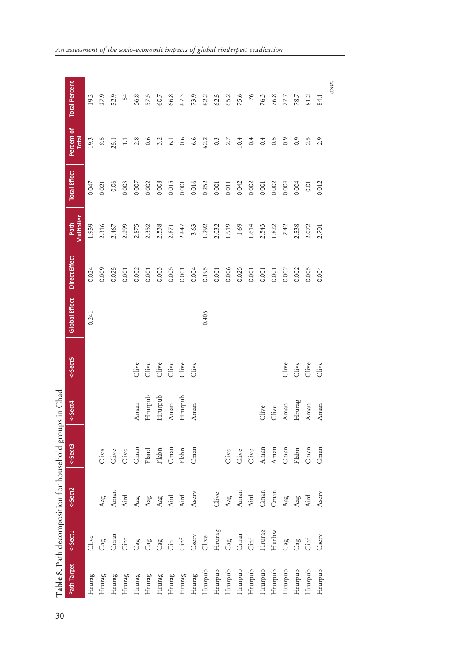| Path Target                | <-Sect1         | <-Sect2 | <-Sect3 | <-Sect4 | <-Sect5                | Global Effect   Direct Effect |       | Multiplier<br>Path | <b>Total Effect</b> | Percent of<br><b>Total</b> | <b>Total Percent</b> |
|----------------------------|-----------------|---------|---------|---------|------------------------|-------------------------------|-------|--------------------|---------------------|----------------------------|----------------------|
| Hrurag                     | Clive           |         |         |         |                        | 0.241                         | 0.024 | 1.959              | 0.047               | 19.3                       | 19.3                 |
| $Hrun\mathbf{z}\mathbf{g}$ | Cag             | Aag     | Clive   |         |                        |                               | 0.009 | 2.316              | 0.021               | 8.5                        | 27.9                 |
| Hrurag                     | Cman            | Aman    | Clive   |         |                        |                               | 0.025 | 2.467              | 0.06                | 25.1                       | 52.9                 |
| Hrurag                     | Cint            | Ainf    | Clive   |         |                        |                               | 0.001 | 2.299              | 0.003               | 1.1                        | 54                   |
| Hrurag                     | Cag             | Aag     | Cman    | Aman    | Clive                  |                               | 0.002 | 2.875              | 0.007               | 2.8                        | 56.8                 |
| Hrurag                     | Cag             | Aag     | Fland   | Hrurpub | Clive                  |                               | 0.001 | 2.352              | 0.002               | 0.6                        | 57.5                 |
| Hrurag                     | Cag             | Aag     | Flabn   | Hrurpub | $\operatorname{Clive}$ |                               | 0.003 | 2.538              | 0.008               | 3.2                        | 60.7                 |
| Hrurag                     | Cint            | Ainf    | Cman    | Aman    | Clive                  |                               | 0.005 | 2.871              | 0.015               | 6.1                        | 66.8                 |
| Hrurag                     | Cint            | Ainf    | Flabn   | Hrurpub | Clive                  |                               | 0.001 | 2.647              | 0.001               | 0.6                        | 67.3                 |
| Hrurag                     | Cserv           | Aserv   | Cman    | Aman    | Clive                  |                               | 0.004 | 3.63               | 0.016               | 6.6                        | 73.9                 |
| Hrurpub                    | Clive           |         |         |         |                        | 0.405                         | 0.195 | 1.292              | 0.252               | 62.2                       | 62.2                 |
| Hrurpub                    | Hrurag          | Clive   |         |         |                        |                               | 0.001 | 2.032              | 0.001               | $\rm _{O}$                 | $62.5$               |
| Hrurpub                    | $\rm{Cag}$      | Aag     | Clive   |         |                        |                               | 0.006 | 1.919              | 0.011               | 2.7                        | 65.2                 |
| Hrurpub                    | Cman            | Aman    | Clive   |         |                        |                               | 0.025 | $1.69\,$           | 0.042               | 10.4                       | 75.6                 |
| Hrurpub                    | $\mathrm{Cinf}$ | Ainf    | Clive   |         |                        |                               | 0.001 | 1.614              | 0.002               | $\frac{4}{1}$              | $\overline{76}$      |
| Hrurpub                    | Hrurag          | Cman    | Aman    | Clive   |                        |                               | 0.001 | 2.543              | 0.001               | $\frac{4}{1}$              | 76.3                 |
| Hrurpub                    | Hurbw           | Cman    | Aman    | Clive   |                        |                               | 0.001 | 1.822              | 0.002               | $\widetilde{\circ}$        | $76.8$               |
| Hrurpub                    | Cag             | Aag     | Cman    | Aman    | Clive                  |                               | 0.002 | 2.42               | 0.004               | $\frac{6}{10}$             | 77.7                 |
| Hrurpub                    | Cag             | Aag     | Flabn   | Hrurag  | Clive                  |                               | 0.002 | 2.538              | 0.004               | $\overline{0}$ .           | 78.7                 |
| Hrurpub                    | Cint            | Ainf    | Cman    | Aman    | Clive                  |                               | 0.005 | 2.072              | 0.01                | 2.5                        | 81.2                 |
| Hrurpub                    | Cserv           | Aserv   | Cman    | Aman    | Clive                  |                               | 0.004 | 2.701              | 0.012               | 2.9                        | 84.1                 |
|                            |                 |         |         |         |                        |                               |       |                    |                     |                            | cont.                |

*An assessment of the socio-economic impacts of global rinderpest eradication*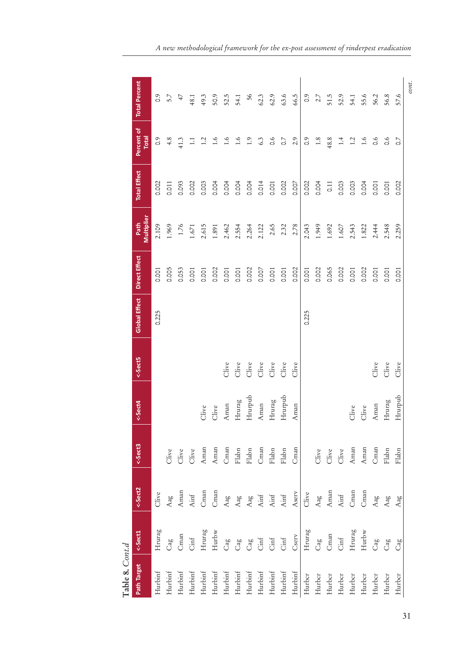| Table 8. Cont.d         |                              |                                                                                        |                                                                           |         |                        |                      |                      |                    |                     |                     |                      |
|-------------------------|------------------------------|----------------------------------------------------------------------------------------|---------------------------------------------------------------------------|---------|------------------------|----------------------|----------------------|--------------------|---------------------|---------------------|----------------------|
| Path Target             | <-Sect1                      | <-Sect2                                                                                | <-Sect3                                                                   | <-Sect4 | <-Sect5                | <b>Global Effect</b> | <b>Direct Effect</b> | Multiplier<br>Path | <b>Total Effect</b> | Percent of<br>Total | <b>Total Percent</b> |
| Hurbinf                 | Hrurag                       | Clive                                                                                  |                                                                           |         |                        | 0.225                | 0.001                | 2.109              | 0.002               | $\frac{6}{10}$      | $\overline{0}$ .     |
| Hurbinf                 | Cag                          | ${\rm Aag}$                                                                            | Clive                                                                     |         |                        |                      | 0.005                | 1.969              | 0.011               | $4.8$               | 5.7                  |
| Hurbinf                 | Cman                         | Aman                                                                                   |                                                                           |         |                        |                      | 0.053                | 1.76               | 0.093               | 41.3                | 47                   |
| Hurbinf                 | $\mathrm{Cinf}$              |                                                                                        | Clive<br>Clive                                                            |         |                        |                      | 0.001                | 1.671              | 0.002               | $\Xi$               | 48.1                 |
| Hurbinf                 | Hrurag                       | Ainf<br>Cman                                                                           | Aman                                                                      | Clive   |                        |                      | 0.001                | 2.615              | 0.003               | 1.2                 | 49.3                 |
| Hurbinf                 | Hurbw                        | Cman                                                                                   |                                                                           | Clive   |                        |                      | 0.002                | 1.891              | 0.004               | 1.6                 | 50.9                 |
| Hurbinf                 | $\rm{Cag}$                   | ${\rm Aag}$                                                                            | $\begin{array}{c} \text{Aman} \\ \text{Cman} \\ \text{Flabn} \end{array}$ | Aman    | Clive                  |                      | 0.001                | 2.462              | 0.004               | 1.6                 | 52.5                 |
| Hurbinf                 | $\rm{Ca}g$                   |                                                                                        |                                                                           | Hrurag  | Clive                  |                      | 0.001                | 2.554              | 0.004               | 1.6                 | 54.1                 |
| $\operatorname{Hurbin}$ | Cag                          | Aag<br>Aag<br>Ainf                                                                     | $_{\rm{Habn}}$                                                            | Hrurpub | Clive                  |                      | 0.002                | 2.264              | 0.004               | 1.9                 | 56                   |
| Hurbinf                 | $\mathrm{Cinf}$              |                                                                                        | Cman                                                                      | Aman    | Clive                  |                      | 0.007                | 2.122              | 0.014               | 6.3                 | 62.3                 |
| $\operatorname{Hurbin}$ | $\mathrm{Cinf}$              | $\rm{Ainf}$                                                                            | $_{\rm{Flabn}}$                                                           | Hrurag  | $\operatorname{Clive}$ |                      | 0.001                | 2.65               | 0.001               | $0.\overline{6}$    | 62.9                 |
| Hurbinf                 | $\mathrm{Cinf}$              | $\rm{Ainf}$                                                                            | $_{\rm Flabn}$                                                            | Hrurpub | Clive                  |                      | 0.001                | 2.32               | 0.002               | $\overline{\circ}$  | 63.6                 |
| Hurbinf                 | Cserv                        | Aserv                                                                                  | Cman                                                                      | Aman    | Clive                  |                      | 0.002                | 2.78               | 0.007               | 2.9                 | 66.5                 |
| Hurbcr                  | Hrurag                       | Clive                                                                                  |                                                                           |         |                        | 0.225                | 0.001                | 2.043              | 0.002               | $\frac{6}{10}$      | $\frac{6}{3}$        |
| Hurber                  | $\rm{Cag}$                   |                                                                                        |                                                                           |         |                        |                      | 0.002                | 1.949              | 0.004               | $1.8\,$             | 2.7                  |
| Hurbcr                  | $\mathop{\rm Cman}\nolimits$ |                                                                                        |                                                                           |         |                        |                      | 0.065                | 1.692              | 0.11                | 48.8                | 51.5                 |
| Hurbcr                  | $\mathrm{Cinf}$              | $\begin{array}{c} \text{Aag} \\ \text{Aman} \\ \text{Ainf} \\ \text{Cman} \end{array}$ | Clive<br>Clive<br>Clive<br>Aman                                           |         |                        |                      | 0.002                | 1.607              | 0.003               | 1.4                 | 52.9                 |
| Hurber                  | Hrurag                       |                                                                                        |                                                                           | Clive   |                        |                      | 0.001                | 2.543              | 0.003               | $1.2\,$             | 54.1                 |
| Hurbcr                  | Hurbw                        | Cman                                                                                   |                                                                           | Clive   |                        |                      | 0.002                | 1.822              | 0.004               | 1.6                 | 55.6                 |
| Hurber                  | $\rm{Cag}$                   | Aag                                                                                    | $\begin{array}{c} \text{Aman} \\ \text{Cman} \\ \text{Flabn} \end{array}$ | Aman    | Clive                  |                      | 0.001                | 2.444              | 0.001               | $\frac{6}{10}$      | 56.2                 |
| Hurbcr                  | $\rm{Ca}_{g}$                | Aag                                                                                    |                                                                           | Hrurag  | Clive                  |                      | 0.001                | 2.548              | 0.001               | 0.6                 | 56.8                 |
| Hurbcr                  | Cag                          | Aag                                                                                    | Flabn                                                                     | Hrurpub | Clive                  |                      | 0.001                | 2.259              | 0.002               | $\overline{O}$      | 57.6                 |
|                         |                              |                                                                                        |                                                                           |         |                        |                      |                      |                    |                     |                     | cont.                |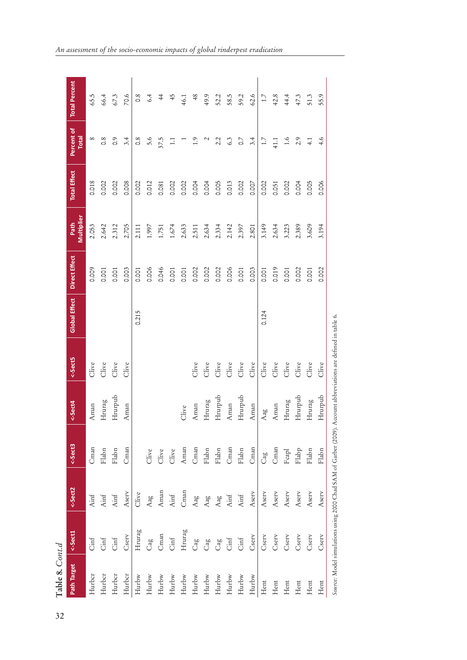| Table 8. Cont.d |                                                                                                               |         |                 |         |         |                      |               |                    |                     |                     |                      |
|-----------------|---------------------------------------------------------------------------------------------------------------|---------|-----------------|---------|---------|----------------------|---------------|--------------------|---------------------|---------------------|----------------------|
| Path Target     | <-Sect1                                                                                                       | <-Sect2 | <-Sect3         | <-Sect4 | <-Sect5 | <b>Global Effect</b> | Direct Effect | Multiplier<br>Path | <b>Total Effect</b> | Percent of<br>Total | <b>Total Percent</b> |
| Hurbcr          | Cinf                                                                                                          | Ainf    | Cman            | Aman    | Clive   |                      | 0.009         | 2.053              | 0.018               | $^{\circ}$          | 65.5                 |
| Hurbcr          | Cinf                                                                                                          | Ainf    | Flabn           | Hrurag  | Clive   |                      | 0.001         | 2.642              | 0.002               | $0.\overline{8}$    | 66.4                 |
| Hurbcr          | Cinf                                                                                                          | Ainf    | Flabn           | Hrurpub | Clive   |                      | 0.001         | 2.312              | 0.002               | $\frac{6}{10}$      | 67.3                 |
| Hurbcr          | Cserv                                                                                                         | Aserv   | Cman            | Aman    | Clive   |                      | 0.003         | 2.705              | 0.008               | 3.4                 | 70.6                 |
| Hurbw           | Hrurag                                                                                                        | Clive   |                 |         |         | 0.215                | 0.001         | 2.111              | 0.002               | $0.\overline{8}$    | $0.\overline{8}$     |
| Hurbw           | Cag                                                                                                           | Aag     | Clive           |         |         |                      | 0.006         | 1.997              | 0.012               | 5.6                 | 6.4                  |
| Hurbw           | Cman                                                                                                          | Aman    | Clive           |         |         |                      | 0.046         | 1.751              | 0.081               | 37.5                | $\ddot{ }$           |
| Hurbw           | $\mathrm{Cinf}$                                                                                               | Ainf    | Clive           |         |         |                      | 0.001         | 1.674              | 0.002               | $\Xi$               | 45                   |
| Hurbw           | Hrurag                                                                                                        | Cman    | Aman            | Clive   |         |                      | 0.001         | 2.633              | 0.002               |                     | 46.1                 |
| Hurbw           | Cag                                                                                                           | Aag     | Cman            | Aman    | Clive   |                      | 0.002         | 2.511              | 0.004               | 1.9                 | 48                   |
| Hurbw           | Cag                                                                                                           | Aag     | Flabn           | Hrurag  | Clive   |                      | 0.002         | 2.634              | 0.004               | $\mathbf 2$         | 49.9                 |
| Hurbw           | Cag                                                                                                           | Aag     | Flabn           | Hrurpub | Clive   |                      | 0.002         | 2.334              | 0.005               | 2.2                 | 52.2                 |
| Hurbw           | Cinf                                                                                                          | Ainf    | Cman            | Aman    | Clive   |                      | 0.006         | 2.142              | 0.013               | 6.3                 | 58.5                 |
| Hurbw           | $\mathrm{Cinf}$                                                                                               | Ainf    | Flabn           | Hrurpub | Clive   |                      | 0.001         | 2.397              | 0.002               | $\overline{C}$      | 59.2                 |
| $_{\rm Hurbw}$  | Cserv                                                                                                         | Aserv   | Cman            | Aman    | Clive   |                      | 0.003         | 2.801              | 0.007               | 3.4                 | 62.6                 |
| Hent            | Cserv                                                                                                         | Aserv   | Cag             | Aag     | Clive   | 0.124                | 0.001         | 3.149              | 0.002               | 1.7                 | $1.7\,$              |
| Hent            | Cserv                                                                                                         | Aserv   | Cman            | Aman    | Clive   |                      | 0.019         | 2.634              | 0.051               | 41.1                | 42.8                 |
| Hent            | Cserv                                                                                                         | Aserv   | Fcapl           | Hrurag  | Clive   |                      | 0.001         | 3.223              | 0.002               | $1.6\,$             | 44.4                 |
| Hent            | Cserv                                                                                                         | Aserv   | Flabp           | Hrurpub | Clive   |                      | 0.002         | 2.389              | 0.004               | 2.9                 | 47.3                 |
| Hent            | Cserv                                                                                                         | Aserv   | $_{\rm{Flabn}}$ | Hrurag  | Clive   |                      | 0.001         | 3.609              | 0.005               | 4.1                 | 51.3                 |
| Hent            | Cserv                                                                                                         | Aserv   | Flabn           | Hrurpub | Clive   |                      | 0.002         | 3.194              | 0.006               | 4.6                 | 55.9                 |
|                 | Source: Model simulations using 2000 Chad SAM of Garber (2009). Account abbreviations are defined in table 6. |         |                 |         |         |                      |               |                    |                     |                     |                      |

*An assessment of the socio-economic impacts of global rinderpest eradication*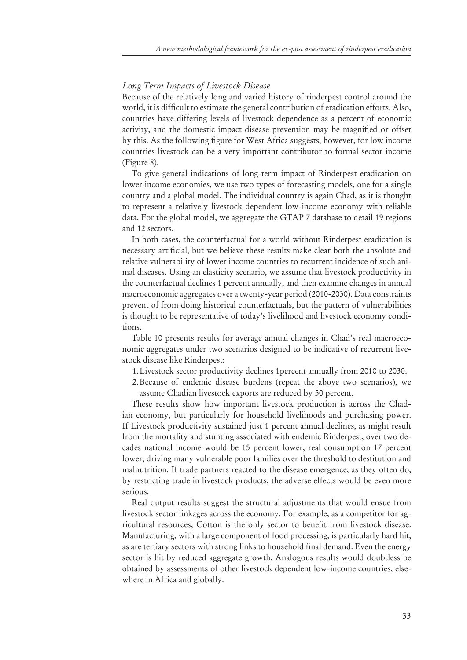## *Long Term Impacts of Livestock Disease*

Because of the relatively long and varied history of rinderpest control around the world, it is difficult to estimate the general contribution of eradication efforts. Also, countries have differing levels of livestock dependence as a percent of economic activity, and the domestic impact disease prevention may be magnified or offset by this. As the following figure for West Africa suggests, however, for low income countries livestock can be a very important contributor to formal sector income (Figure 8).

To give general indications of long-term impact of Rinderpest eradication on lower income economies, we use two types of forecasting models, one for a single country and a global model. The individual country is again Chad, as it is thought to represent a relatively livestock dependent low-income economy with reliable data. For the global model, we aggregate the GTAP 7 database to detail 19 regions and 12 sectors.

In both cases, the counterfactual for a world without Rinderpest eradication is necessary artificial, but we believe these results make clear both the absolute and relative vulnerability of lower income countries to recurrent incidence of such animal diseases. Using an elasticity scenario, we assume that livestock productivity in the counterfactual declines 1 percent annually, and then examine changes in annual macroeconomic aggregates over a twenty-year period (2010-2030). Data constraints prevent of from doing historical counterfactuals, but the pattern of vulnerabilities is thought to be representative of today's livelihood and livestock economy conditions.

Table 10 presents results for average annual changes in Chad's real macroeconomic aggregates under two scenarios designed to be indicative of recurrent livestock disease like Rinderpest:

1. Livestock sector productivity declines 1percent annually from 2010 to 2030.

2. Because of endemic disease burdens (repeat the above two scenarios), we assume Chadian livestock exports are reduced by 50 percent.

These results show how important livestock production is across the Chadian economy, but particularly for household livelihoods and purchasing power. If Livestock productivity sustained just 1 percent annual declines, as might result from the mortality and stunting associated with endemic Rinderpest, over two decades national income would be 15 percent lower, real consumption 17 percent lower, driving many vulnerable poor families over the threshold to destitution and malnutrition. If trade partners reacted to the disease emergence, as they often do, by restricting trade in livestock products, the adverse effects would be even more serious.

Real output results suggest the structural adjustments that would ensue from livestock sector linkages across the economy. For example, as a competitor for agricultural resources, Cotton is the only sector to benefit from livestock disease. Manufacturing, with a large component of food processing, is particularly hard hit, as are tertiary sectors with strong links to household final demand. Even the energy sector is hit by reduced aggregate growth. Analogous results would doubtless be obtained by assessments of other livestock dependent low-income countries, elsewhere in Africa and globally.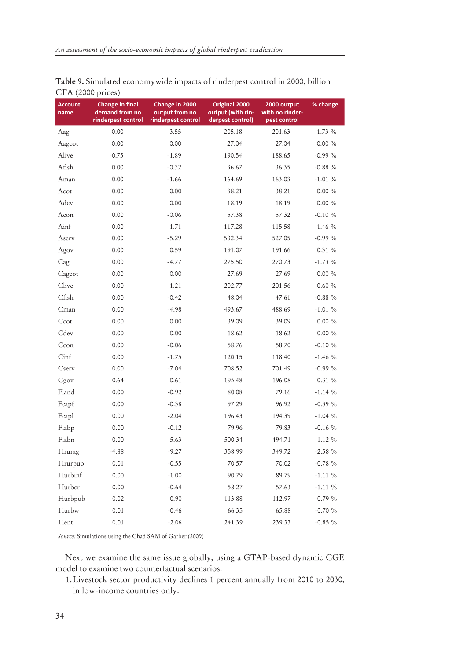| $C11$ (2000 prices)    |                                                                |                                                        |                                                        |                                                |            |
|------------------------|----------------------------------------------------------------|--------------------------------------------------------|--------------------------------------------------------|------------------------------------------------|------------|
| <b>Account</b><br>name | <b>Change in final</b><br>demand from no<br>rinderpest control | Change in 2000<br>output from no<br>rinderpest control | Original 2000<br>output (with rin-<br>derpest control) | 2000 output<br>with no rinder-<br>pest control | % change   |
| Aag                    | 0.00                                                           | $-3.55$                                                | 205.18                                                 | 201.63                                         | $-1.73%$   |
| Aagcot                 | 0.00                                                           | 0.00                                                   | 27.04                                                  | 27.04                                          | 0.00%      |
| Alive                  | $-0.75$                                                        | $-1.89$                                                | 190.54                                                 | 188.65                                         | $-0.99%$   |
| Afish                  | 0.00                                                           | $-0.32$                                                | 36.67                                                  | 36.35                                          | $-0.88%$   |
| Aman                   | 0.00                                                           | $-1.66$                                                | 164.69                                                 | 163.03                                         | $-1.01%$   |
| Acot                   | 0.00                                                           | 0.00                                                   | 38.21                                                  | 38.21                                          | $0.00 \%$  |
| Adev                   | 0.00                                                           | 0.00                                                   | 18.19                                                  | 18.19                                          | $0.00 \%$  |
| Acon                   | 0.00                                                           | $-0.06$                                                | 57.38                                                  | 57.32                                          | $-0.10 \%$ |
| Ainf                   | 0.00                                                           | $-1.71$                                                | 117.28                                                 | 115.58                                         | $-1.46%$   |
| Aserv                  | 0.00                                                           | $-5.29$                                                | 532.34                                                 | 527.05                                         | $-0.99%$   |
| Agov                   | 0.00                                                           | 0.59                                                   | 191.07                                                 | 191.66                                         | 0.31%      |
| Cag                    | 0.00                                                           | $-4.77$                                                | 275.50                                                 | 270.73                                         | $-1.73\%$  |
| Cagcot                 | 0.00                                                           | 0.00                                                   | 27.69                                                  | 27.69                                          | $0.00\%$   |
| Clive                  | 0.00                                                           | $-1.21$                                                | 202.77                                                 | 201.56                                         | $-0.60%$   |
| Cfish                  | 0.00                                                           | $-0.42$                                                | 48.04                                                  | 47.61                                          | $-0.88%$   |
| Cman                   | 0.00                                                           | $-4.98$                                                | 493.67                                                 | 488.69                                         | $-1.01%$   |
| Ccot                   | 0.00                                                           | 0.00                                                   | 39.09                                                  | 39.09                                          | $0.00\%$   |
| Cdev                   | 0.00                                                           | 0.00                                                   | 18.62                                                  | 18.62                                          | $0.00\%$   |
| Ccon                   | 0.00                                                           | $-0.06$                                                | 58.76                                                  | 58.70                                          | $-0.10%$   |
| Cinf                   | 0.00                                                           | $-1.75$                                                | 120.15                                                 | 118.40                                         | $-1.46%$   |
| Cserv                  | 0.00                                                           | $-7.04$                                                | 708.52                                                 | 701.49                                         | $-0.99%$   |
| Cgov                   | 0.64                                                           | 0.61                                                   | 195.48                                                 | 196.08                                         | 0.31%      |
| Fland                  | 0.00                                                           | $-0.92$                                                | 80.08                                                  | 79.16                                          | $-1.14%$   |
| Fcapf                  | 0.00                                                           | $-0.38$                                                | 97.29                                                  | 96.92                                          | $-0.39%$   |
| Fcapl                  | 0.00                                                           | $-2.04$                                                | 196.43                                                 | 194.39                                         | $-1.04%$   |
| Flabp                  | 0.00                                                           | $-0.12$                                                | 79.96                                                  | 79.83                                          | $-0.16%$   |
| Flabn                  | 0.00                                                           | $-5.63$                                                | 500.34                                                 | 494.71                                         | $-1.12%$   |
| Hrurag                 | $-4.88$                                                        | $-9.27$                                                | 358.99                                                 | 349.72                                         | $-2.58 \%$ |
| Hrurpub                | 0.01                                                           | $-0.55$                                                | 70.57                                                  | 70.02                                          | $-0.78%$   |
| Hurbinf                | 0.00                                                           | $-1.00$                                                | 90.79                                                  | 89.79                                          | $-1.11%$   |
| Hurbcr                 | 0.00                                                           | $-0.64$                                                | 58.27                                                  | 57.63                                          | $-1.11 \%$ |
| Hurbpub                | 0.02                                                           | $-0.90$                                                | 113.88                                                 | 112.97                                         | $-0.79%$   |
| Hurbw                  | 0.01                                                           | $-0.46$                                                | 66.35                                                  | 65.88                                          | $-0.70%$   |
| Hent                   | 0.01                                                           | $-2.06$                                                | 241.39                                                 | 239.33                                         | $-0.85%$   |

**Table 9.** Simulated economywide impacts of rinderpest control in 2000, billion CFA (2000 prices)

*Source:* Simulations using the Chad SAM of Garber (2009)

Next we examine the same issue globally, using a GTAP-based dynamic CGE model to examine two counterfactual scenarios:

1. Livestock sector productivity declines 1 percent annually from 2010 to 2030, in low-income countries only.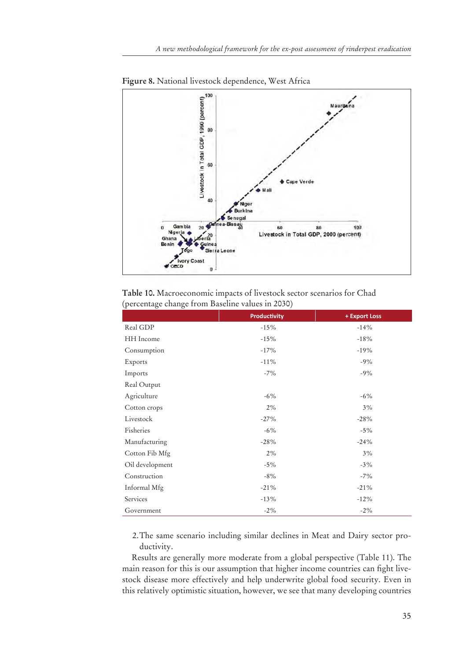

**Figure 8.** National livestock dependence, West Africa

**Table 10.** Macroeconomic impacts of livestock sector scenarios for Chad (percentage change from Baseline values in 2030)

|                 | <b>Productivity</b> | + Export Loss |
|-----------------|---------------------|---------------|
| Real GDP        | $-15%$              | $-14%$        |
| HH Income       | $-15%$              | $-18%$        |
| Consumption     | $-17%$              | $-19%$        |
| Exports         | $-11%$              | $-9%$         |
| Imports         | $-7\%$              | $-9%$         |
| Real Output     |                     |               |
| Agriculture     | $-6\%$              | $-6\%$        |
| Cotton crops    | 2%                  | 3%            |
| Livestock       | $-27%$              | $-28%$        |
| Fisheries       | $-6\%$              | $-5%$         |
| Manufacturing   | $-28%$              | $-24%$        |
| Cotton Fib Mfg  | 2%                  | 3%            |
| Oil development | $-5\%$              | $-3\%$        |
| Construction    | $-8\%$              | $-7\%$        |
| Informal Mfg    | $-21%$              | $-21%$        |
| Services        | $-13%$              | $-12%$        |
| Government      | $-2\%$              | $-2\%$        |

2. The same scenario including similar declines in Meat and Dairy sector productivity.

Results are generally more moderate from a global perspective (Table 11). The main reason for this is our assumption that higher income countries can fight livestock disease more effectively and help underwrite global food security. Even in this relatively optimistic situation, however, we see that many developing countries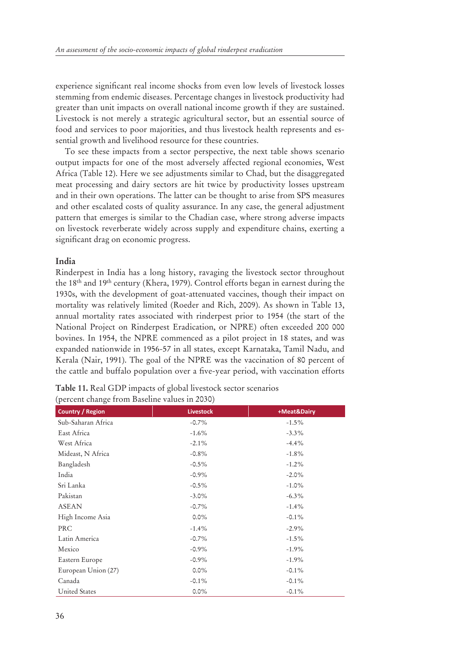experience significant real income shocks from even low levels of livestock losses stemming from endemic diseases. Percentage changes in livestock productivity had greater than unit impacts on overall national income growth if they are sustained. Livestock is not merely a strategic agricultural sector, but an essential source of food and services to poor majorities, and thus livestock health represents and essential growth and livelihood resource for these countries.

To see these impacts from a sector perspective, the next table shows scenario output impacts for one of the most adversely affected regional economies, West Africa (Table 12). Here we see adjustments similar to Chad, but the disaggregated meat processing and dairy sectors are hit twice by productivity losses upstream and in their own operations. The latter can be thought to arise from SPS measures and other escalated costs of quality assurance. In any case, the general adjustment pattern that emerges is similar to the Chadian case, where strong adverse impacts on livestock reverberate widely across supply and expenditure chains, exerting a significant drag on economic progress.

## **India**

Rinderpest in India has a long history, ravaging the livestock sector throughout the 18th and 19th century (Khera, 1979). Control efforts began in earnest during the 1930s, with the development of goat-attenuated vaccines, though their impact on mortality was relatively limited (Roeder and Rich, 2009). As shown in Table 13, annual mortality rates associated with rinderpest prior to 1954 (the start of the National Project on Rinderpest Eradication, or NPRE) often exceeded 200 000 bovines. In 1954, the NPRE commenced as a pilot project in 18 states, and was expanded nationwide in 1956-57 in all states, except Karnataka, Tamil Nadu, and Kerala (Nair, 1991). The goal of the NPRE was the vaccination of 80 percent of the cattle and buffalo population over a five-year period, with vaccination efforts

| <b>Country / Region</b> | <b>Livestock</b> | +Meat&Dairy |
|-------------------------|------------------|-------------|
| Sub-Saharan Africa      | $-0.7\%$         | $-1.5\%$    |
| East Africa             | $-1.6\%$         | $-3.3\%$    |
| West Africa             | $-2.1\%$         | $-4.4\%$    |
| Mideast, N Africa       | $-0.8\%$         | $-1.8\%$    |
| Bangladesh              | $-0.5\%$         | $-1.2\%$    |
| India                   | $-0.9\%$         | $-2.0\%$    |
| Sri Lanka               | $-0.5\%$         | $-1.0\%$    |
| Pakistan                | $-3.0\%$         | $-6.3\%$    |
| <b>ASEAN</b>            | $-0.7\%$         | $-1.4%$     |
| High Income Asia        | $0.0\%$          | $-0.1\%$    |
| PRC                     | $-1.4%$          | $-2.9\%$    |
| Latin America           | $-0.7\%$         | $-1.5\%$    |
| Mexico                  | $-0.9\%$         | $-1.9\%$    |
| Eastern Europe          | $-0.9\%$         | $-1.9\%$    |
| European Union (27)     | $0.0\%$          | $-0.1\%$    |
| Canada                  | $-0.1\%$         | $-0.1\%$    |
| <b>United States</b>    | $0.0\%$          | $-0.1\%$    |

| Table 11. Real GDP impacts of global livestock sector scenarios |  |
|-----------------------------------------------------------------|--|
| (percent change from Baseline values in 2030)                   |  |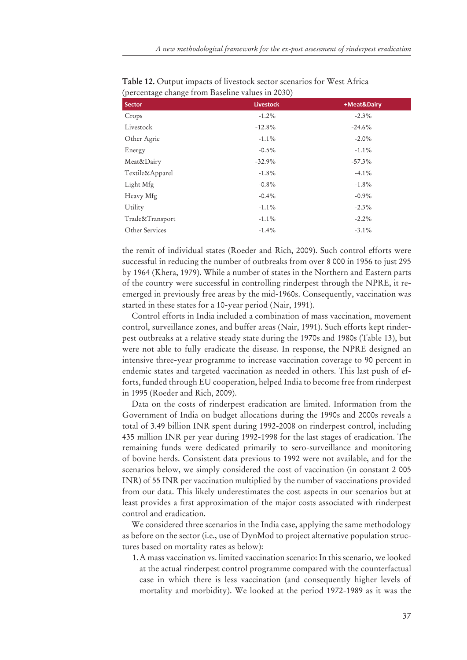| <b>Livestock</b> | +Meat&Dairy |
|------------------|-------------|
| $-1.2\%$         | $-2.3\%$    |
| $-12.8%$         | $-24.6%$    |
| $-1.1\%$         | $-2.0\%$    |
| $-0.5\%$         | $-1.1\%$    |
| $-32.9%$         | $-57.3\%$   |
| $-1.8\%$         | $-4.1\%$    |
| $-0.8%$          | $-1.8\%$    |
| $-0.4\%$         | $-0.9\%$    |
| $-1.1\%$         | $-2.3\%$    |
| $-1.1\%$         | $-2.2\%$    |
| $-1.4\%$         | $-3.1\%$    |
|                  |             |

**Table 12.** Output impacts of livestock sector scenarios for West Africa (percentage change from Baseline values in 2030)

the remit of individual states (Roeder and Rich, 2009). Such control efforts were successful in reducing the number of outbreaks from over 8 000 in 1956 to just 295 by 1964 (Khera, 1979). While a number of states in the Northern and Eastern parts of the country were successful in controlling rinderpest through the NPRE, it reemerged in previously free areas by the mid-1960s. Consequently, vaccination was started in these states for a 10-year period (Nair, 1991).

Control efforts in India included a combination of mass vaccination, movement control, surveillance zones, and buffer areas (Nair, 1991). Such efforts kept rinderpest outbreaks at a relative steady state during the 1970s and 1980s (Table 13), but were not able to fully eradicate the disease. In response, the NPRE designed an intensive three-year programme to increase vaccination coverage to 90 percent in endemic states and targeted vaccination as needed in others. This last push of efforts, funded through EU cooperation, helped India to become free from rinderpest in 1995 (Roeder and Rich, 2009).

Data on the costs of rinderpest eradication are limited. Information from the Government of India on budget allocations during the 1990s and 2000s reveals a total of 3.49 billion INR spent during 1992-2008 on rinderpest control, including 435 million INR per year during 1992-1998 for the last stages of eradication. The remaining funds were dedicated primarily to sero-surveillance and monitoring of bovine herds. Consistent data previous to 1992 were not available, and for the scenarios below, we simply considered the cost of vaccination (in constant 2 005 INR) of 55 INR per vaccination multiplied by the number of vaccinations provided from our data. This likely underestimates the cost aspects in our scenarios but at least provides a first approximation of the major costs associated with rinderpest control and eradication.

We considered three scenarios in the India case, applying the same methodology as before on the sector (i.e., use of DynMod to project alternative population structures based on mortality rates as below):

1. A mass vaccination vs. limited vaccination scenario: In this scenario, we looked at the actual rinderpest control programme compared with the counterfactual case in which there is less vaccination (and consequently higher levels of mortality and morbidity). We looked at the period 1972-1989 as it was the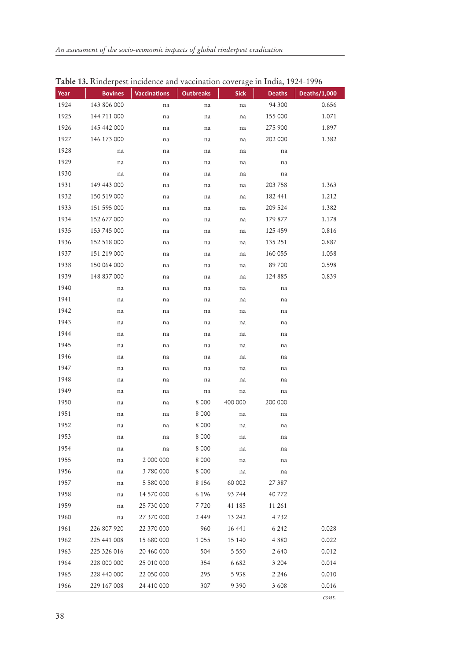|      | <b>Table 19.</b> Kinderpest incluence and vaccination coverage in filma, 1924–1996 |                     |                  |             |               |              |
|------|------------------------------------------------------------------------------------|---------------------|------------------|-------------|---------------|--------------|
| Year | <b>Bovines</b>                                                                     | <b>Vaccinations</b> | <b>Outbreaks</b> | <b>Sick</b> | <b>Deaths</b> | Deaths/1,000 |
| 1924 | 143 806 000                                                                        | na                  | na               | na          | 94 300        | 0.656        |
| 1925 | 144 711 000                                                                        | na                  | na               | na          | 155 000       | 1.071        |
| 1926 | 145 442 000                                                                        | na                  | na               | na          | 275 900       | 1.897        |
| 1927 | 146 173 000                                                                        | na                  | na               | na          | 202 000       | 1.382        |
| 1928 | na                                                                                 | na                  | na               | na          | na            |              |
| 1929 | na                                                                                 | na                  | na               | na          | na            |              |
| 1930 | na                                                                                 | na                  | na               | na          | na            |              |
| 1931 | 149 443 000                                                                        | na                  | na               | na          | 203 758       | 1.363        |
| 1932 | 150 519 000                                                                        | na                  | na               | na          | 182 441       | 1.212        |
| 1933 | 151 595 000                                                                        | na                  | na               | na          | 209 524       | 1.382        |
| 1934 | 152 677 000                                                                        | na                  | na               | na          | 179 877       | 1.178        |
| 1935 | 153 745 000                                                                        | na                  | na               | na          | 125 459       | 0.816        |
| 1936 | 152 518 000                                                                        | na                  | na               | na          | 135 251       | 0.887        |
| 1937 | 151 219 000                                                                        | na                  | na               | na          | 160 055       | 1.058        |
| 1938 | 150 064 000                                                                        | na                  | na               | na          | 89700         | 0.598        |
| 1939 | 148 837 000                                                                        | na                  | na               | na          | 124 885       | 0.839        |
| 1940 | na                                                                                 | na                  | na               | na          | na            |              |
| 1941 | na                                                                                 | na                  | na               | na          | na            |              |
| 1942 | na                                                                                 | na                  | na               | na          | na            |              |
| 1943 | na                                                                                 | na                  | na               | na          | na            |              |
| 1944 | na                                                                                 | na                  | na               | na          | na            |              |
| 1945 | na                                                                                 | na                  | na               | na          | na            |              |
| 1946 | na                                                                                 | na                  | na               | na          | na            |              |
| 1947 | na                                                                                 | na                  | na               | na          | na            |              |
| 1948 | na                                                                                 | na                  | na               | na          | na            |              |
| 1949 | na                                                                                 | na                  | na               | na          | na            |              |
| 1950 | na                                                                                 | na                  | 8 0 0 0          | 400 000     | 200 000       |              |
| 1951 | na                                                                                 | na                  | 8 0 0 0          | na          | na            |              |
| 1952 | na                                                                                 | na                  | 8 000            | na          | na            |              |
| 1953 | na                                                                                 | na                  | 8 0 0 0          | na          | na            |              |
| 1954 | na                                                                                 | na                  | 8 0 0 0          | na          | na            |              |
| 1955 | na                                                                                 | 2 000 000           | 8 0 0 0          | na          | na            |              |
| 1956 | na                                                                                 | 3780000             | 8 0 0 0          | na          | na            |              |
| 1957 | na                                                                                 | 5 580 000           | 8 1 5 6          | 60 002      | 27 387        |              |
| 1958 | na                                                                                 | 14 570 000          | 6 1 9 6          | 93 744      | 40 772        |              |
| 1959 | na                                                                                 | 25 730 000          | 7 720            | 41 185      | 11 261        |              |
| 1960 | na                                                                                 | 27 370 000          | 2449             | 13 24 2     | 4732          |              |
| 1961 | 226 807 920                                                                        | 22 370 000          | 960              | 16 441      | 6 2 4 2       | 0.028        |
| 1962 | 225 441 008                                                                        | 15 680 000          | 1 0 5 5          | 15 140      | 4880          | 0.022        |
| 1963 | 225 326 016                                                                        | 20 460 000          | 504              | 5 5 5 0     | 2 6 4 0       | 0.012        |
| 1964 | 228 000 000                                                                        | 25 010 000          | 354              | 6682        | 3 2 0 4       | 0.014        |
| 1965 | 228 440 000                                                                        | 22 050 000          | 295              | 5938        | 2 2 4 6       | 0.010        |
| 1966 | 229 167 008                                                                        | 24 410 000          | 307              | 9390        | 3608          | 0.016        |

**Table 13.** Rinderpest incidence and vaccination coverage in India, 1924-1996

*cont.*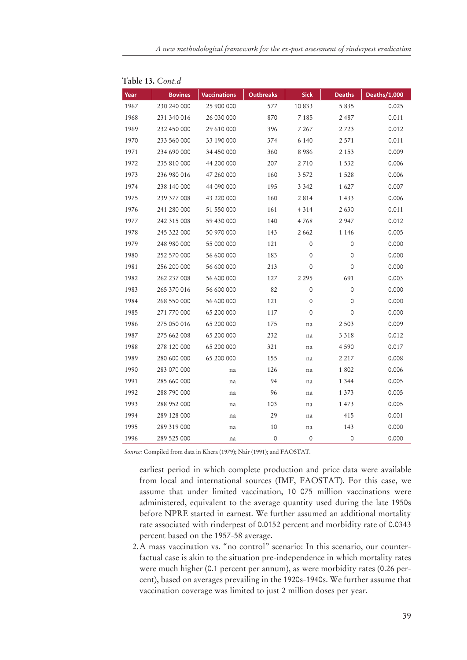| Year | <b>Bovines</b> | <b>Vaccinations</b> | <b>Outbreaks</b> | <b>Sick</b> | <b>Deaths</b> | Deaths/1,000 |
|------|----------------|---------------------|------------------|-------------|---------------|--------------|
| 1967 | 230 240 000    | 25 900 000          | 577              | 10833       | 5 8 3 5       | 0.025        |
| 1968 | 231 340 016    | 26 030 000          | 870              | 7 1 8 5     | 2 4 8 7       | 0.011        |
| 1969 | 232 450 000    | 29 610 000          | 396              | 7 2 6 7     | 2 7 2 3       | 0.012        |
| 1970 | 233 560 000    | 33 190 000          | 374              | 6 1 4 0     | 2 5 7 1       | 0.011        |
| 1971 | 234 690 000    | 34 450 000          | 360              | 8986        | 2 1 5 3       | 0.009        |
| 1972 | 235 810 000    | 44 200 000          | 207              | 2710        | 1 5 3 2       | 0.006        |
| 1973 | 236 980 016    | 47 260 000          | 160              | 3 5 7 2     | 1528          | 0.006        |
| 1974 | 238 140 000    | 44 090 000          | 195              | 3 3 4 2     | 1627          | 0.007        |
| 1975 | 239 377 008    | 43 220 000          | 160              | 2814        | 1 4 3 3       | 0.006        |
| 1976 | 241 280 000    | 51 550 000          | 161              | 4 3 1 4     | 2630          | 0.011        |
| 1977 | 242 315 008    | 59 430 000          | 140              | 4768        | 2947          | 0.012        |
| 1978 | 245 322 000    | 50 970 000          | 143              | 2662        | 1 1 4 6       | 0.005        |
| 1979 | 248 980 000    | 55 000 000          | 121              | 0           | 0             | 0.000        |
| 1980 | 252 570 000    | 56 600 000          | 183              | 0           | 0             | 0.000        |
| 1981 | 256 200 000    | 56 600 000          | 213              | 0           | 0             | 0.000        |
| 1982 | 262 237 008    | 56 600 000          | 127              | 2 2 9 5     | 691           | 0.003        |
| 1983 | 265 370 016    | 56 600 000          | 82               | 0           | 0             | 0.000        |
| 1984 | 268 550 000    | 56 600 000          | 121              | 0           | 0             | 0.000        |
| 1985 | 271 770 000    | 65 200 000          | 117              | 0           | 0             | 0.000        |
| 1986 | 275 050 016    | 65 200 000          | 175              | na          | 2 5 0 3       | 0.009        |
| 1987 | 275 662 008    | 65 200 000          | 232              | na          | 3 3 1 8       | 0.012        |
| 1988 | 278 120 000    | 65 200 000          | 321              | na          | 4 5 9 0       | 0.017        |
| 1989 | 280 600 000    | 65 200 000          | 155              | na          | 2 2 1 7       | 0.008        |
| 1990 | 283 070 000    | na                  | 126              | na          | 1802          | 0.006        |
| 1991 | 285 660 000    | na                  | 94               | na          | 1 3 4 4       | 0.005        |
| 1992 | 288 790 000    | na                  | 96               | na          | 1 3 7 3       | 0.005        |
| 1993 | 288 952 000    | na                  | 103              | na          | 1 473         | 0.005        |
| 1994 | 289 128 000    | na                  | 29               | na          | 415           | 0.001        |
| 1995 | 289 319 000    | na                  | 10               | na          | 143           | 0.000        |
| 1996 | 289 525 000    | na                  | $\circ$          | 0           | $\circ$       | 0.000        |

|  | Table 13. Cont.d |
|--|------------------|
|  |                  |

*Source:* Compiled from data in Khera (1979); Nair (1991); and FAOSTAT.

earliest period in which complete production and price data were available from local and international sources (IMF, FAOSTAT). For this case, we assume that under limited vaccination, 10 075 million vaccinations were administered, equivalent to the average quantity used during the late 1950s before NPRE started in earnest. We further assumed an additional mortality rate associated with rinderpest of 0.0152 percent and morbidity rate of 0.0343 percent based on the 1957-58 average.

2. A mass vaccination vs. "no control" scenario: In this scenario, our counterfactual case is akin to the situation pre-independence in which mortality rates were much higher (0.1 percent per annum), as were morbidity rates (0.26 percent), based on averages prevailing in the 1920s-1940s. We further assume that vaccination coverage was limited to just 2 million doses per year.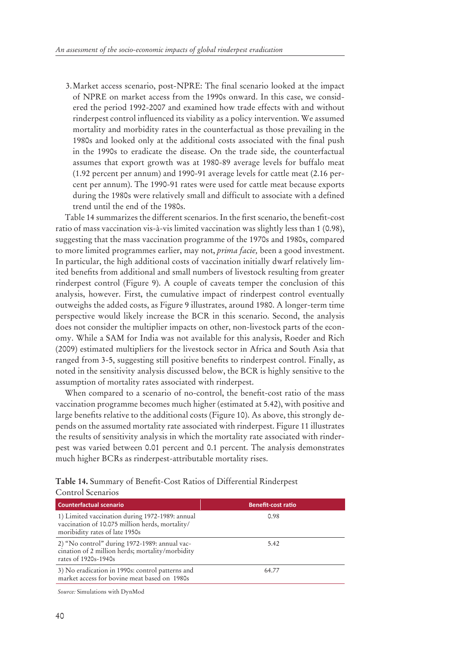3. Market access scenario, post-NPRE: The final scenario looked at the impact of NPRE on market access from the 1990s onward. In this case, we considered the period 1992-2007 and examined how trade effects with and without rinderpest control influenced its viability as a policy intervention. We assumed mortality and morbidity rates in the counterfactual as those prevailing in the 1980s and looked only at the additional costs associated with the final push in the 1990s to eradicate the disease. On the trade side, the counterfactual assumes that export growth was at 1980-89 average levels for buffalo meat (1.92 percent per annum) and 1990-91 average levels for cattle meat (2.16 percent per annum). The 1990-91 rates were used for cattle meat because exports during the 1980s were relatively small and difficult to associate with a defined trend until the end of the 1980s.

Table 14 summarizes the different scenarios. In the first scenario, the benefit-cost ratio of mass vaccination vis-à-vis limited vaccination was slightly less than 1 (0.98), suggesting that the mass vaccination programme of the 1970s and 1980s, compared to more limited programmes earlier, may not, *prima facie,* been a good investment. In particular, the high additional costs of vaccination initially dwarf relatively limited benefits from additional and small numbers of livestock resulting from greater rinderpest control (Figure 9). A couple of caveats temper the conclusion of this analysis, however. First, the cumulative impact of rinderpest control eventually outweighs the added costs, as Figure 9 illustrates, around 1980. A longer-term time perspective would likely increase the BCR in this scenario. Second, the analysis does not consider the multiplier impacts on other, non-livestock parts of the economy. While a SAM for India was not available for this analysis, Roeder and Rich (2009) estimated multipliers for the livestock sector in Africa and South Asia that ranged from 3-5, suggesting still positive benefits to rinderpest control. Finally, as noted in the sensitivity analysis discussed below, the BCR is highly sensitive to the assumption of mortality rates associated with rinderpest.

When compared to a scenario of no-control, the benefit-cost ratio of the mass vaccination programme becomes much higher (estimated at 5.42), with positive and large benefits relative to the additional costs (Figure 10). As above, this strongly depends on the assumed mortality rate associated with rinderpest. Figure 11 illustrates the results of sensitivity analysis in which the mortality rate associated with rinderpest was varied between 0.01 percent and 0.1 percent. The analysis demonstrates much higher BCRs as rinderpest-attributable mortality rises.

Control Scenarios *Counterfactual scenario* **<b>Counterfactual scenario Counterfactual scenario CO** 1) Limited vaccination during 1972-1989: annual vaccination of 10.075 million herds, mortality/ moribidity rates of late 1950s 0.98 2) "No control" during 1972-1989: annual vaccination of 2 million herds; mortality/morbidity rates of 1920s-1940s 5.42 3) No eradication in 1990s: control patterns and market access for bovine meat based on 1980s 64.77

Table 14. Summary of Benefit-Cost Ratios of Differential Rinderpest

*Source:* Simulations with DynMod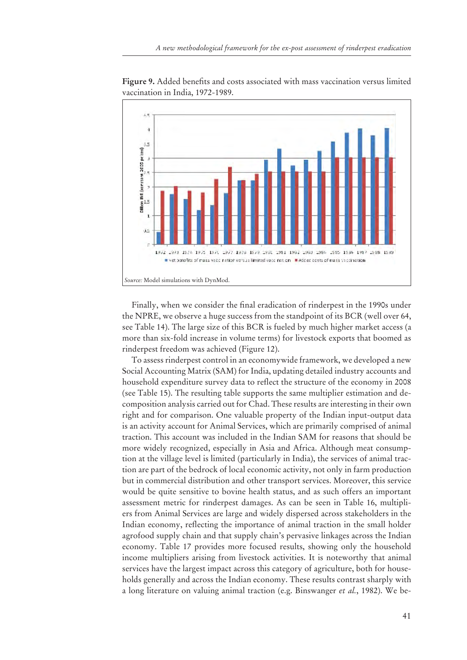

Figure 9. Added benefits and costs associated with mass vaccination versus limited vaccination in India, 1972-1989.

Finally, when we consider the final eradication of rinderpest in the 1990s under the NPRE, we observe a huge success from the standpoint of its BCR (well over 64, see Table 14). The large size of this BCR is fueled by much higher market access (a more than six-fold increase in volume terms) for livestock exports that boomed as rinderpest freedom was achieved (Figure 12).

To assess rinderpest control in an economywide framework, we developed a new Social Accounting Matrix (SAM) for India, updating detailed industry accounts and household expenditure survey data to reflect the structure of the economy in 2008 (see Table 15). The resulting table supports the same multiplier estimation and decomposition analysis carried out for Chad. These results are interesting in their own right and for comparison. One valuable property of the Indian input-output data is an activity account for Animal Services, which are primarily comprised of animal traction. This account was included in the Indian SAM for reasons that should be more widely recognized, especially in Asia and Africa. Although meat consumption at the village level is limited (particularly in India), the services of animal traction are part of the bedrock of local economic activity, not only in farm production but in commercial distribution and other transport services. Moreover, this service would be quite sensitive to bovine health status, and as such offers an important assessment metric for rinderpest damages. As can be seen in Table 16, multipliers from Animal Services are large and widely dispersed across stakeholders in the Indian economy, reflecting the importance of animal traction in the small holder agrofood supply chain and that supply chain's pervasive linkages across the Indian economy. Table 17 provides more focused results, showing only the household income multipliers arising from livestock activities. It is noteworthy that animal services have the largest impact across this category of agriculture, both for households generally and across the Indian economy. These results contrast sharply with a long literature on valuing animal traction (e.g. Binswanger *et al.*, 1982). We be-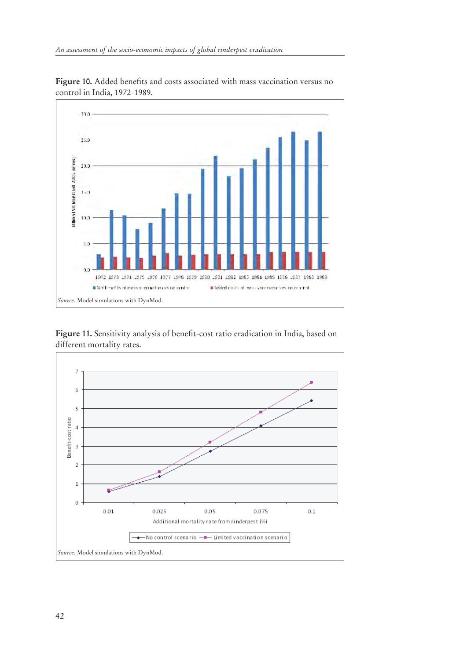

Figure 10. Added benefits and costs associated with mass vaccination versus no control in India, 1972-1989.

Figure 11. Sensitivity analysis of benefit-cost ratio eradication in India, based on different mortality rates.

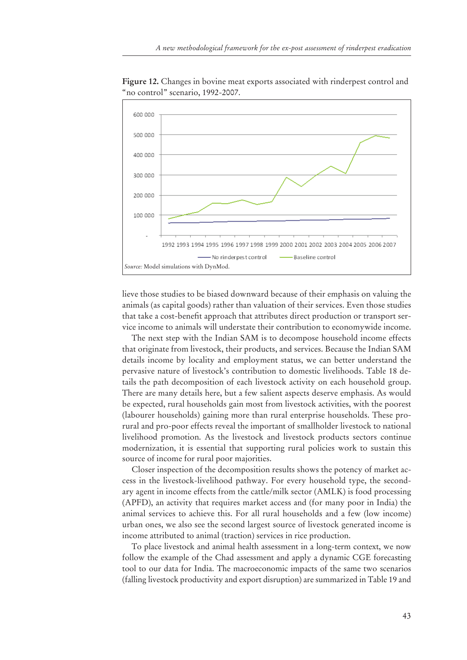

**Figure 12.** Changes in bovine meat exports associated with rinderpest control and "no control" scenario, 1992-2007.

lieve those studies to be biased downward because of their emphasis on valuing the animals (as capital goods) rather than valuation of their services. Even those studies that take a cost-benefit approach that attributes direct production or transport service income to animals will understate their contribution to economywide income.

The next step with the Indian SAM is to decompose household income effects that originate from livestock, their products, and services. Because the Indian SAM details income by locality and employment status, we can better understand the pervasive nature of livestock's contribution to domestic livelihoods. Table 18 details the path decomposition of each livestock activity on each household group. There are many details here, but a few salient aspects deserve emphasis. As would be expected, rural households gain most from livestock activities, with the poorest (labourer households) gaining more than rural enterprise households. These prorural and pro-poor effects reveal the important of smallholder livestock to national livelihood promotion. As the livestock and livestock products sectors continue modernization, it is essential that supporting rural policies work to sustain this source of income for rural poor majorities.

Closer inspection of the decomposition results shows the potency of market access in the livestock-livelihood pathway. For every household type, the secondary agent in income effects from the cattle/milk sector (AMLK) is food processing (APFD), an activity that requires market access and (for many poor in India) the animal services to achieve this. For all rural households and a few (low income) urban ones, we also see the second largest source of livestock generated income is income attributed to animal (traction) services in rice production.

To place livestock and animal health assessment in a long-term context, we now follow the example of the Chad assessment and apply a dynamic CGE forecasting tool to our data for India. The macroeconomic impacts of the same two scenarios (falling livestock productivity and export disruption) are summarized in Table 19 and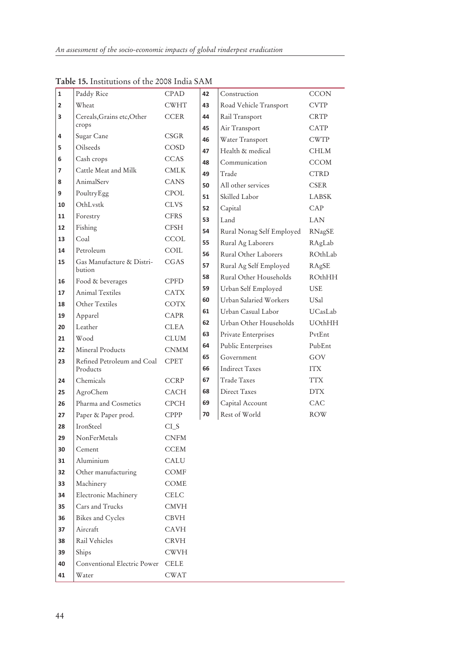| $\mathbf{1}$   | Paddy Rice                          | <b>CPAD</b>                             | 42 | Construction              | <b>CCON</b>   |
|----------------|-------------------------------------|-----------------------------------------|----|---------------------------|---------------|
| $\overline{2}$ | Wheat                               | <b>CWHT</b>                             | 43 | Road Vehicle Transport    | <b>CVTP</b>   |
| 3              | Cereals, Grains etc, Other          | <b>CCER</b>                             | 44 | Rail Transport            | <b>CRTP</b>   |
|                | crops                               |                                         | 45 | Air Transport             | CATP          |
| 4              | Sugar Cane                          | CSGR                                    | 46 | Water Transport           | <b>CWTP</b>   |
| 5              | Oilseeds                            | COSD                                    | 47 | Health & medical          | <b>CHLM</b>   |
| 6              | Cash crops                          | <b>CCAS</b>                             | 48 | Communication             | <b>CCOM</b>   |
| 7              | Cattle Meat and Milk                | <b>CMLK</b>                             | 49 | Trade                     | <b>CTRD</b>   |
| 8              | AnimalServ                          | <b>CANS</b>                             | 50 | All other services        | <b>CSER</b>   |
| 9              | PoultryEgg                          | CPOL                                    | 51 | Skilled Labor             | <b>LABSK</b>  |
| 10             | OthLystk                            | <b>CLVS</b>                             | 52 | Capital                   | CAP           |
| 11             | Forestry                            | <b>CFRS</b>                             | 53 | Land                      | <b>LAN</b>    |
| 12             | Fishing                             | <b>CFSH</b>                             | 54 | Rural Nonag Self Employed | RNagSE        |
| 13             | Coal                                | <b>CCOL</b>                             | 55 | Rural Ag Laborers         | RAgLab        |
| 14             | Petroleum                           | COIL                                    | 56 | Rural Other Laborers      | ROthLab       |
| 15             | Gas Manufacture & Distri-<br>bution | CGAS                                    | 57 | Rural Ag Self Employed    | RAgSE         |
| 16             | Food & beverages                    | <b>CPFD</b>                             | 58 | Rural Other Households    | <b>ROthHH</b> |
| 17             | Animal Textiles                     | <b>CATX</b>                             | 59 | Urban Self Employed       | <b>USE</b>    |
| 18             | Other Textiles                      | <b>COTX</b>                             | 60 | Urban Salaried Workers    | USal          |
| 19             | Apparel                             | <b>CAPR</b>                             | 61 | Urban Casual Labor        | UCasLab       |
| 20             | Leather                             | <b>CLEA</b>                             | 62 | Urban Other Households    | UOthHH        |
| 21             | Wood                                | <b>CLUM</b>                             | 63 | Private Enterprises       | PvtEnt        |
| 22             | Mineral Products                    | <b>CNMM</b>                             | 64 | Public Enterprises        | PubEnt        |
| 23             | Refined Petroleum and Coal          | <b>CPET</b>                             | 65 | Government                | GOV           |
|                | Products                            |                                         | 66 | <b>Indirect Taxes</b>     | <b>ITX</b>    |
| 24             | Chemicals                           | <b>CCRP</b>                             | 67 | Trade Taxes               | <b>TTX</b>    |
| 25             | AgroChem                            | <b>CACH</b>                             | 68 | Direct Taxes              | <b>DTX</b>    |
| 26             | Pharma and Cosmetics                | <b>CPCH</b>                             | 69 | Capital Account           | CAC           |
| 27             | Paper & Paper prod.                 | <b>CPPP</b>                             | 70 | Rest of World             | <b>ROW</b>    |
| 28             | IronSteel                           | $CI_S$                                  |    |                           |               |
| 29             | NonFerMetals                        | <b>CNFM</b>                             |    |                           |               |
| 30             | Cement                              | <b>CCEM</b>                             |    |                           |               |
| 31             | Aluminium                           | CALU                                    |    |                           |               |
| 32             | Other manufacturing                 | COMF                                    |    |                           |               |
| 33             | Machinery                           | COME                                    |    |                           |               |
| 34             | Electronic Machinery                | <b>CELC</b>                             |    |                           |               |
| 35             | Cars and Trucks                     | CMVH                                    |    |                           |               |
| 36             | Bikes and Cycles                    | <b>CBVH</b>                             |    |                           |               |
| 37             | Aircraft                            | CAVH                                    |    |                           |               |
| 38             | Rail Vehicles                       | $\mathop{\rm CRV}\nolimits\!mathcal{H}$ |    |                           |               |
| 39             | Ships                               | <b>CWVH</b>                             |    |                           |               |
| 40             | Conventional Electric Power         | <b>CELE</b>                             |    |                           |               |
| 41             | Water                               | <b>CWAT</b>                             |    |                           |               |

**Table 15.** Institutions of the 2008 India SAM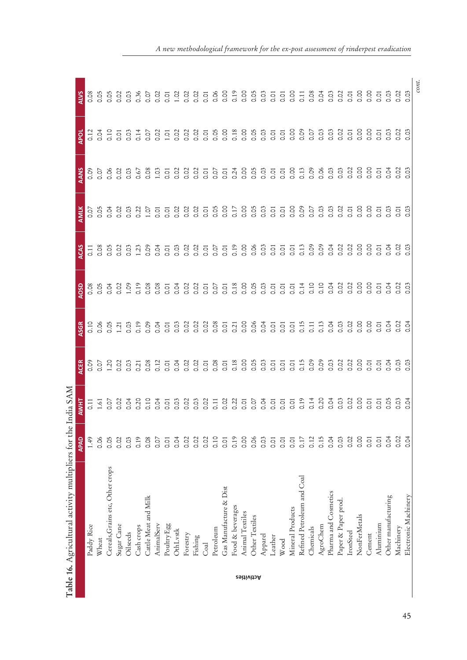|                   | Table 16. Agricultural activity multipliers for the |      | India SAM      |                                 |                                                                                                                                                                                                                                                                                                               |                             |                   |                 |                |                  |                                |
|-------------------|-----------------------------------------------------|------|----------------|---------------------------------|---------------------------------------------------------------------------------------------------------------------------------------------------------------------------------------------------------------------------------------------------------------------------------------------------------------|-----------------------------|-------------------|-----------------|----------------|------------------|--------------------------------|
|                   |                                                     | APAD | AWHT           | <b>ACER</b>                     | <b>ASGR</b>                                                                                                                                                                                                                                                                                                   | <b>AOSD</b>                 | <b>ACAS</b>       | <b>AMIK</b>     | AANS           | <b>APOL</b>      | <b>ALVS</b>                    |
|                   | Paddy Rice                                          | 1.49 |                |                                 | 0.10                                                                                                                                                                                                                                                                                                          | 0.08                        | $\overline{0.11}$ | io.o            |                | 0.12             | 0.08                           |
|                   | Wheat                                               | 0.06 |                |                                 |                                                                                                                                                                                                                                                                                                               |                             |                   |                 |                | $\overline{O}$ . | 0.05                           |
|                   | Cereals, Grains etc, Other crops                    | 0.05 |                | 0.07<br>20.0<br>0.07            | $\frac{8}{0}$ $\frac{6}{0}$                                                                                                                                                                                                                                                                                   | $rac{3}{5}$                 | 8<br>0.05         | 0.04            |                | 0.10             | 0.05                           |
|                   | Sugar Cane                                          | 0.02 |                |                                 | 1.21                                                                                                                                                                                                                                                                                                          | $\frac{2}{3}$               |                   |                 |                |                  | 0.02                           |
|                   | Oilseeds                                            | 0.03 |                | 3<br>3<br>3<br>3<br>3<br>3<br>3 | 0.03                                                                                                                                                                                                                                                                                                          | 1,09                        | $\frac{5}{3}$     | $\frac{5}{9}$   |                | $\frac{5}{3}$    |                                |
|                   | Cash crops                                          | 0.19 |                |                                 | 0.19                                                                                                                                                                                                                                                                                                          | 0.19                        | 1.23              | 0.22            |                | 0.14             | 0.36                           |
|                   | Cattle Meat and Milk                                | 0.08 |                | 0.08                            | 0.09                                                                                                                                                                                                                                                                                                          | 0.08                        | 0.09              |                 | 0.08           | $\frac{5}{2}$    |                                |
|                   | AnimalServ                                          | 0.07 |                | 0.12                            | 0.04                                                                                                                                                                                                                                                                                                          | 0.08                        | $\frac{3}{5}$     |                 | 1.03           | 0.02             |                                |
|                   | PoultryEgg                                          | 0.01 |                |                                 |                                                                                                                                                                                                                                                                                                               | 0.01                        |                   | $\frac{5}{100}$ | 0.01           |                  |                                |
|                   | OthLystk                                            | 0.04 |                |                                 | 5 3 3<br>5 3 3                                                                                                                                                                                                                                                                                                | 0.04                        |                   |                 | 0.02           |                  |                                |
|                   | Forestry                                            | 0.02 |                |                                 |                                                                                                                                                                                                                                                                                                               |                             |                   | 33335<br>33355  |                |                  |                                |
|                   | Fishing                                             | 0.02 |                |                                 | $\frac{5}{3}$                                                                                                                                                                                                                                                                                                 | $\frac{0}{0}$ $\frac{0}{0}$ |                   |                 | $\frac{3}{5}$  |                  |                                |
|                   | Coal                                                | 0.02 |                |                                 |                                                                                                                                                                                                                                                                                                               | $\overline{O}$              |                   |                 | $\overline{O}$ |                  |                                |
|                   | Petroleum                                           | 0.10 |                |                                 | 0.08                                                                                                                                                                                                                                                                                                          |                             |                   |                 | $\frac{5}{2}$  |                  |                                |
|                   | Gas Manufacture & Dist                              | 0.01 |                |                                 |                                                                                                                                                                                                                                                                                                               | $\frac{5}{6}$               |                   | 8 <sub>o</sub>  | 0.01           |                  |                                |
|                   | Food & beverages                                    | 0.19 |                |                                 | $\frac{5}{0.21}$                                                                                                                                                                                                                                                                                              |                             |                   |                 | 0.24           |                  |                                |
|                   | Animal Textiles                                     | 0.00 |                |                                 |                                                                                                                                                                                                                                                                                                               |                             |                   |                 | 8.<br>S        |                  |                                |
| <b>retivities</b> | Other Textiles                                      | 0.06 |                |                                 |                                                                                                                                                                                                                                                                                                               |                             |                   |                 | 0.05           |                  |                                |
|                   | Apparel                                             | 0.03 |                |                                 |                                                                                                                                                                                                                                                                                                               |                             |                   |                 | 0.03           |                  |                                |
|                   | Leather                                             | 0.01 |                |                                 |                                                                                                                                                                                                                                                                                                               |                             |                   |                 | $\overline{O}$ |                  | 0.01                           |
|                   | Wood                                                | 0.01 |                |                                 |                                                                                                                                                                                                                                                                                                               |                             |                   |                 | 0.01           |                  | 0.01                           |
|                   | Mineral Products                                    | 0.01 |                |                                 |                                                                                                                                                                                                                                                                                                               |                             |                   | $\frac{8}{3}$   | $\frac{8}{2}$  |                  | 8 <sub>c</sub>                 |
|                   | Refined Petroleum and Coal                          | 0.17 |                |                                 | $\begin{array}{c} 0.06 \\ 0.06 \\ 0.05 \\ 0.05 \\ 0.05 \\ 0.05 \\ 0.01 \\ 0.01 \\ 0.01 \\ 0.01 \\ 0.01 \\ 0.01 \\ 0.01 \\ 0.01 \\ 0.01 \\ 0.01 \\ 0.01 \\ 0.01 \\ 0.01 \\ 0.01 \\ 0.01 \\ 0.01 \\ 0.01 \\ 0.01 \\ 0.01 \\ 0.01 \\ 0.01 \\ 0.01 \\ 0.01 \\ 0.01 \\ 0.01 \\ 0.01 \\ 0.01 \\ 0.01 \\ 0.01 \\ 0.$ | 0.14                        |                   | 0.09            | 0.13           |                  | $\overline{0.11}$              |
|                   | Chemicals                                           | 0.12 |                |                                 | $\overline{0}$ .                                                                                                                                                                                                                                                                                              | 0.10                        | $\frac{8}{0}$     | 0.07            |                |                  | 0.08                           |
|                   | AgroChem                                            | 0.15 |                |                                 | 0.13                                                                                                                                                                                                                                                                                                          |                             |                   | 0.03            |                |                  | $\frac{3}{5}$                  |
|                   | Pharma and Cosmetics                                | 0.04 |                |                                 | $\overline{O}$                                                                                                                                                                                                                                                                                                | 0.04                        | $\frac{5}{6}$     | $\overline{0}$  |                |                  | 0.03                           |
|                   | Paper & Paper prod                                  | 0.03 |                |                                 | 0.03                                                                                                                                                                                                                                                                                                          | 0.02                        | $\frac{2}{3}$     | $\frac{2}{3}$   |                |                  | $\frac{3}{5}$ or $\frac{2}{5}$ |
|                   | IronSteel                                           | 0.02 |                |                                 | $\frac{2}{3}$                                                                                                                                                                                                                                                                                                 | $\frac{8}{9}$               | $\overline{0}$    | $\overline{5}$  |                |                  |                                |
|                   | NonFerMetals                                        | 0.00 | $\frac{8}{10}$ | $\frac{8}{10}$                  | 8 <sub>o</sub>                                                                                                                                                                                                                                                                                                |                             | S.                | S <sub>o</sub>  |                | $\frac{0}{0}$    | o.o                            |
|                   | Cement                                              | 0.01 | $\overline{5}$ | $\overline{O}$                  | S <sub>o</sub>                                                                                                                                                                                                                                                                                                | 8 <sub>o</sub>              | $rac{0}{0}$       | S <sub>o</sub>  | 8 <sub>o</sub> | $\frac{8}{2}$    | S.                             |
|                   | Aluminium                                           | 0.01 | $\overline{5}$ | $rac{1}{2}$                     | $\overline{5}$                                                                                                                                                                                                                                                                                                | $\overline{5}$              | $\overline{S}$    | $\overline{S}$  | $\overline{O}$ | $\overline{S}$   | $\overline{O}$                 |
|                   | Other manufacturing                                 | 0.04 | $\frac{5}{5}$  | $\overline{O}$                  | $\frac{5}{5}$                                                                                                                                                                                                                                                                                                 | $\frac{5}{3}$               | $\frac{5}{2}$     | S.O             | $\frac{3}{5}$  | 0.03             | 0.03                           |
|                   | Machinery                                           | 0.02 | $\frac{5}{2}$  | 0.03                            | $\overline{0}$ .02                                                                                                                                                                                                                                                                                            | $\frac{5}{3}$               | $\frac{5}{2}$     | $rac{1}{\circ}$ |                | $\frac{5}{2}$    | 0.02                           |
|                   | Electronic Machinery                                | 0.04 | $\overline{O}$ | ë                               | 0.04                                                                                                                                                                                                                                                                                                          |                             | °S.               | co              | $\frac{5}{3}$  | S<br>S           | 0.03                           |
|                   |                                                     |      |                |                                 |                                                                                                                                                                                                                                                                                                               |                             |                   |                 |                |                  | $_{\footnotesize cont.}$       |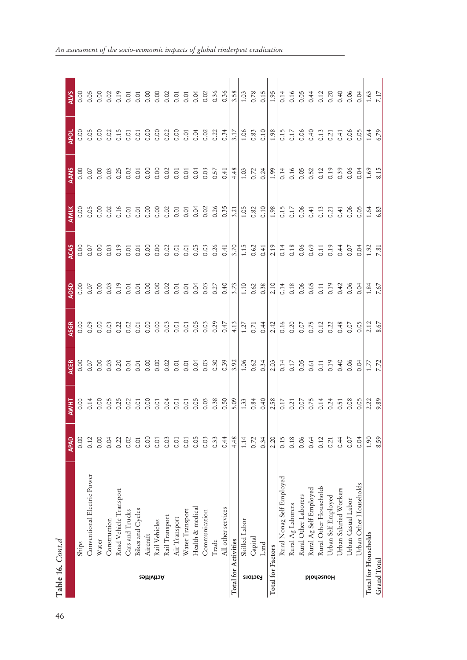| ٣           |
|-------------|
|             |
|             |
| Ŝ<br>֠<br>í |

46

|                      |                             | APAD             | AWHT                                                | <b>ACER</b> | ASGR                | QSO                                                                                                                                                                                                                                     | ACAS                   | AMLK             | <b>AANS</b> | APOL                                   |                                                                                                                          |
|----------------------|-----------------------------|------------------|-----------------------------------------------------|-------------|---------------------|-----------------------------------------------------------------------------------------------------------------------------------------------------------------------------------------------------------------------------------------|------------------------|------------------|-------------|----------------------------------------|--------------------------------------------------------------------------------------------------------------------------|
|                      | Ships                       | oo.o             | $\frac{8}{10}$                                      |             |                     |                                                                                                                                                                                                                                         | 0.00                   |                  |             | 8.<br>S                                | o.<br>O.                                                                                                                 |
|                      | Conventional Electric Power | 0.12             | 0.14                                                |             |                     | $\begin{array}{c} 58633353336333336333383712338121433312143331214333121433312143331214331214331214331214331214331214331214331214331214331214331214331214331214331214331214331214331214331214331214331214331214331214331214331214331214$ |                        |                  |             |                                        | 0.05                                                                                                                     |
|                      | Water                       | 0.00             |                                                     |             |                     |                                                                                                                                                                                                                                         |                        |                  |             |                                        |                                                                                                                          |
|                      | Construction                | 0.04             |                                                     |             |                     |                                                                                                                                                                                                                                         |                        |                  |             |                                        |                                                                                                                          |
|                      | Road Vehicle Transport      | 0.22             |                                                     |             |                     |                                                                                                                                                                                                                                         |                        |                  |             |                                        |                                                                                                                          |
|                      | Cars and Trucks             | 0.02             |                                                     |             |                     |                                                                                                                                                                                                                                         |                        |                  |             |                                        |                                                                                                                          |
|                      | Bikes and Cycles            | $\overline{0}$ . |                                                     |             |                     |                                                                                                                                                                                                                                         |                        |                  |             |                                        |                                                                                                                          |
|                      | Aircraft                    | 0.00             |                                                     |             |                     |                                                                                                                                                                                                                                         |                        |                  |             |                                        |                                                                                                                          |
| <b>29itivitoA</b>    | Rail Vehicles               | 0.01             |                                                     |             |                     |                                                                                                                                                                                                                                         |                        |                  |             |                                        |                                                                                                                          |
|                      | Rail Transport              | 0.03             |                                                     |             |                     |                                                                                                                                                                                                                                         |                        |                  |             |                                        |                                                                                                                          |
|                      | Air Transport               | 0.01             |                                                     |             |                     |                                                                                                                                                                                                                                         |                        |                  |             |                                        |                                                                                                                          |
|                      | Water Transport             | $\overline{O}$   |                                                     |             |                     |                                                                                                                                                                                                                                         |                        |                  |             |                                        |                                                                                                                          |
|                      | Health & medical            | 0.05             |                                                     |             |                     |                                                                                                                                                                                                                                         |                        |                  |             |                                        |                                                                                                                          |
|                      | Communication               | 0.03             |                                                     |             |                     |                                                                                                                                                                                                                                         |                        |                  |             |                                        |                                                                                                                          |
|                      | Trade                       | 0.33             |                                                     |             |                     |                                                                                                                                                                                                                                         |                        |                  |             |                                        |                                                                                                                          |
|                      | All other services          | 0.44             |                                                     |             |                     |                                                                                                                                                                                                                                         |                        |                  |             |                                        |                                                                                                                          |
| Total for Activities |                             | 4.48             |                                                     |             |                     |                                                                                                                                                                                                                                         | 3.70                   |                  | 4.48        | 3.17                                   |                                                                                                                          |
|                      | Skilled Labor               | 1.14             | $\begin{array}{c} 1.33 \\ 0.84 \\ 0.40 \end{array}$ |             | $\frac{1.27}{0.71}$ |                                                                                                                                                                                                                                         | $1.15$<br>0.62<br>0.41 |                  |             |                                        |                                                                                                                          |
| Factors              | Capital                     | 0.72             |                                                     |             |                     |                                                                                                                                                                                                                                         |                        |                  |             | $1.06$<br>0.33                         | $\begin{array}{c} 1.03 \\ 0.78 \\ 0.15 \end{array}$                                                                      |
|                      | Land                        | 0.34             |                                                     |             |                     |                                                                                                                                                                                                                                         |                        |                  |             |                                        |                                                                                                                          |
| Total for Factors    |                             | 2.20             |                                                     |             |                     |                                                                                                                                                                                                                                         |                        |                  |             | 1.98                                   | $\sqrt{1.95}$                                                                                                            |
|                      | Rural Nonag Self Employed   | 0.15             |                                                     |             |                     |                                                                                                                                                                                                                                         |                        |                  |             | 0.15<br>0.17<br>0.0.40<br>0.21<br>0.21 | $\begin{array}{cccc}\n 14 & 6 & 6 & 4 & 12 & 12 \\ 0 & 0 & 0 & 0 & 0 & 0 & 0 \\ 0 & 0 & 0 & 0 & 0 & 0 & 0\n \end{array}$ |
|                      | Rural Ag Laborers           | 0.18             |                                                     |             |                     |                                                                                                                                                                                                                                         |                        |                  |             |                                        |                                                                                                                          |
|                      | Rural Other Laborers        | 0.06             |                                                     |             |                     |                                                                                                                                                                                                                                         |                        |                  |             |                                        |                                                                                                                          |
| plodəsnoH            | Rural Ag Self Employed      | 0.64             |                                                     |             |                     |                                                                                                                                                                                                                                         |                        |                  |             |                                        |                                                                                                                          |
|                      | Rural Other Households      | 0.12             |                                                     |             |                     | 0.11                                                                                                                                                                                                                                    |                        |                  |             |                                        |                                                                                                                          |
|                      | Urban Self Employed         | 0.21             |                                                     |             |                     | 0.19                                                                                                                                                                                                                                    |                        |                  |             |                                        |                                                                                                                          |
|                      | Urban Salaried Workers      | 0.44             |                                                     |             |                     |                                                                                                                                                                                                                                         |                        | $0.41$<br>$0.05$ |             | 0.41                                   | 0.40                                                                                                                     |
|                      | Urban Casual Labor          | 0.07             |                                                     |             |                     | $0.42$<br>0.001                                                                                                                                                                                                                         |                        |                  |             | 0.05                                   | $rac{8}{0}$ $rac{3}{0}$                                                                                                  |
|                      | Urban Other Households      | 0.04             |                                                     |             |                     |                                                                                                                                                                                                                                         |                        |                  |             |                                        |                                                                                                                          |
| Total for Households |                             | 1.90             | $\frac{2.22}{9.89}$                                 | 1.77        | 2.12                | $\frac{1.81}{2}$                                                                                                                                                                                                                        | 1.92                   | 1.64             | 1.69        | 1.64                                   | 1.63                                                                                                                     |
| Grand Total          |                             | 8.59             |                                                     | 7.72        | 8.67                | 7.67                                                                                                                                                                                                                                    | 7.81                   | 6.83             | 8.15        | 6.79                                   | 7.17                                                                                                                     |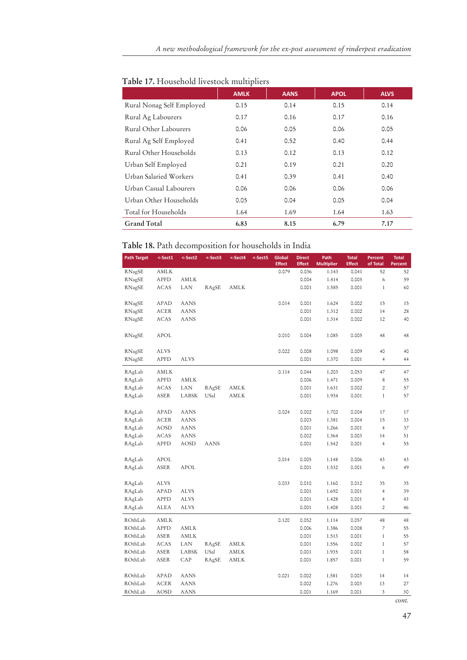|                           | <b>AMLK</b> | <b>AANS</b> | <b>APOL</b> | <b>ALVS</b> |
|---------------------------|-------------|-------------|-------------|-------------|
| Rural Nonag Self Employed | 0.15        | 0.14        | 0.15        | 0.14        |
| Rural Ag Labourers        | 0.17        | 0.16        | 0.17        | 0.16        |
| Rural Other Labourers     | 0.06        | 0.05        | 0.06        | 0.05        |
| Rural Ag Self Employed    | 0.41        | 0.52        | 0.40        | 0.44        |
| Rural Other Households    | 0.13        | 0.12        | 0.13        | 0.12        |
| Urban Self Employed       | 0.21        | 0.19        | 0.21        | 0.20        |
| Urban Salaried Workers    | 0.41        | 0.39        | 0.41        | 0.40        |
| Urban Casual Labourers    | 0.06        | 0.06        | 0.06        | 0.06        |
| Urban Other Households    | 0.05        | 0.04        | 0.05        | 0.04        |
| Total for Households      | 1.64        | 1.69        | 1.64        | 1.63        |
| <b>Grand Total</b>        | 6.83        | 8.15        | 6.79        | 7.17        |

## **Table 17.** Household livestock multipliers

## **Table 18.** Path decomposition for households in India

| <b>Path Target</b> | <-Sect1     | <-Sect2     | <-Sect3     | <-Sect4 | <-Sect5 | Global<br><b>Effect</b> | <b>Direct</b><br><b>Effect</b> | Path<br><b>Multiplier</b> | <b>Total</b><br><b>Effect</b> | Percent<br>of Total      | <b>Total</b><br>Percent |
|--------------------|-------------|-------------|-------------|---------|---------|-------------------------|--------------------------------|---------------------------|-------------------------------|--------------------------|-------------------------|
| RNagSE             | AMLK        |             |             |         |         | 0.079                   | 0.036                          | 1.143                     | 0.041                         | 52                       | 52                      |
| RNagSE             | <b>APFD</b> | AMLK        |             |         |         |                         | 0.004                          | 1.414                     | 0.005                         | 6                        | 59                      |
| RNagSE             | <b>ACAS</b> | LAN         | RAgSE       | AMLK    |         |                         | 0.001                          | 1.585                     | 0.001                         | $\mathbf{1}$             | 60                      |
|                    |             |             |             |         |         |                         |                                |                           |                               |                          |                         |
| RNagSE             | APAD        | <b>AANS</b> |             |         |         | 0.014                   | 0.001                          | 1.624                     | 0.002                         | 15                       | 15                      |
| RNagSE             | <b>ACER</b> | <b>AANS</b> |             |         |         |                         | 0.001                          | 1.312                     | 0.002                         | 14                       | 28                      |
| RNagSE             | <b>ACAS</b> | <b>AANS</b> |             |         |         |                         | 0.001                          | 1.314                     | 0.002                         | 12                       | 40                      |
|                    |             |             |             |         |         |                         |                                |                           |                               |                          |                         |
| RNagSE             | APOL        |             |             |         |         | 0.010                   | 0.004                          | 1.085                     | 0.005                         | 48                       | 48                      |
|                    |             |             |             |         |         |                         |                                |                           |                               |                          |                         |
| RNagSE             | <b>ALVS</b> |             |             |         |         | 0.022                   | 0.008                          | 1.098                     | 0.009                         | 40                       | 40                      |
| RNagSE             | APFD        | <b>ALVS</b> |             |         |         |                         | 0.001                          | 1.370                     | 0.001                         | $\sqrt{4}$               | 44                      |
| RAgLab             | AMLK        |             |             |         |         | 0.114                   | 0.044                          | 1.203                     | 0.053                         | 47                       | 47                      |
| RAgLab             | <b>APFD</b> | AMLK        |             |         |         |                         | 0.006                          | 1.471                     | 0.009                         | $\,$ 8 $\,$              | 55                      |
| RAgLab             | <b>ACAS</b> | LAN         | RAgSE       | AMLK    |         |                         | 0.001                          | 1.631                     | 0.002                         | $\overline{c}$           | 57                      |
| RAgLab             | ASER        | LABSK       | USal        | AMLK    |         |                         | 0.001                          | 1.934                     | 0.001                         | $\mathbf{1}$             | 57                      |
|                    |             |             |             |         |         |                         |                                |                           |                               |                          |                         |
| RAgLab             | APAD        | <b>AANS</b> |             |         |         | 0.024                   | 0.002                          | 1.702                     | 0.004                         | 17                       | 17                      |
| RAgLab             | <b>ACER</b> | <b>AANS</b> |             |         |         |                         | 0.003                          | 1.381                     | 0.004                         | 15                       | 33                      |
| RAgLab             | AOSD        | AANS        |             |         |         |                         | 0.001                          | 1.266                     | 0.001                         | $\overline{4}$           | 37                      |
| RAgLab             | ACAS        | AANS        |             |         |         |                         | 0.002                          | 1.364                     | 0.003                         | 14                       | 51                      |
| RAgLab             | <b>APFD</b> | <b>AOSD</b> | <b>AANS</b> |         |         |                         | 0.001                          | 1.542                     | 0.001                         | $\overline{4}$           | 55                      |
|                    |             |             |             |         |         |                         |                                |                           |                               |                          |                         |
| RAgLab             | <b>APOL</b> |             |             |         |         | 0.014                   | 0.005                          | 1.148                     | 0.006                         | 43                       | 43                      |
| RAgLab             | ASER        | APOL        |             |         |         |                         | 0.001                          | 1.532                     | 0.001                         | 6                        | 49                      |
|                    |             |             |             |         |         |                         |                                |                           |                               |                          |                         |
| RAgLab             | <b>ALVS</b> |             |             |         |         | 0.033                   | 0.010                          | 1.160                     | 0.012                         | 35                       | 35                      |
| RAgLab             | APAD        | <b>ALVS</b> |             |         |         |                         | 0.001                          | 1.692                     | 0.001                         | $\overline{4}$           | 39                      |
| RAgLab             | APFD        | ALVS        |             |         |         |                         | 0.001                          | 1.428                     | 0.001                         | $\overline{4}$           | 43                      |
| RAgLab             | ALEA        | <b>ALVS</b> |             |         |         |                         | 0.001                          | 1.408                     | 0.001                         | $\overline{2}$           | 46                      |
| ROthLab            | AMLK        |             |             |         |         | 0.120                   | 0.052                          | 1.114                     | 0.057                         | 48                       | 48                      |
| ROthLab            | <b>APFD</b> | AMLK        |             |         |         |                         | 0.006                          | 1.386                     | 0.008                         | $\overline{\phantom{a}}$ | 55                      |
| ROthLab            | ASER        | AMLK        |             |         |         |                         | 0.001                          | 1.513                     | 0.001                         | $\mathbf{1}$             | 55                      |
| ROthLab            | ACAS        | LAN         | RAgSE       | AMLK    |         |                         | 0.001                          | 1.556                     | 0.002                         | $1\,$                    | 57                      |
| ROthLab            | <b>ASER</b> | LABSK       | USal        | AMLK    |         |                         | 0.001                          | 1.935                     | 0.001                         | $\mathbf{1}$             | 58                      |
| ROthLab            | ASER        | CAP         | RAgSE       | AMLK    |         |                         | 0.001                          | 1.857                     | 0.001                         | $1\,$                    | 59                      |
|                    |             |             |             |         |         |                         |                                |                           |                               |                          |                         |
| ROthLab            | APAD        | <b>AANS</b> |             |         |         | 0.021                   | 0.002                          | 1.581                     | 0.003                         | 14                       | 14                      |
| ROthLab            | <b>ACER</b> | <b>AANS</b> |             |         |         |                         | 0.002                          | 1.276                     | 0.003                         | 13                       | 27                      |
| ROthLab            | <b>AOSD</b> | <b>AANS</b> |             |         |         |                         | 0.001                          | 1.169                     | 0.001                         | 3                        | 30                      |

47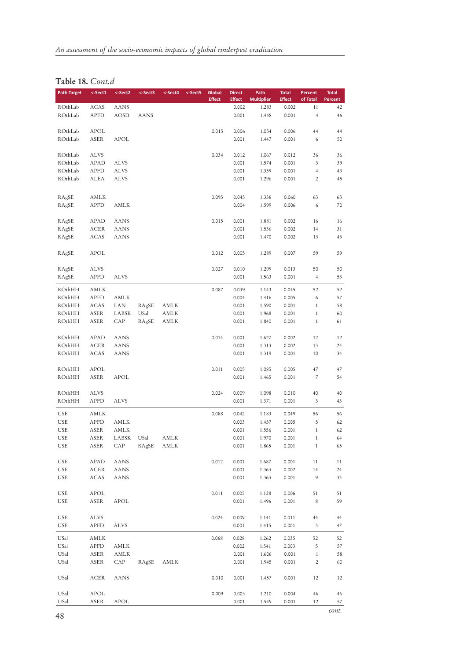## **Table 18.** *Cont.d*

| <b>Path Target</b>       | $<$ -Sect1   | <-Sect2      | <-Sect3    | <-Sect4 | <-Sect5 | Global        | <b>Direct</b>  | Path              | <b>Total</b>   | Percent           | <b>Total</b> |
|--------------------------|--------------|--------------|------------|---------|---------|---------------|----------------|-------------------|----------------|-------------------|--------------|
|                          |              |              |            |         |         | <b>Effect</b> | <b>Effect</b>  | <b>Multiplier</b> | <b>Effect</b>  | of Total          | Percent      |
| ROthLab                  | ACAS         | AANS         |            |         |         |               | 0.002          | 1.283             | 0.002          | 11                | 42           |
| ROthLab                  | APFD         | AOSD         | AANS       |         |         |               | 0.001          | 1.448             | 0.001          | $\overline{4}$    | 46           |
| ROthLab                  |              |              |            |         |         | 0.015         | 0.006          |                   |                | 44                | 44           |
| ROthLab                  | APOL<br>ASER | APOL         |            |         |         |               | 0.001          | 1.054<br>1.447    | 0.006<br>0.001 | 6                 | 50           |
|                          |              |              |            |         |         |               |                |                   |                |                   |              |
| ROthLab                  | ALVS         |              |            |         |         | 0.034         | 0.012          | 1.067             | 0.012          | 36                | 36           |
| ROthLab                  | APAD         | <b>ALVS</b>  |            |         |         |               | 0.001          | 1.574             | 0.001          | 3                 | 39           |
| ROthLab                  | APFD         | ALVS         |            |         |         |               | 0.001          | 1.339             | 0.001          | $\overline{4}$    | 43           |
| ROthLab                  | ALEA         | ALVS         |            |         |         |               | 0.001          | 1.296             | 0.001          | $\overline{c}$    | 45           |
|                          |              |              |            |         |         |               |                |                   |                |                   |              |
| RAgSE                    | AMLK         |              |            |         |         | 0.095         | 0.045          | 1.336             | 0.060          | 63                | 63           |
| RAgSE                    | APFD         | AMLK         |            |         |         |               | 0.004          | 1.599             | 0.006          | 6                 | 70           |
|                          |              |              |            |         |         |               |                |                   |                |                   |              |
| RAgSE                    | APAD         | <b>AANS</b>  |            |         |         | 0.015         | 0.001          | 1.881             | 0.002          | 16                | 16           |
| RAgSE                    | ACER         | AANS         |            |         |         |               | 0.001          | 1.536             | 0.002          | 14                | 31           |
| RAgSE                    | ACAS         | AANS         |            |         |         |               | 0.001          | 1.470             | 0.002          | 13                | 43           |
|                          |              |              |            |         |         |               |                |                   |                |                   |              |
| RAgSE                    | APOL         |              |            |         |         | 0.012         | 0.005          | 1.289             | 0.007          | 59                | 59           |
|                          |              |              |            |         |         |               |                |                   |                |                   |              |
| RAgSE                    | ALVS         |              |            |         |         | 0.027         | 0.010          | 1.299             | 0.013          | 50                | 50           |
| RAgSE                    | APFD         | <b>ALVS</b>  |            |         |         |               | 0.001          | 1.563             | 0.001          | $\overline{4}$    | 53           |
| ROthHH                   | AMLK         |              |            |         |         | 0.087         | 0.039          | 1.143             | 0.045          | 52                | 52           |
| ROthHH                   | APFD         | AMLK         |            |         |         |               | 0.004          | 1.416             | 0.005          | 6                 | 57           |
| ROthHH                   | ACAS         | LAN          | RAgSE      | AMLK    |         |               | 0.001          | 1.590             | 0.001          | $1\,$             | 58           |
| ROthHH                   | ASER         | LABSK        | USal       | AMLK    |         |               | 0.001          | 1.968             | 0.001          | $\mathbf{1}$      | 60           |
| ROthHH                   | ASER         | CAP          | RAgSE      | AMLK    |         |               | 0.001          | 1.840             | 0.001          | $\mathbf{1}$      | 61           |
|                          |              |              |            |         |         |               |                |                   |                |                   |              |
| ROthHH                   | APAD         | <b>AANS</b>  |            |         |         | 0.014         | 0.001          | 1.627             | 0.002          | 12                | 12           |
| ROthHH                   | ACER         | AANS         |            |         |         |               | 0.001          | 1.313             | 0.002          | 13                | 24           |
| ROthHH                   | ACAS         | <b>AANS</b>  |            |         |         |               | 0.001          | 1.319             | 0.001          | 10                | 34           |
| ROthHH                   | APOL         |              |            |         |         | 0.011         | 0.005          | 1.085             | 0.005          | 47                | 47           |
| ROthHH                   | ASER         | APOL         |            |         |         |               | 0.001          | 1.465             | 0.001          | $\overline{7}$    | 54           |
|                          |              |              |            |         |         |               |                |                   |                |                   |              |
| ROthHH                   | ALVS         |              |            |         |         | 0.024         | 0.009          | 1.098             | 0.010          | 40                | 40           |
| ROthHH                   | APFD         | ALVS         |            |         |         |               | 0.001          | 1.371             | 0.001          | 3                 | 43           |
|                          |              |              |            |         |         |               |                |                   |                |                   |              |
| USE                      | AMLK         |              |            |         |         | 0.088         | 0.042          | 1.183             | 0.049          | 56                | 56           |
| <b>USE</b><br><b>USE</b> | APFD<br>ASER | AMLK<br>AMLK |            |         |         |               | 0.003<br>0.001 | 1.457<br>1.556    | 0.005<br>0.001 | 5<br>$\mathbf{1}$ | 62<br>62     |
| <b>USE</b>               | ASER         | LABSK        | USal       | AMLK    |         |               | 0.001          | 1.970             | 0.001          | $\mathbf{1}$      | 64           |
| USE                      | ASER         | CAP          | RAgSE AMLK |         |         |               | 0.001          | 1.865             | 0.001          | $\mathbf{1}$      | 65           |
|                          |              |              |            |         |         |               |                |                   |                |                   |              |
| USE                      | APAD         | AANS         |            |         |         | 0.012         | 0.001          | 1.687             | 0.001          | 11                | 11           |
| USE                      | ACER         | AANS         |            |         |         |               | 0.001          | 1.363             | 0.002          | 14                | 24           |
| USE                      | ACAS         | AANS         |            |         |         |               | 0.001          | 1.363             | 0.001          | 9                 | 33           |
|                          |              |              |            |         |         |               |                |                   |                |                   |              |
| USE                      | APOL         |              |            |         |         | 0.011         | 0.005          | 1.128             | 0.006          | 51                | 51           |
| USE                      | ASER         | APOL         |            |         |         |               | 0.001          | 1.496             | 0.001          | $\,$ 8 $\,$       | 59           |
|                          |              |              |            |         |         |               |                |                   |                |                   |              |
| USE                      | ALVS         |              |            |         |         | 0.024         | 0.009          | 1.141             | 0.011          | 44                | 44           |
| USE                      | <b>APFD</b>  | ALVS         |            |         |         |               | 0.001          | 1.415             | 0.001          | 3                 | 47           |
| USal                     | AMLK         |              |            |         |         | 0.068         | 0.028          | 1.262             | 0.035          | 52                | 52           |
| USal                     | APFD         | AMLK         |            |         |         |               | 0.002          | 1.541             | 0.003          | 5                 | 57           |
| USal                     | ASER         | AMLK         |            |         |         |               | 0.001          | 1.606             | 0.001          | $\mathbf{1}$      | 58           |
| USal                     | ASER         | CAP          | RAgSE AMLK |         |         |               | 0.001          | 1.945             | 0.001          | $\overline{c}$    | 60           |
|                          |              |              |            |         |         |               |                |                   |                |                   |              |
| USal                     | ACER         | <b>AANS</b>  |            |         |         | 0.010         | 0.001          | 1.457             | 0.001          | 12                | 12           |
|                          |              |              |            |         |         |               |                |                   |                |                   |              |
| USal                     | APOL         |              |            |         |         | 0.009         | 0.003          | 1.210             | 0.004          | 46                | 46           |
| USal                     | ASER         | APOL         |            |         |         |               | 0.001          | 1.549             | 0.001          | 12                | 57           |
|                          |              |              |            |         |         |               |                |                   |                |                   | cont.        |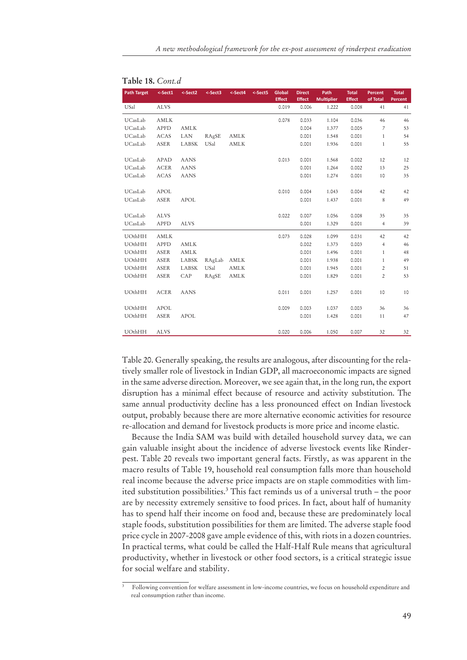| <b>Path Target</b> | <-Sect1     | <-Sect2     | <-Sect3     | <-Sect4 | <-Sect5 | Global<br><b>Effect</b> | <b>Direct</b><br><b>Effect</b> | Path<br><b>Multiplier</b> | <b>Total</b><br><b>Effect</b> | <b>Percent</b><br>of Total | <b>Total</b><br>Percent |
|--------------------|-------------|-------------|-------------|---------|---------|-------------------------|--------------------------------|---------------------------|-------------------------------|----------------------------|-------------------------|
| USal               | <b>ALVS</b> |             |             |         |         | 0.019                   | 0.006                          | 1.222                     | 0.008                         | 41                         | 41                      |
| UCasLab            | AMLK        |             |             |         |         | 0.078                   | 0.033                          | 1.104                     | 0.036                         | 46                         | 46                      |
| UCasLab            | <b>APFD</b> | AMLK        |             |         |         |                         | 0.004                          | 1.377                     | 0.005                         | 7                          | 53                      |
| UCasLab            | <b>ACAS</b> | <b>LAN</b>  | RAgSE       | AMLK    |         |                         | 0.001                          | 1.548                     | 0.001                         | $\mathbf{1}$               | 54                      |
| UCasLab            | <b>ASER</b> | LABSK       | USal        | AMLK    |         |                         | 0.001                          | 1.936                     | 0.001                         | $\mathbf{1}$               | 55                      |
| UCasLab            | APAD        | <b>AANS</b> |             |         |         | 0.013                   | 0.001                          | 1.568                     | 0.002                         | 12                         | 12                      |
| UCasLab            | <b>ACER</b> | <b>AANS</b> |             |         |         |                         | 0.001                          | 1.264                     | 0.002                         | 13                         | 25                      |
| UCasLab            | <b>ACAS</b> | <b>AANS</b> |             |         |         |                         | 0.001                          | 1.274                     | 0.001                         | 10                         | 35                      |
| UCasLab            | <b>APOL</b> |             |             |         |         | 0.010                   | 0.004                          | 1.043                     | 0.004                         | 42                         | 42                      |
| UCasLab            | <b>ASER</b> | <b>APOL</b> |             |         |         |                         | 0.001                          | 1.437                     | 0.001                         | 8                          | 49                      |
| UCasLab            | <b>ALVS</b> |             |             |         |         | 0.022                   | 0.007                          | 1.056                     | 0.008                         | 35                         | 35                      |
| UCasLab            | <b>APFD</b> | <b>ALVS</b> |             |         |         |                         | 0.001                          | 1.329                     | 0.001                         | $\overline{4}$             | 39                      |
| UOthHH             | AMLK        |             |             |         |         | 0.073                   | 0.028                          | 1.099                     | 0.031                         | 42                         | 42                      |
| UOthHH             | <b>APFD</b> | <b>AMLK</b> |             |         |         |                         | 0.002                          | 1.373                     | 0.003                         | $\overline{4}$             | 46                      |
| UOthHH             | <b>ASER</b> | AMLK        |             |         |         |                         | 0.001                          | 1.496                     | 0.001                         | $\mathbf{1}$               | 48                      |
| UOthHH             | <b>ASER</b> | LABSK       | RAgLab AMLK |         |         |                         | 0.001                          | 1.938                     | 0.001                         | $\mathbf{1}$               | 49                      |
| UOthHH             | <b>ASER</b> | LABSK       | USal        | AMLK    |         |                         | 0.001                          | 1.945                     | 0.001                         | 2                          | 51                      |
| UOthHH             | <b>ASER</b> | CAP         | RAgSE       | AMLK    |         |                         | 0.001                          | 1.829                     | 0.001                         | $\overline{c}$             | 53                      |
| UOthHH             | <b>ACER</b> | <b>AANS</b> |             |         |         | 0.011                   | 0.001                          | 1.257                     | 0.001                         | 10                         | 10                      |
| UOthHH             | <b>APOL</b> |             |             |         |         | 0.009                   | 0.003                          | 1.037                     | 0.003                         | 36                         | 36                      |
| UOthHH             | <b>ASER</b> | <b>APOL</b> |             |         |         |                         | 0.001                          | 1.428                     | 0.001                         | 11                         | 47                      |
| UOthHH             | <b>ALVS</b> |             |             |         |         | 0.020                   | 0.006                          | 1.050                     | 0.007                         | 32                         | 32                      |

|  |  | Table 18. Cont.d |
|--|--|------------------|
|--|--|------------------|

Table 20. Generally speaking, the results are analogous, after discounting for the relatively smaller role of livestock in Indian GDP, all macroeconomic impacts are signed in the same adverse direction. Moreover, we see again that, in the long run, the export disruption has a minimal effect because of resource and activity substitution. The same annual productivity decline has a less pronounced effect on Indian livestock output, probably because there are more alternative economic activities for resource re-allocation and demand for livestock products is more price and income elastic.

Because the India SAM was build with detailed household survey data, we can gain valuable insight about the incidence of adverse livestock events like Rinderpest. Table 20 reveals two important general facts. Firstly, as was apparent in the macro results of Table 19, household real consumption falls more than household real income because the adverse price impacts are on staple commodities with limited substitution possibilities.3 This fact reminds us of a universal truth – the poor are by necessity extremely sensitive to food prices. In fact, about half of humanity has to spend half their income on food and, because these are predominately local staple foods, substitution possibilities for them are limited. The adverse staple food price cycle in 2007-2008 gave ample evidence of this, with riots in a dozen countries. In practical terms, what could be called the Half-Half Rule means that agricultural productivity, whether in livestock or other food sectors, is a critical strategic issue for social welfare and stability.

<sup>3</sup> Following convention for welfare assessment in low-income countries, we focus on household expenditure and real consumption rather than income.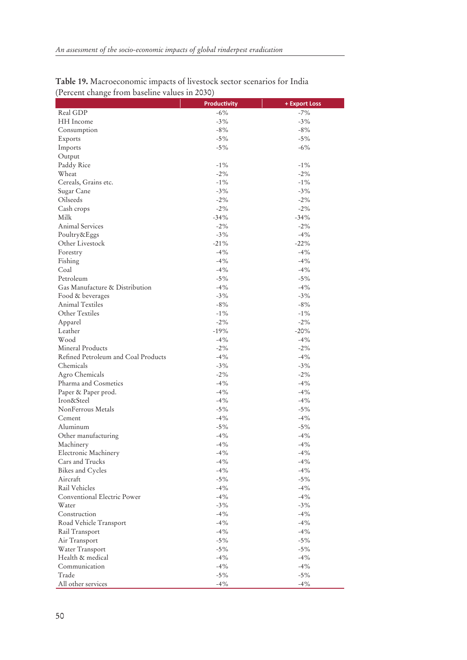|                                     | <b>Productivity</b> | + Export Loss |
|-------------------------------------|---------------------|---------------|
| Real GDP                            | $-6\%$              | $-7%$         |
| HH Income                           | $-3%$               | $-3%$         |
| Consumption                         | $-8%$               | $-8%$         |
| Exports                             | $-5%$               | $-5%$         |
| Imports                             | $-5\%$              | $-6%$         |
| Output                              |                     |               |
| Paddy Rice                          | $-1\%$              | $-1\%$        |
| Wheat                               | $-2%$               | $-2%$         |
| Cereals, Grains etc.                | $-1\%$              | $-1\%$        |
| Sugar Cane                          | $-3%$               | $-3%$         |
| Oilseeds                            | $-2\%$              | $-2\%$        |
| Cash crops                          | $-2\%$              | $-2\%$        |
| Milk                                | $-34%$              | $-34%$        |
| Animal Services                     | $-2\%$              | $-2%$         |
| Poultry&Eggs                        | $-3%$               | $-4%$         |
| Other Livestock                     | $-21%$              | $-22%$        |
| Forestry                            | $-4%$               | $-4%$         |
| Fishing                             | $-4%$               | $-4%$         |
| Coal                                | $-4%$               | $-4%$         |
| Petroleum                           | $-5\%$              | $-5%$         |
| Gas Manufacture & Distribution      | $-4%$               | $-4%$         |
| Food & beverages                    | $-3%$               | $-3%$         |
| <b>Animal Textiles</b>              | $-8%$               | $-8%$         |
| Other Textiles                      | $-1\%$              | $-1\%$        |
| Apparel                             | $-2%$               | $-2%$         |
| Leather                             | $-19%$              | $-20%$        |
| Wood                                | $-4%$               | $-4%$         |
| Mineral Products                    | $-2%$               | $-2%$         |
| Refined Petroleum and Coal Products | $-4%$               | $-4%$         |
| Chemicals                           | $-3\%$              | $-3%$         |
| Agro Chemicals                      | $-2%$               | $-2%$         |
| Pharma and Cosmetics                | $-4%$               | $-4%$         |
| Paper & Paper prod.                 | $-4%$               | $-4%$         |
| Iron&Steel                          | $-4%$               | $-4%$         |
| NonFerrous Metals                   | $-5%$               | $-5%$         |
| Cement                              | $-4%$               | $-4%$         |
| Aluminum                            | $-5%$               | $-5%$         |
| Other manufacturing                 | $-4%$               | $-4%$         |
| Machinery                           | $-4%$               | $-4%$         |
| Electronic Machinery                | $-4%$               | $-4%$         |
| Cars and Trucks                     | $-4%$               | $-4%$         |
| Bikes and Cycles                    | $-4%$               | $-4%$         |
| Aircraft                            | $-5%$               | $-5%$         |
| Rail Vehicles                       | $-4%$               | $-4\%$        |
| Conventional Electric Power         | $-4%$               | $-4%$         |
| Water                               | $-3%$               | $-3\%$        |
| Construction                        | $-4%$               | $-4%$         |
| Road Vehicle Transport              | $-4%$               | $-4%$         |
| Rail Transport                      | $-4%$               | $-4\%$        |
| Air Transport                       | $-5%$               | $-5%$         |
| Water Transport                     | $-5%$               | $-5\%$        |
| Health & medical                    | $-4%$               | $-4%$         |
| Communication                       | $-4%$               | $-4\%$        |
| Trade                               | $-5\%$              | $-5\%$        |
| All other services                  | $-4%$               | $-4%$         |

| Table 19. Macroeconomic impacts of livestock sector scenarios for India |  |
|-------------------------------------------------------------------------|--|
| (Percent change from baseline values in 2030)                           |  |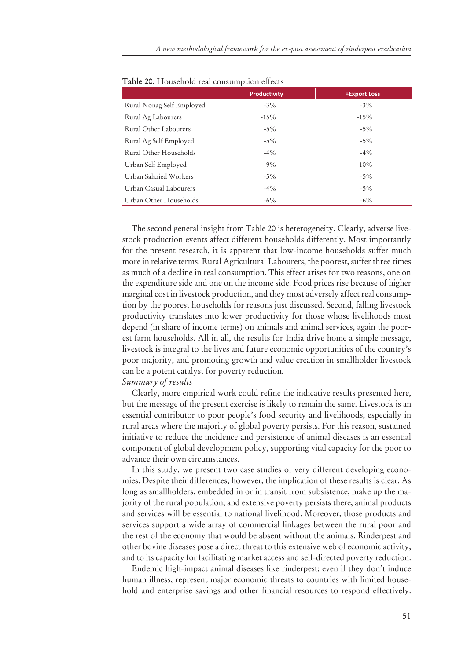|                           | <b>Productivity</b> | +Export Loss |
|---------------------------|---------------------|--------------|
| Rural Nonag Self Employed | $-3\%$              | $-3\%$       |
| Rural Ag Labourers        | $-15%$              | $-15%$       |
| Rural Other Labourers     | $-5\%$              | $-5\%$       |
| Rural Ag Self Employed    | $-5\%$              | $-5\%$       |
| Rural Other Households    | $-4\%$              | $-4\%$       |
| Urban Self Employed       | $-9\%$              | $-10%$       |
| Urban Salaried Workers    | $-5\%$              | $-5\%$       |
| Urban Casual Labourers    | $-4\%$              | $-5\%$       |
| Urban Other Households    | $-6\%$              | $-6\%$       |

**Table 20.** Household real consumption effects

The second general insight from Table 20 is heterogeneity. Clearly, adverse livestock production events affect different households differently. Most importantly for the present research, it is apparent that low-income households suffer much more in relative terms. Rural Agricultural Labourers, the poorest, suffer three times as much of a decline in real consumption. This effect arises for two reasons, one on the expenditure side and one on the income side. Food prices rise because of higher marginal cost in livestock production, and they most adversely affect real consumption by the poorest households for reasons just discussed. Second, falling livestock productivity translates into lower productivity for those whose livelihoods most depend (in share of income terms) on animals and animal services, again the poorest farm households. All in all, the results for India drive home a simple message, livestock is integral to the lives and future economic opportunities of the country's poor majority, and promoting growth and value creation in smallholder livestock can be a potent catalyst for poverty reduction.

## *Summary of results*

Clearly, more empirical work could refine the indicative results presented here, but the message of the present exercise is likely to remain the same. Livestock is an essential contributor to poor people's food security and livelihoods, especially in rural areas where the majority of global poverty persists. For this reason, sustained initiative to reduce the incidence and persistence of animal diseases is an essential component of global development policy, supporting vital capacity for the poor to advance their own circumstances.

In this study, we present two case studies of very different developing economies. Despite their differences, however, the implication of these results is clear. As long as smallholders, embedded in or in transit from subsistence, make up the majority of the rural population, and extensive poverty persists there, animal products and services will be essential to national livelihood. Moreover, those products and services support a wide array of commercial linkages between the rural poor and the rest of the economy that would be absent without the animals. Rinderpest and other bovine diseases pose a direct threat to this extensive web of economic activity, and to its capacity for facilitating market access and self-directed poverty reduction.

Endemic high-impact animal diseases like rinderpest; even if they don't induce human illness, represent major economic threats to countries with limited household and enterprise savings and other financial resources to respond effectively.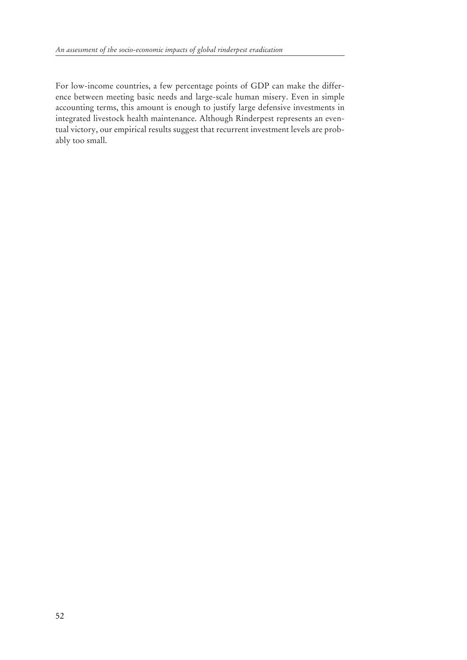For low-income countries, a few percentage points of GDP can make the difference between meeting basic needs and large-scale human misery. Even in simple accounting terms, this amount is enough to justify large defensive investments in integrated livestock health maintenance. Although Rinderpest represents an eventual victory, our empirical results suggest that recurrent investment levels are probably too small.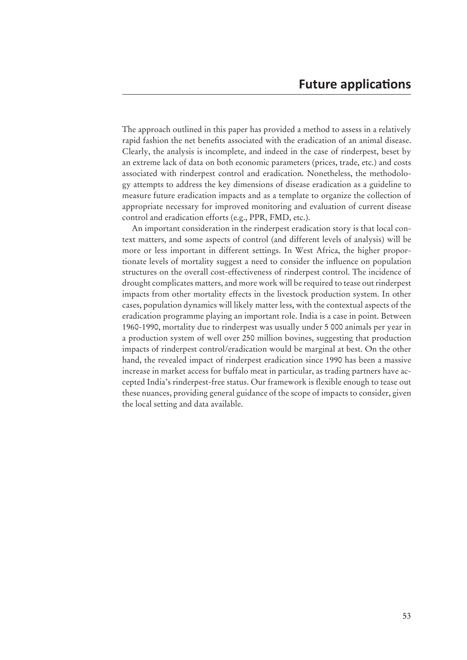The approach outlined in this paper has provided a method to assess in a relatively rapid fashion the net benefits associated with the eradication of an animal disease. Clearly, the analysis is incomplete, and indeed in the case of rinderpest, beset by an extreme lack of data on both economic parameters (prices, trade, etc.) and costs associated with rinderpest control and eradication. Nonetheless, the methodology attempts to address the key dimensions of disease eradication as a guideline to measure future eradication impacts and as a template to organize the collection of appropriate necessary for improved monitoring and evaluation of current disease control and eradication efforts (e.g., PPR, FMD, etc.).

An important consideration in the rinderpest eradication story is that local context matters, and some aspects of control (and different levels of analysis) will be more or less important in different settings. In West Africa, the higher proportionate levels of mortality suggest a need to consider the influence on population structures on the overall cost-effectiveness of rinderpest control. The incidence of drought complicates matters, and more work will be required to tease out rinderpest impacts from other mortality effects in the livestock production system. In other cases, population dynamics will likely matter less, with the contextual aspects of the eradication programme playing an important role. India is a case in point. Between 1960-1990, mortality due to rinderpest was usually under 5 000 animals per year in a production system of well over 250 million bovines, suggesting that production impacts of rinderpest control/eradication would be marginal at best. On the other hand, the revealed impact of rinderpest eradication since 1990 has been a massive increase in market access for buffalo meat in particular, as trading partners have ac cepted India's rinderpest-free status. Our framework is flexible enough to tease out these nuances, providing general guidance of the scope of impacts to consider, given the local setting and data available.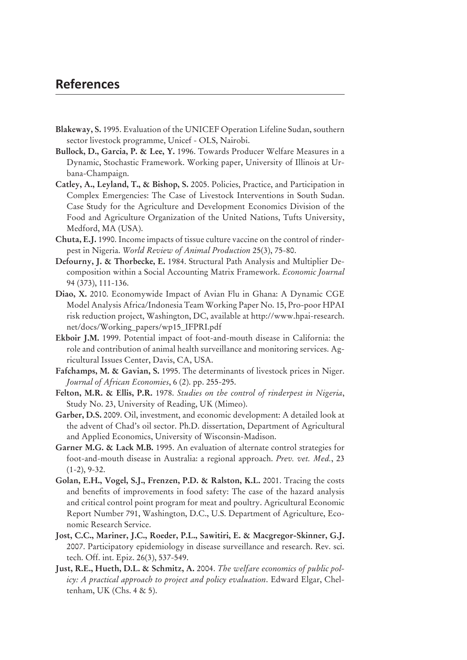## **References**

- **Blakeway, S.** 1995. Evaluation of the UNICEF Operation Lifeline Sudan, southern sector livestock programme, Unicef - OLS, Nairobi.
- **Bullock, D., Garcia, P. & Lee, Y.** 1996. Towards Producer Welfare Measures in a Dynamic, Stochastic Framework. Working paper, University of Illinois at Urbana-Champaign.
- **Catley, A., Leyland, T., & Bishop, S.** 2005. Policies, Practice, and Participation in Complex Emergencies: The Case of Livestock Interventions in South Sudan. Case Study for the Agriculture and Development Economics Division of the Food and Agriculture Organization of the United Nations, Tufts University, Medford, MA (USA).
- **Chuta, E.J.** 1990. Income impacts of tissue culture vaccine on the control of rinderpest in Nigeria. *World Review of Animal Production* 25(3), 75-80.
- **Defourny, J. & Thorbecke, E.** 1984. Structural Path Analysis and Multiplier Decomposition within a Social Accounting Matrix Framework. *Economic Journal*  94 (373), 111-136.
- **Diao, X.** 2010. Economywide Impact of Avian Flu in Ghana: A Dynamic CGE Model Analysis Africa/Indonesia Team Working Paper No. 15, Pro-poor HPAI risk reduction project, Washington, DC, available at http://www.hpai-research. net/docs/Working\_papers/wp15\_IFPRI.pdf
- **Ekboir J.M.** 1999. Potential impact of foot-and-mouth disease in California: the role and contribution of animal health surveillance and monitoring services. Agricultural Issues Center, Davis, CA, USA.
- **Fafchamps, M. & Gavian, S.** 1995. The determinants of livestock prices in Niger. *Journal of African Economies*, 6 (2). pp. 255-295.
- **Felton, M.R. & Ellis, P.R.** 1978. *Studies on the control of rinderpest in Nigeria*, Study No. 23, University of Reading, UK (Mimeo).
- **Garber, D.S.** 2009. Oil, investment, and economic development: A detailed look at the advent of Chad's oil sector. Ph.D. dissertation, Department of Agricultural and Applied Economics, University of Wisconsin-Madison.
- **Garner M.G. & Lack M.B.** 1995. An evaluation of alternate control strategies for foot-and-mouth disease in Australia: a regional approach. *Prev. vet. Med.*, 23  $(1-2)$ , 9-32.
- **Golan, E.H., Vogel, S.J., Frenzen, P.D. & Ralston, K.L.** 2001. Tracing the costs and benefits of improvements in food safety: The case of the hazard analysis and critical control point program for meat and poultry. Agricultural Economic Report Number 791, Washington, D.C., U.S. Department of Agriculture, Economic Research Service.
- **Jost, C.C., Mariner, J.C., Roeder, P.L., Sawitiri, E. & Macgregor-Skinner, G.J.** 2007. Participatory epidemiology in disease surveillance and research. Rev. sci. tech. Off. int. Epiz. 26(3), 537-549.
- **Just, R.E., Hueth, D.L. & Schmitz, A.** 2004. *The welfare economics of public policy: A practical approach to project and policy evaluation*. Edward Elgar, Cheltenham, UK (Chs. 4 & 5).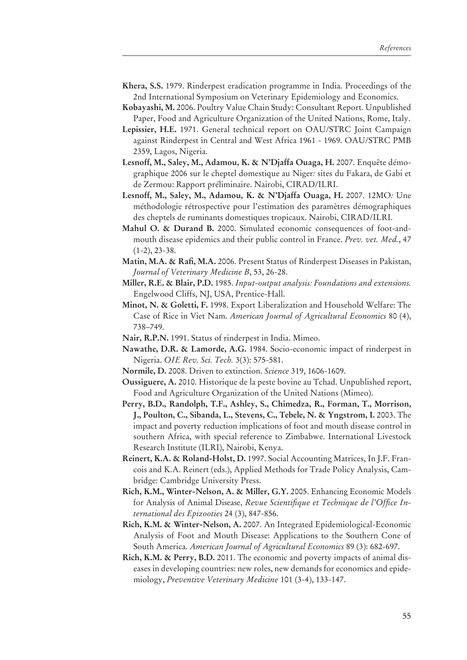- **Khera, S.S.** 1979. Rinderpest eradication programme in India. Proceedings of the 2nd International Symposium on Veterinary Epidemiology and Economics.
- **Kobayashi, M.** 2006. Poultry Value Chain Study: Consultant Report. Unpublished Paper, Food and Agriculture Organization of the United Nations, Rome, Italy.
- **Lepissier, H.E.** 1971. General technical report on OAU/STRC Joint Campaign against Rinderpest in Central and West Africa 1961 - 1969. OAU/STRC PMB 2359, Lagos, Nigeria.
- **Lesnoff, M., Saley, M., Adamou, K. & N'Djaffa Ouaga, H.** 2007. Enquête démographique 2006 sur le cheptel domestique au Niger*:* sites du Fakara, de Gabi et de Zermou: Rapport préliminaire. Nairobi, CIRAD/ILRI.
- **Lesnoff, M., Saley, M., Adamou, K. & N'Djaffa Ouaga, H.** 2007. 12MO*:* Une méthodologie rétrospective pour l'estimation des paramètres démographiques des cheptels de ruminants domestiques tropicaux. Nairobi, CIRAD/ILRI.
- **Mahul O. & Durand B.** 2000. Simulated economic consequences of foot-andmouth disease epidemics and their public control in France. *Prev. vet. Med.*, 47  $(1-2)$ , 23-38.
- **Matin, M.A. & Rafi, M.A.** 2006. Present Status of Rinderpest Diseases in Pakistan, *Journal of Veterinary Medicine B*, 53, 26-28.
- **Miller, R.E. & Blair, P.D.** 1985. *Input-output analysis: Foundations and extensions.* Engelwood Cliffs, NJ, USA, Prentice-Hall.
- **Minot, N. & Goletti, F.** 1998. Export Liberalization and Household Welfare: The Case of Rice in Viet Nam. *American Journal of Agricultural Economics* 80 (4), 738–749.
- **Nair, R.P.N.** 1991. Status of rinderpest in India. Mimeo.
- **Nawathe, D.R. & Lamorde, A.G.** 1984. Socio-economic impact of rinderpest in Nigeria. *OIE Rev. Sci. Tech.* 3(3): 575-581.
- **Normile, D.** 2008. Driven to extinction. *Science* 319, 1606-1609.
- **Oussiguere, A.** 2010. Historique de la peste bovine au Tchad. Unpublished report, Food and Agriculture Organization of the United Nations (Mimeo).
- **Perry, B.D., Randolph, T.F., Ashley, S., Chimedza, R., Forman, T., Morrison, J., Poulton, C., Sibanda, L., Stevens, C., Tebele, N. & Yngstrom, I.** 2003. The impact and poverty reduction implications of foot and mouth disease control in southern Africa, with special reference to Zimbabwe. International Livestock Research Institute (ILRI), Nairobi, Kenya.
- **Reinert, K.A. & Roland-Holst, D.** 1997. Social Accounting Matrices, In J.F. Francois and K.A. Reinert (eds.), Applied Methods for Trade Policy Analysis, Cambridge: Cambridge University Press.
- **Rich, K.M., Winter-Nelson, A. & Miller, G.Y.** 2005. Enhancing Economic Models for Analysis of Animal Disease, *Revue Scientifique et Technique de l'Office International des Epizooties* 24 (3), 847-856.
- **Rich, K.M. & Winter-Nelson, A.** 2007. An Integrated Epidemiological-Economic Analysis of Foot and Mouth Disease: Applications to the Southern Cone of South America. *American Journal of Agricultural Economics* 89 (3): 682-697.
- **Rich, K.M. & Perry, B.D.** 2011. The economic and poverty impacts of animal diseases in developing countries: new roles, new demands for economics and epidemiology, *Preventive Veterinary Medicine* 101 (3-4), 133-147.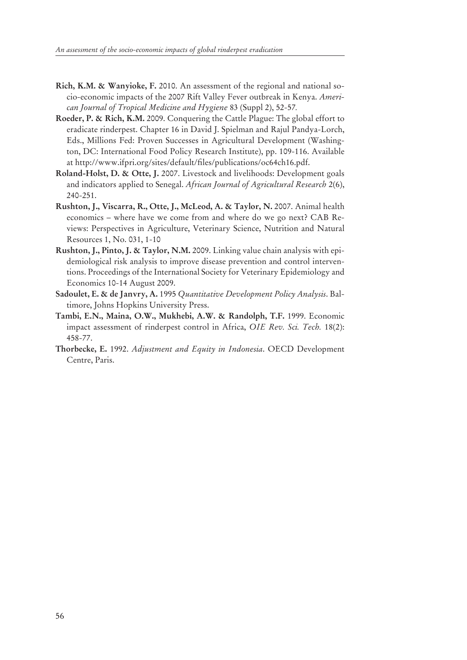- **Rich, K.M. & Wanyioke, F.** 2010. An assessment of the regional and national socio-economic impacts of the 2007 Rift Valley Fever outbreak in Kenya. *American Journal of Tropical Medicine and Hygiene* 83 (Suppl 2), 52-57*.*
- **Roeder, P. & Rich, K.M.** 2009. Conquering the Cattle Plague: The global effort to eradicate rinderpest. Chapter 16 in David J. Spielman and Rajul Pandya-Lorch, Eds., Millions Fed: Proven Successes in Agricultural Development (Washington, DC: International Food Policy Research Institute), pp. 109-116. Available at http://www.ifpri.org/sites/default/files/publications/oc64ch16.pdf.
- **Roland-Holst, D. & Otte, J.** 2007. Livestock and livelihoods: Development goals and indicators applied to Senegal. *African Journal of Agricultural Research* 2(6), 240-251.
- **Rushton, J., Viscarra, R., Otte, J., McLeod, A. & Taylor, N.** 2007. Animal health economics – where have we come from and where do we go next? CAB Reviews: Perspectives in Agriculture, Veterinary Science, Nutrition and Natural Resources 1, No. 031, 1-10
- **Rushton, J., Pinto, J. & Taylor, N.M.** 2009. Linking value chain analysis with epidemiological risk analysis to improve disease prevention and control interventions. Proceedings of the International Society for Veterinary Epidemiology and Economics 10-14 August 2009.
- **Sadoulet, E. & de Janvry, A.** 1995 *Quantitative Development Policy Analysis*. Baltimore, Johns Hopkins University Press.
- **Tambi, E.N., Maina, O.W., Mukhebi, A.W. & Randolph, T.F.** 1999. Economic impact assessment of rinderpest control in Africa, *OIE Rev. Sci. Tech.* 18(2): 458-77.
- **Thorbecke, E.** 1992. *Adjustment and Equity in Indonesia*. OECD Development Centre, Paris.